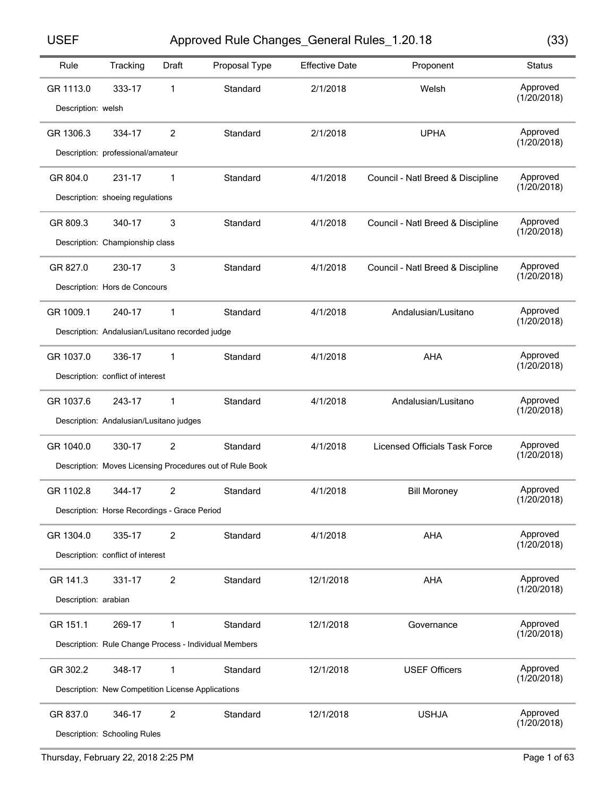Approved Rule Changes\_General Rules\_1.20.18 USEF (33)

| w<br>I<br>×<br>۰. | w<br>I<br>×<br>۰. |  |
|-------------------|-------------------|--|

| Rule                 | Tracking                                          | <b>Draft</b>   | Proposal Type                                            | <b>Effective Date</b> | Proponent                            | <b>Status</b>           |
|----------------------|---------------------------------------------------|----------------|----------------------------------------------------------|-----------------------|--------------------------------------|-------------------------|
| GR 1113.0            | 333-17                                            | 1              | Standard                                                 | 2/1/2018              | Welsh                                | Approved<br>(1/20/2018) |
| Description: welsh   |                                                   |                |                                                          |                       |                                      |                         |
| GR 1306.3            | 334-17                                            | 2              | Standard                                                 | 2/1/2018              | <b>UPHA</b>                          | Approved                |
|                      | Description: professional/amateur                 |                |                                                          |                       |                                      | (1/20/2018)             |
| GR 804.0             | 231-17                                            | 1              | Standard                                                 | 4/1/2018              | Council - Natl Breed & Discipline    | Approved                |
|                      | Description: shoeing regulations                  |                |                                                          |                       |                                      | (1/20/2018)             |
| GR 809.3             | 340-17                                            | 3              | Standard                                                 | 4/1/2018              | Council - Natl Breed & Discipline    | Approved                |
|                      | Description: Championship class                   |                |                                                          |                       |                                      | (1/20/2018)             |
| GR 827.0             | 230-17                                            | 3              | Standard                                                 | 4/1/2018              | Council - Natl Breed & Discipline    | Approved                |
|                      | Description: Hors de Concours                     |                |                                                          |                       |                                      | (1/20/2018)             |
| GR 1009.1            | 240-17                                            | 1              | Standard                                                 | 4/1/2018              | Andalusian/Lusitano                  | Approved                |
|                      | Description: Andalusian/Lusitano recorded judge   |                |                                                          |                       |                                      | (1/20/2018)             |
| GR 1037.0            | 336-17                                            | 1              | Standard                                                 | 4/1/2018              | AHA                                  | Approved                |
|                      | Description: conflict of interest                 |                |                                                          |                       |                                      | (1/20/2018)             |
| GR 1037.6            | 243-17                                            | 1              | Standard                                                 | 4/1/2018              | Andalusian/Lusitano                  | Approved                |
|                      | Description: Andalusian/Lusitano judges           |                |                                                          |                       |                                      | (1/20/2018)             |
| GR 1040.0            | 330-17                                            | 2              | Standard                                                 | 4/1/2018              | <b>Licensed Officials Task Force</b> | Approved                |
|                      |                                                   |                | Description: Moves Licensing Procedures out of Rule Book |                       |                                      | (1/20/2018)             |
| GR 1102.8            | 344-17                                            | 2              | Standard                                                 | 4/1/2018              | <b>Bill Moroney</b>                  | Approved                |
|                      | Description: Horse Recordings - Grace Period      |                |                                                          |                       |                                      | (1/20/2018)             |
| GR 1304.0            | 335-17                                            | $\overline{2}$ | Standard                                                 | 4/1/2018              | AHA                                  | Approved                |
|                      | Description: conflict of interest                 |                |                                                          |                       |                                      | (1/20/2018)             |
| GR 141.3             | 331-17                                            | $\overline{2}$ | Standard                                                 | 12/1/2018             | AHA                                  | Approved                |
| Description: arabian |                                                   |                |                                                          |                       |                                      | (1/20/2018)             |
| GR 151.1             | 269-17                                            | 1              | Standard                                                 | 12/1/2018             | Governance                           | Approved                |
|                      |                                                   |                | Description: Rule Change Process - Individual Members    |                       |                                      | (1/20/2018)             |
| GR 302.2             | 348-17                                            | 1              | Standard                                                 | 12/1/2018             | <b>USEF Officers</b>                 | Approved                |
|                      | Description: New Competition License Applications |                |                                                          |                       |                                      | (1/20/2018)             |
| GR 837.0             | 346-17                                            | 2              | Standard                                                 | 12/1/2018             | <b>USHJA</b>                         | Approved                |
|                      | Description: Schooling Rules                      |                |                                                          |                       |                                      | (1/20/2018)             |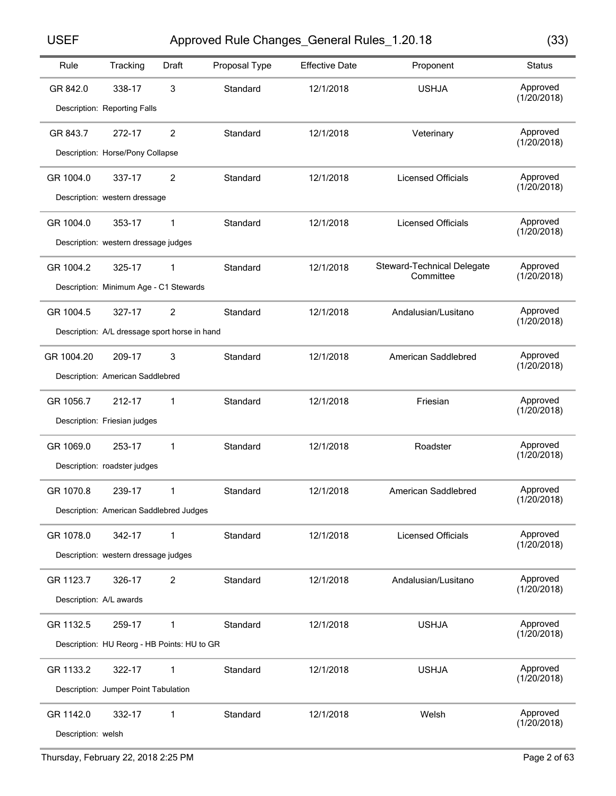Approved Rule Changes\_General Rules\_1.20.18 USEF (33)

| w       | w       |  |
|---------|---------|--|
| ×<br>۰. | ×<br>۰. |  |

| Rule                    | Tracking                                      | Draft | Proposal Type | <b>Effective Date</b> | Proponent                  | <b>Status</b>           |  |  |
|-------------------------|-----------------------------------------------|-------|---------------|-----------------------|----------------------------|-------------------------|--|--|
| GR 842.0                | 338-17                                        | 3     | Standard      | 12/1/2018             | <b>USHJA</b>               | Approved                |  |  |
|                         |                                               |       |               |                       |                            | (1/20/2018)             |  |  |
|                         | Description: Reporting Falls                  |       |               |                       |                            |                         |  |  |
| GR 843.7                | 272-17                                        | 2     | Standard      | 12/1/2018             | Veterinary                 | Approved<br>(1/20/2018) |  |  |
|                         | Description: Horse/Pony Collapse              |       |               |                       |                            |                         |  |  |
| GR 1004.0               | 337-17                                        | 2     | Standard      | 12/1/2018             | <b>Licensed Officials</b>  | Approved                |  |  |
|                         | Description: western dressage                 |       |               |                       |                            | (1/20/2018)             |  |  |
| GR 1004.0               | 353-17                                        | 1     | Standard      | 12/1/2018             | <b>Licensed Officials</b>  | Approved                |  |  |
|                         | Description: western dressage judges          |       |               |                       |                            | (1/20/2018)             |  |  |
| GR 1004.2               | 325-17                                        | 1     | Standard      | 12/1/2018             | Steward-Technical Delegate | Approved                |  |  |
|                         | Description: Minimum Age - C1 Stewards        |       |               |                       | Committee                  | (1/20/2018)             |  |  |
|                         |                                               |       |               |                       |                            |                         |  |  |
| GR 1004.5               | 327-17                                        | 2     | Standard      | 12/1/2018             | Andalusian/Lusitano        | Approved<br>(1/20/2018) |  |  |
|                         | Description: A/L dressage sport horse in hand |       |               |                       |                            |                         |  |  |
| GR 1004.20              | 209-17                                        | 3     | Standard      | 12/1/2018             | American Saddlebred        | Approved<br>(1/20/2018) |  |  |
|                         | Description: American Saddlebred              |       |               |                       |                            |                         |  |  |
| GR 1056.7               | 212-17                                        | 1     | Standard      | 12/1/2018             | Friesian                   | Approved<br>(1/20/2018) |  |  |
|                         | Description: Friesian judges                  |       |               |                       |                            |                         |  |  |
| GR 1069.0               | 253-17                                        | 1     | Standard      | 12/1/2018             | Roadster                   | Approved                |  |  |
|                         | Description: roadster judges                  |       |               |                       |                            | (1/20/2018)             |  |  |
| GR 1070.8               | 239-17                                        | 1     | Standard      | 12/1/2018             | American Saddlebred        | Approved                |  |  |
|                         | Description: American Saddlebred Judges       |       |               |                       |                            | (1/20/2018)             |  |  |
| GR 1078.0               | 342-17                                        | 1     | Standard      | 12/1/2018             | <b>Licensed Officials</b>  | Approved                |  |  |
|                         | Description: western dressage judges          |       |               |                       |                            | (1/20/2018)             |  |  |
| GR 1123.7               | 326-17                                        | 2     | Standard      | 12/1/2018             | Andalusian/Lusitano        | Approved                |  |  |
| Description: A/L awards |                                               |       |               |                       |                            | (1/20/2018)             |  |  |
| GR 1132.5               | 259-17                                        | 1     | Standard      | 12/1/2018             | <b>USHJA</b>               | Approved                |  |  |
|                         | Description: HU Reorg - HB Points: HU to GR   |       |               |                       |                            | (1/20/2018)             |  |  |
| GR 1133.2               | 322-17                                        |       | Standard      | 12/1/2018             | <b>USHJA</b>               | Approved                |  |  |
|                         |                                               | 1     |               |                       |                            | (1/20/2018)             |  |  |
|                         | Description: Jumper Point Tabulation          |       |               |                       |                            |                         |  |  |
| GR 1142.0               | 332-17                                        | 1     | Standard      | 12/1/2018             | Welsh                      | Approved<br>(1/20/2018) |  |  |
| Description: welsh      |                                               |       |               |                       |                            |                         |  |  |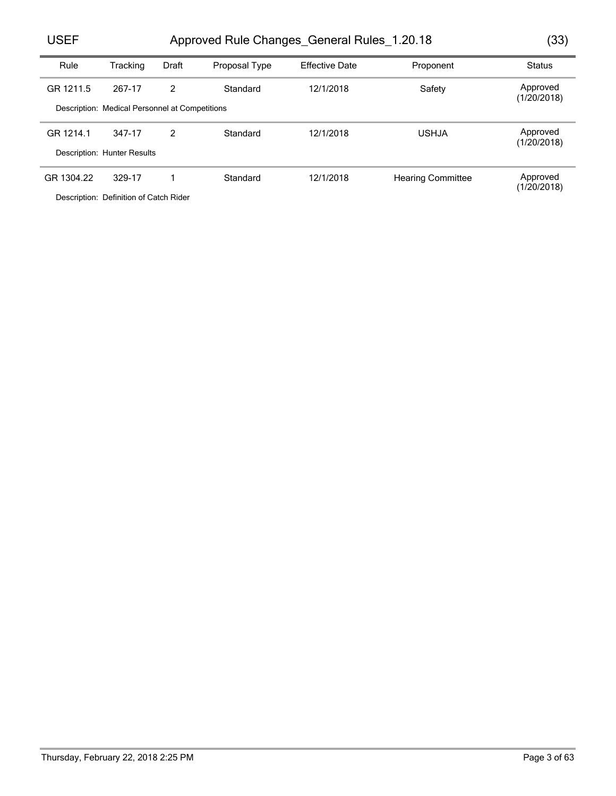# Approved Rule Changes\_General Rules\_1.20.18 USEF (33)

| Rule       | Tracking                                       | Draft         | Proposal Type | <b>Effective Date</b> | Proponent                | <b>Status</b>           |
|------------|------------------------------------------------|---------------|---------------|-----------------------|--------------------------|-------------------------|
| GR 1211.5  | 267-17                                         | $\mathcal{P}$ | Standard      | 12/1/2018             | Safety                   | Approved<br>(1/20/2018) |
|            | Description: Medical Personnel at Competitions |               |               |                       |                          |                         |
| GR 1214.1  | 347-17                                         | 2             | Standard      | 12/1/2018             | <b>USHJA</b>             | Approved<br>(1/20/2018) |
|            | Description: Hunter Results                    |               |               |                       |                          |                         |
| GR 1304.22 | 329-17                                         |               | Standard      | 12/1/2018             | <b>Hearing Committee</b> | Approved<br>(1/20/2018) |
|            | Description: Definition of Octob Didge         |               |               |                       |                          |                         |

Description: Definition of Catch Rider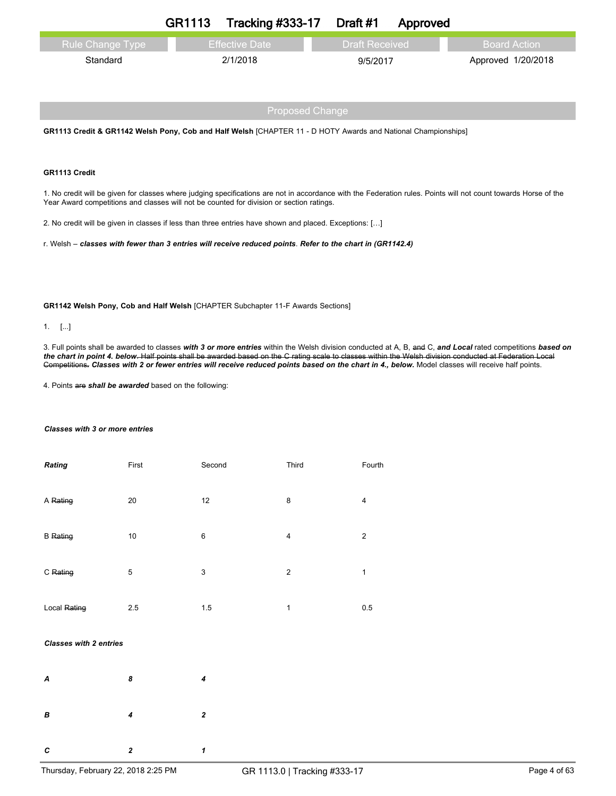|                    | GR1113 | <b>Tracking #333-17 Draft #1</b> |                   | Approved |                    |
|--------------------|--------|----------------------------------|-------------------|----------|--------------------|
| l Rule Change Type |        | <b>Effective Date</b>            | 「Draft Received 」 |          | – Board Action     |
| Standard           |        | 2/1/2018                         | 9/5/2017          |          | Approved 1/20/2018 |

# Proposed Change

**GR1113 Credit & GR1142 Welsh Pony, Cob and Half Welsh** [CHAPTER 11 - D HOTY Awards and National Championships]

## **GR1113 Credit**

1. No credit will be given for classes where judging specifications are not in accordance with the Federation rules. Points will not count towards Horse of the Year Award competitions and classes will not be counted for division or section ratings.

2. No credit will be given in classes if less than three entries have shown and placed. Exceptions: […]

r. Welsh – *classes with fewer than 3 entries will receive reduced points*. *Refer to the chart in (GR1142.4)*

**GR1142 Welsh Pony, Cob and Half Welsh** [CHAPTER Subchapter 11-F Awards Sections]

## 1. [...]

3. Full points shall be awarded to classes *with 3 or more entries* within the Welsh division conducted at A, B, and C, *and Local* rated competitions *based on the chart in point 4. below*. Half points shall be awarded based on the C rating scale to classes within the Welsh division conducted at Federation Local Competitions. Classes with 2 or fewer entries will receive reduced points based on the chart in 4., below. Model classes will receive half points.

4. Points are *shall be awarded* based on the following:

## *Classes with 3 or more entries*

| <b>Rating</b>   | First | Second | Third | Fourth         |
|-----------------|-------|--------|-------|----------------|
| A Rating        | 20    | 12     | 8     | 4              |
| <b>B</b> Rating | 10    | 6      | 4     | $\overline{2}$ |
| C Rating        | 5     | 3      | 2     | 1              |
| Local Rating    | 2.5   | 1.5    | 1     | 0.5            |

### *Classes with 2 entries*

| A | 8              | $\overline{4}$          |
|---|----------------|-------------------------|
| B | $\overline{4}$ | $\overline{\mathbf{2}}$ |

*C 2 1*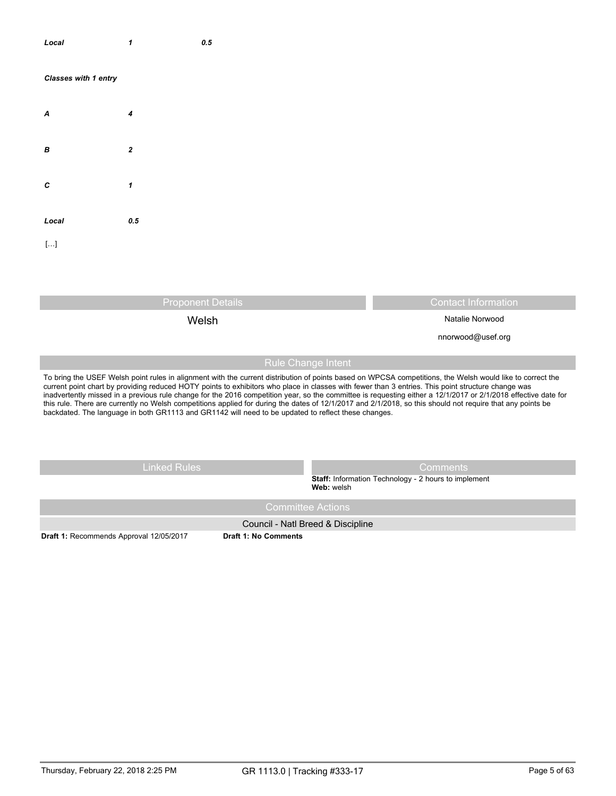| Local                | $\boldsymbol{\mathcal{I}}$ | $\pmb{0.5}$ |
|----------------------|----------------------------|-------------|
| Classes with 1 entry |                            |             |
| $\boldsymbol{A}$     | $\pmb{4}$                  |             |
| $\pmb B$             | $\boldsymbol{2}$           |             |
| $\boldsymbol{c}$     | $\pmb{\mathcal{I}}$        |             |
| Local                | $\pmb{0.5}$                |             |
| $[ \ldots ]$         |                            |             |
|                      |                            |             |

Proponent Details Contact Information

Welsh Natalie Norwood

nnorwood@usef.org

# Rule Change Intent

To bring the USEF Welsh point rules in alignment with the current distribution of points based on WPCSA competitions, the Welsh would like to correct the current point chart by providing reduced HOTY points to exhibitors who place in classes with fewer than 3 entries. This point structure change was inadvertently missed in a previous rule change for the 2016 competition year, so the committee is requesting either a 12/1/2017 or 2/1/2018 effective date for this rule. There are currently no Welsh competitions applied for during the dates of 12/1/2017 and 2/1/2018, so this should not require that any points be backdated. The language in both GR1113 and GR1142 will need to be updated to reflect these changes.

Linked Rules **Comments** 

**Staff:** Information Technology - 2 hours to implement **Web:** welsh

Council - Natl Breed & Discipline

**Draft 1:** Recommends Approval 12/05/2017 **Draft 1: No Comments**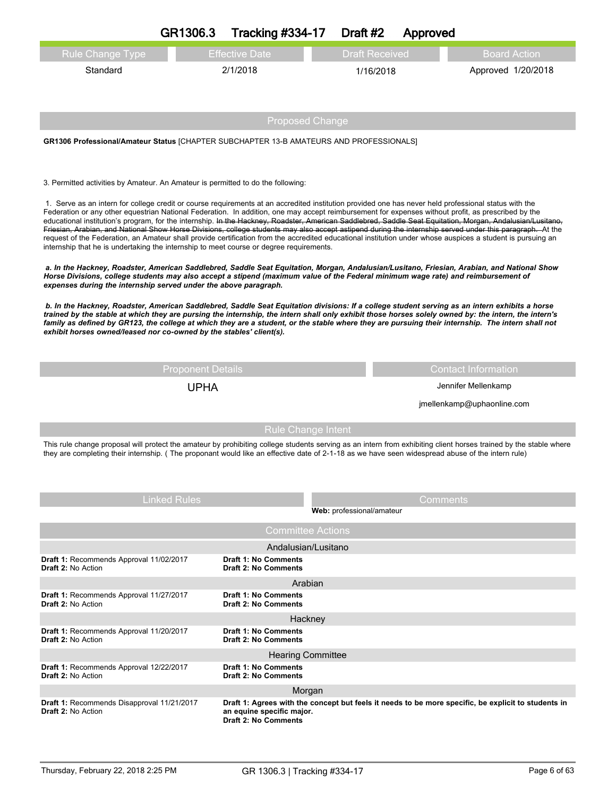|                                                                                                                                                                                                                                                                                                                                                                                                                                                                                                                                                                                                                                                                                                                                                                                                                                                                                                   | GR1306.3                                                                                | <b>Tracking #334-17</b>                                    | Draft #2                  | Approved                   |                                                                                                                                                                   |  |  |
|---------------------------------------------------------------------------------------------------------------------------------------------------------------------------------------------------------------------------------------------------------------------------------------------------------------------------------------------------------------------------------------------------------------------------------------------------------------------------------------------------------------------------------------------------------------------------------------------------------------------------------------------------------------------------------------------------------------------------------------------------------------------------------------------------------------------------------------------------------------------------------------------------|-----------------------------------------------------------------------------------------|------------------------------------------------------------|---------------------------|----------------------------|-------------------------------------------------------------------------------------------------------------------------------------------------------------------|--|--|
| <b>Rule Change Type</b>                                                                                                                                                                                                                                                                                                                                                                                                                                                                                                                                                                                                                                                                                                                                                                                                                                                                           |                                                                                         | <b>Effective Date</b>                                      | <b>Draft Received</b>     |                            | <b>Board Action</b>                                                                                                                                               |  |  |
| Standard                                                                                                                                                                                                                                                                                                                                                                                                                                                                                                                                                                                                                                                                                                                                                                                                                                                                                          |                                                                                         | 2/1/2018                                                   | 1/16/2018                 |                            | Approved 1/20/2018                                                                                                                                                |  |  |
|                                                                                                                                                                                                                                                                                                                                                                                                                                                                                                                                                                                                                                                                                                                                                                                                                                                                                                   |                                                                                         |                                                            |                           |                            |                                                                                                                                                                   |  |  |
|                                                                                                                                                                                                                                                                                                                                                                                                                                                                                                                                                                                                                                                                                                                                                                                                                                                                                                   |                                                                                         |                                                            |                           |                            |                                                                                                                                                                   |  |  |
| <b>Proposed Change</b>                                                                                                                                                                                                                                                                                                                                                                                                                                                                                                                                                                                                                                                                                                                                                                                                                                                                            |                                                                                         |                                                            |                           |                            |                                                                                                                                                                   |  |  |
|                                                                                                                                                                                                                                                                                                                                                                                                                                                                                                                                                                                                                                                                                                                                                                                                                                                                                                   | GR1306 Professional/Amateur Status [CHAPTER SUBCHAPTER 13-B AMATEURS AND PROFESSIONALS] |                                                            |                           |                            |                                                                                                                                                                   |  |  |
|                                                                                                                                                                                                                                                                                                                                                                                                                                                                                                                                                                                                                                                                                                                                                                                                                                                                                                   |                                                                                         |                                                            |                           |                            |                                                                                                                                                                   |  |  |
| 3. Permitted activities by Amateur. An Amateur is permitted to do the following:                                                                                                                                                                                                                                                                                                                                                                                                                                                                                                                                                                                                                                                                                                                                                                                                                  |                                                                                         |                                                            |                           |                            |                                                                                                                                                                   |  |  |
| 1. Serve as an intern for college credit or course requirements at an accredited institution provided one has never held professional status with the<br>Federation or any other equestrian National Federation. In addition, one may accept reimbursement for expenses without profit, as prescribed by the<br>educational institution's program, for the internship. In the Hackney, Roadster, American Saddlebred, Saddle Seat Equitation, Morgan, Andalusian/Lusitano,<br>Friesian, Arabian, and National Show Horse Divisions, college students may also accept astipend during the internship served under this paragraph. At the<br>request of the Federation, an Amateur shall provide certification from the accredited educational institution under whose auspices a student is pursuing an<br>internship that he is undertaking the internship to meet course or degree requirements. |                                                                                         |                                                            |                           |                            |                                                                                                                                                                   |  |  |
| a. In the Hackney, Roadster, American Saddlebred, Saddle Seat Equitation, Morgan, Andalusian/Lusitano, Friesian, Arabian, and National Show<br>Horse Divisions, college students may also accept a stipend (maximum value of the Federal minimum wage rate) and reimbursement of<br>expenses during the internship served under the above paragraph.                                                                                                                                                                                                                                                                                                                                                                                                                                                                                                                                              |                                                                                         |                                                            |                           |                            |                                                                                                                                                                   |  |  |
| b. In the Hackney, Roadster, American Saddlebred, Saddle Seat Equitation divisions: If a college student serving as an intern exhibits a horse<br>trained by the stable at which they are pursing the internship, the intern shall only exhibit those horses solely owned by: the intern, the intern's<br>family as defined by GR123, the college at which they are a student, or the stable where they are pursuing their internship. The intern shall not<br>exhibit horses owned/leased nor co-owned by the stables' client(s).                                                                                                                                                                                                                                                                                                                                                                |                                                                                         |                                                            |                           |                            |                                                                                                                                                                   |  |  |
|                                                                                                                                                                                                                                                                                                                                                                                                                                                                                                                                                                                                                                                                                                                                                                                                                                                                                                   | <b>Proponent Details</b>                                                                |                                                            |                           |                            | <b>Contact Information</b>                                                                                                                                        |  |  |
|                                                                                                                                                                                                                                                                                                                                                                                                                                                                                                                                                                                                                                                                                                                                                                                                                                                                                                   | <b>UPHA</b>                                                                             |                                                            |                           | Jennifer Mellenkamp        |                                                                                                                                                                   |  |  |
|                                                                                                                                                                                                                                                                                                                                                                                                                                                                                                                                                                                                                                                                                                                                                                                                                                                                                                   |                                                                                         |                                                            |                           | jmellenkamp@uphaonline.com |                                                                                                                                                                   |  |  |
|                                                                                                                                                                                                                                                                                                                                                                                                                                                                                                                                                                                                                                                                                                                                                                                                                                                                                                   |                                                                                         | <b>Rule Change Intent</b>                                  |                           |                            |                                                                                                                                                                   |  |  |
| they are completing their internship. (The proponant would like an effective date of 2-1-18 as we have seen widespread abuse of the intern rule)                                                                                                                                                                                                                                                                                                                                                                                                                                                                                                                                                                                                                                                                                                                                                  |                                                                                         |                                                            |                           |                            | This rule change proposal will protect the amateur by prohibiting college students serving as an intern from exhibiting client horses trained by the stable where |  |  |
|                                                                                                                                                                                                                                                                                                                                                                                                                                                                                                                                                                                                                                                                                                                                                                                                                                                                                                   | <b>Linked Rules</b>                                                                     |                                                            |                           | Comments                   |                                                                                                                                                                   |  |  |
|                                                                                                                                                                                                                                                                                                                                                                                                                                                                                                                                                                                                                                                                                                                                                                                                                                                                                                   |                                                                                         |                                                            | Web: professional/amateur |                            |                                                                                                                                                                   |  |  |
|                                                                                                                                                                                                                                                                                                                                                                                                                                                                                                                                                                                                                                                                                                                                                                                                                                                                                                   |                                                                                         | <b>Committee Actions</b>                                   |                           |                            |                                                                                                                                                                   |  |  |
| Draft 1: Recommends Approval 11/02/2017                                                                                                                                                                                                                                                                                                                                                                                                                                                                                                                                                                                                                                                                                                                                                                                                                                                           |                                                                                         | Andalusian/Lusitano<br><b>Draft 1: No Comments</b>         |                           |                            |                                                                                                                                                                   |  |  |
| <b>Draft 2: No Action</b>                                                                                                                                                                                                                                                                                                                                                                                                                                                                                                                                                                                                                                                                                                                                                                                                                                                                         |                                                                                         | <b>Draft 2: No Comments</b><br>Arabian                     |                           |                            |                                                                                                                                                                   |  |  |
| Draft 1: Recommends Approval 11/27/2017                                                                                                                                                                                                                                                                                                                                                                                                                                                                                                                                                                                                                                                                                                                                                                                                                                                           |                                                                                         | <b>Draft 1: No Comments</b>                                |                           |                            |                                                                                                                                                                   |  |  |
| <b>Draft 2: No Action</b>                                                                                                                                                                                                                                                                                                                                                                                                                                                                                                                                                                                                                                                                                                                                                                                                                                                                         |                                                                                         | <b>Draft 2: No Comments</b><br>Hackney                     |                           |                            |                                                                                                                                                                   |  |  |
| Draft 1: Recommends Approval 11/20/2017<br><b>Draft 2: No Action</b>                                                                                                                                                                                                                                                                                                                                                                                                                                                                                                                                                                                                                                                                                                                                                                                                                              |                                                                                         | <b>Draft 1: No Comments</b><br><b>Draft 2: No Comments</b> |                           |                            |                                                                                                                                                                   |  |  |
|                                                                                                                                                                                                                                                                                                                                                                                                                                                                                                                                                                                                                                                                                                                                                                                                                                                                                                   |                                                                                         | <b>Hearing Committee</b>                                   |                           |                            |                                                                                                                                                                   |  |  |
| Draft 1: Recommends Approval 12/22/2017<br><b>Draft 2: No Action</b>                                                                                                                                                                                                                                                                                                                                                                                                                                                                                                                                                                                                                                                                                                                                                                                                                              |                                                                                         | <b>Draft 1: No Comments</b><br><b>Draft 2: No Comments</b> |                           |                            |                                                                                                                                                                   |  |  |
|                                                                                                                                                                                                                                                                                                                                                                                                                                                                                                                                                                                                                                                                                                                                                                                                                                                                                                   |                                                                                         | Morgan                                                     |                           |                            |                                                                                                                                                                   |  |  |
| Draft 1: Recommends Disapproval 11/21/2017<br><b>Draft 2: No Action</b>                                                                                                                                                                                                                                                                                                                                                                                                                                                                                                                                                                                                                                                                                                                                                                                                                           |                                                                                         | an equine specific major.<br><b>Draft 2: No Comments</b>   |                           |                            | Draft 1: Agrees with the concept but feels it needs to be more specific, be explicit to students in                                                               |  |  |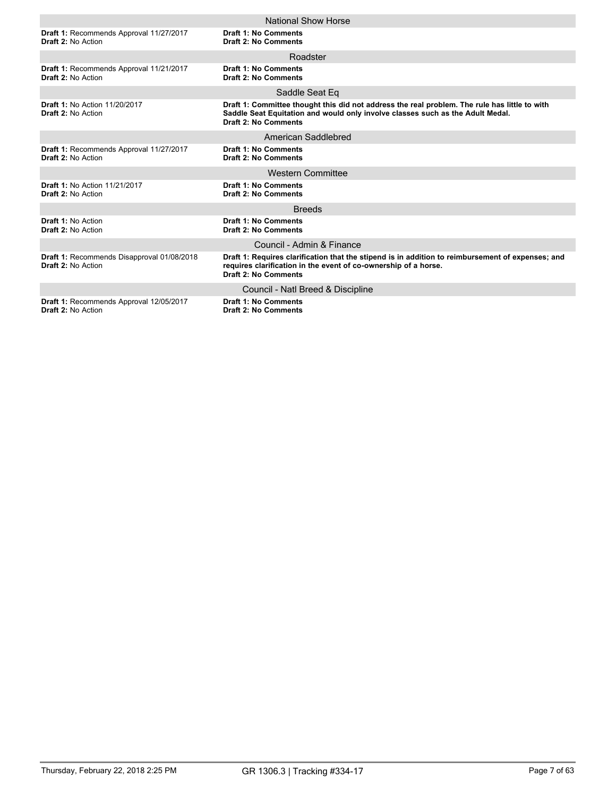|                                                                      | National Show Horse                                                                                                                                                                                            |
|----------------------------------------------------------------------|----------------------------------------------------------------------------------------------------------------------------------------------------------------------------------------------------------------|
|                                                                      |                                                                                                                                                                                                                |
| Draft 1: Recommends Approval 11/27/2017<br>Draft 2: No Action        | <b>Draft 1: No Comments</b><br><b>Draft 2: No Comments</b>                                                                                                                                                     |
|                                                                      | Roadster                                                                                                                                                                                                       |
| Draft 1: Recommends Approval 11/21/2017<br><b>Draft 2: No Action</b> | <b>Draft 1: No Comments</b><br>Draft 2: No Comments                                                                                                                                                            |
|                                                                      | Saddle Seat Eq                                                                                                                                                                                                 |
| <b>Draft 1: No Action 11/20/2017</b><br><b>Draft 2: No Action</b>    | Draft 1: Committee thought this did not address the real problem. The rule has little to with<br>Saddle Seat Equitation and would only involve classes such as the Adult Medal.<br><b>Draft 2: No Comments</b> |
|                                                                      | American Saddlebred                                                                                                                                                                                            |
| Draft 1: Recommends Approval 11/27/2017<br>Draft 2: No Action        | <b>Draft 1: No Comments</b><br><b>Draft 2: No Comments</b>                                                                                                                                                     |
|                                                                      | <b>Western Committee</b>                                                                                                                                                                                       |
| <b>Draft 1: No Action 11/21/2017</b><br>Draft 2: No Action           | Draft 1: No Comments<br><b>Draft 2: No Comments</b>                                                                                                                                                            |
|                                                                      | <b>Breeds</b>                                                                                                                                                                                                  |
| Draft 1: No Action<br><b>Draft 2: No Action</b>                      | <b>Draft 1: No Comments</b><br><b>Draft 2: No Comments</b>                                                                                                                                                     |
|                                                                      | Council - Admin & Finance                                                                                                                                                                                      |
| Draft 1: Recommends Disapproval 01/08/2018<br>Draft 2: No Action     | Draft 1: Requires clarification that the stipend is in addition to reimbursement of expenses; and<br>requires clarification in the event of co-ownership of a horse.<br><b>Draft 2: No Comments</b>            |
|                                                                      | Council - Natl Breed & Discipline                                                                                                                                                                              |
| Draft 1: Recommends Approval 12/05/2017<br><b>Draft 2: No Action</b> | <b>Draft 1: No Comments</b><br><b>Draft 2: No Comments</b>                                                                                                                                                     |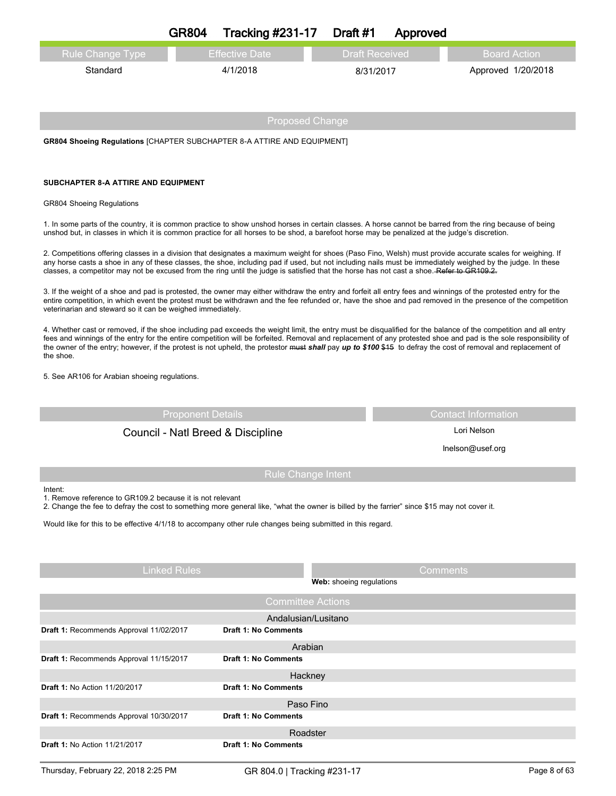|                                                                                                                                                                                                                                                                                                                                                                                                                                                                        | <b>GR804</b> | <b>Tracking #231-17</b> | Draft #1              | Approved |                     |  |
|------------------------------------------------------------------------------------------------------------------------------------------------------------------------------------------------------------------------------------------------------------------------------------------------------------------------------------------------------------------------------------------------------------------------------------------------------------------------|--------------|-------------------------|-----------------------|----------|---------------------|--|
| Rule Change Type                                                                                                                                                                                                                                                                                                                                                                                                                                                       |              | <b>Effective Date</b>   | <b>Draft Received</b> |          | <b>Board Action</b> |  |
| Standard                                                                                                                                                                                                                                                                                                                                                                                                                                                               |              | 4/1/2018                | 8/31/2017             |          | Approved 1/20/2018  |  |
|                                                                                                                                                                                                                                                                                                                                                                                                                                                                        |              | <b>Proposed Change</b>  |                       |          |                     |  |
| <b>GR804 Shoeing Regulations [CHAPTER SUBCHAPTER 8-A ATTIRE AND EQUIPMENT]</b>                                                                                                                                                                                                                                                                                                                                                                                         |              |                         |                       |          |                     |  |
| SUBCHAPTER 8-A ATTIRE AND EQUIPMENT                                                                                                                                                                                                                                                                                                                                                                                                                                    |              |                         |                       |          |                     |  |
| <b>GR804 Shoeing Regulations</b>                                                                                                                                                                                                                                                                                                                                                                                                                                       |              |                         |                       |          |                     |  |
| 1. In some parts of the country, it is common practice to show unshod horses in certain classes. A horse cannot be barred from the ring because of being<br>unshod but, in classes in which it is common practice for all horses to be shod, a barefoot horse may be penalized at the judge's discretion.                                                                                                                                                              |              |                         |                       |          |                     |  |
| 2. Competitions offering classes in a division that designates a maximum weight for shoes (Paso Fino, Welsh) must provide accurate scales for weighing. If<br>any horse casts a shoe in any of these classes, the shoe, including pad if used, but not including nails must be immediately weighed by the judge. In these<br>classes, a competitor may not be excused from the ring until the judge is satisfied that the horse has not cast a shoe. Refer to GR109.2. |              |                         |                       |          |                     |  |

3. If the weight of a shoe and pad is protested, the owner may either withdraw the entry and forfeit all entry fees and winnings of the protested entry for the entire competition, in which event the protest must be withdrawn and the fee refunded or, have the shoe and pad removed in the presence of the competition veterinarian and steward so it can be weighed immediately.

4. Whether cast or removed, if the shoe including pad exceeds the weight limit, the entry must be disqualified for the balance of the competition and all entry fees and winnings of the entry for the entire competition will be forfeited. Removal and replacement of any protested shoe and pad is the sole responsibility of the owner of the entry; however, if the protest is not upheld, the protestor must *shall* pay *up to \$100* \$15 to defray the cost of removal and replacement of the shoe.

5. See AR106 for Arabian shoeing regulations.

**Draft 1:** No Action 11/20/2017 **Draft 1: No Comments**

| <b>Proponent Details</b>                                                                                                                                                                                            |                             | <b>Contact Information</b> |
|---------------------------------------------------------------------------------------------------------------------------------------------------------------------------------------------------------------------|-----------------------------|----------------------------|
| Council - Natl Breed & Discipline                                                                                                                                                                                   |                             | Lori Nelson                |
|                                                                                                                                                                                                                     |                             | Inelson@usef.org           |
|                                                                                                                                                                                                                     | <b>Rule Change Intent</b>   |                            |
| Intent:<br>1. Remove reference to GR109.2 because it is not relevant<br>2. Change the fee to defray the cost to something more general like, "what the owner is billed by the farrier" since \$15 may not cover it. |                             |                            |
| Would like for this to be effective 4/1/18 to accompany other rule changes being submitted in this regard.                                                                                                          |                             |                            |
| <b>Linked Rules</b>                                                                                                                                                                                                 |                             | Comments                   |
|                                                                                                                                                                                                                     | Web: shoeing regulations    |                            |
|                                                                                                                                                                                                                     | <b>Committee Actions</b>    |                            |
|                                                                                                                                                                                                                     | Andalusian/Lusitano         |                            |
| Draft 1: Recommends Approval 11/02/2017                                                                                                                                                                             | <b>Draft 1: No Comments</b> |                            |
|                                                                                                                                                                                                                     | Arabian                     |                            |
| Draft 1: Recommends Approval 11/15/2017                                                                                                                                                                             | <b>Draft 1: No Comments</b> |                            |
|                                                                                                                                                                                                                     | Hackney                     |                            |

**Draft 1:** Recommends Approval 10/30/2017 **Draft 1: No Comments** Paso Fino **Draft 1:** No Action 11/21/2017 **Draft 1: No Comments** Roadster Thursday, February 22, 2018 2:25 PM GR 804.0 | Tracking #231-17 Page 8 of 63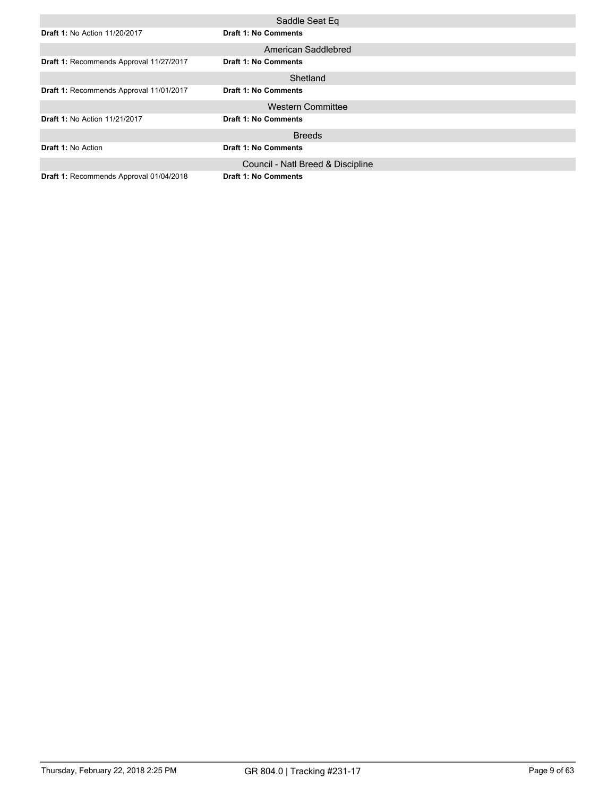|                                         | Saddle Seat Eq                    |
|-----------------------------------------|-----------------------------------|
| <b>Draft 1: No Action 11/20/2017</b>    | <b>Draft 1: No Comments</b>       |
|                                         | American Saddlebred               |
| Draft 1: Recommends Approval 11/27/2017 | <b>Draft 1: No Comments</b>       |
|                                         | Shetland                          |
| Draft 1: Recommends Approval 11/01/2017 | <b>Draft 1: No Comments</b>       |
|                                         | <b>Western Committee</b>          |
| <b>Draft 1: No Action 11/21/2017</b>    | <b>Draft 1: No Comments</b>       |
|                                         | <b>Breeds</b>                     |
| <b>Draft 1: No Action</b>               | <b>Draft 1: No Comments</b>       |
|                                         | Council - Natl Breed & Discipline |
| Draft 1: Recommends Approval 01/04/2018 | <b>Draft 1: No Comments</b>       |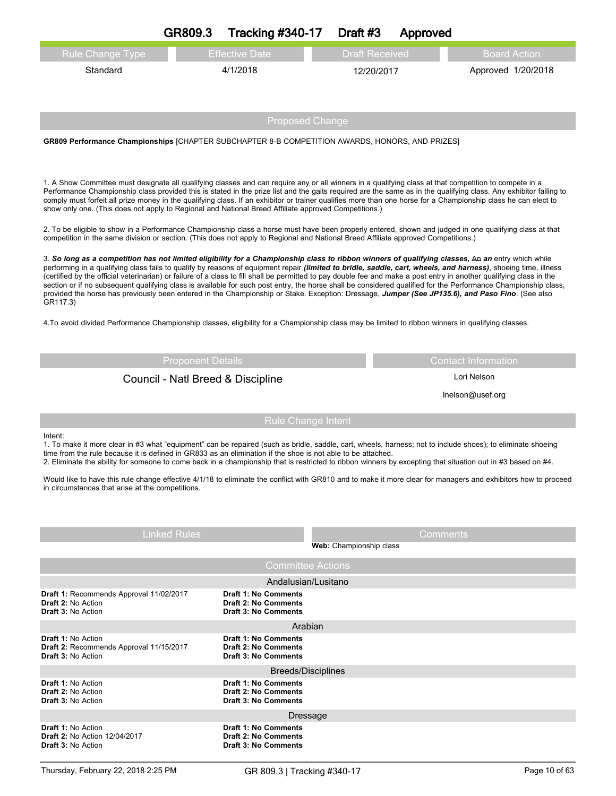| <b>Rule Change Type</b>                                                                    | <b>Effective Date</b>                                                                                                                                                                                                                                                                                                                                                                                                                                                                                                                                                                                                                                                                                                                                                                                             | <b>Draft Received</b>     | <b>Board Action</b>        |
|--------------------------------------------------------------------------------------------|-------------------------------------------------------------------------------------------------------------------------------------------------------------------------------------------------------------------------------------------------------------------------------------------------------------------------------------------------------------------------------------------------------------------------------------------------------------------------------------------------------------------------------------------------------------------------------------------------------------------------------------------------------------------------------------------------------------------------------------------------------------------------------------------------------------------|---------------------------|----------------------------|
| Standard                                                                                   | 4/1/2018                                                                                                                                                                                                                                                                                                                                                                                                                                                                                                                                                                                                                                                                                                                                                                                                          | 12/20/2017                | Approved 1/20/2018         |
|                                                                                            |                                                                                                                                                                                                                                                                                                                                                                                                                                                                                                                                                                                                                                                                                                                                                                                                                   |                           |                            |
|                                                                                            |                                                                                                                                                                                                                                                                                                                                                                                                                                                                                                                                                                                                                                                                                                                                                                                                                   |                           |                            |
|                                                                                            |                                                                                                                                                                                                                                                                                                                                                                                                                                                                                                                                                                                                                                                                                                                                                                                                                   | <b>Proposed Change</b>    |                            |
|                                                                                            | GR809 Performance Championships [CHAPTER SUBCHAPTER 8-B COMPETITION AWARDS, HONORS, AND PRIZES]                                                                                                                                                                                                                                                                                                                                                                                                                                                                                                                                                                                                                                                                                                                   |                           |                            |
|                                                                                            |                                                                                                                                                                                                                                                                                                                                                                                                                                                                                                                                                                                                                                                                                                                                                                                                                   |                           |                            |
|                                                                                            |                                                                                                                                                                                                                                                                                                                                                                                                                                                                                                                                                                                                                                                                                                                                                                                                                   |                           |                            |
|                                                                                            | 1. A Show Committee must designate all qualifying classes and can require any or all winners in a qualifying class at that competition to compete in a<br>Performance Championship class provided this is stated in the prize list and the gaits required are the same as in the qualifying class. Any exhibitor failing to<br>comply must forfeit all prize money in the qualifying class. If an exhibitor or trainer qualifies more than one horse for a Championship class he can elect to<br>show only one. (This does not apply to Regional and National Breed Affiliate approved Competitions.)                                                                                                                                                                                                             |                           |                            |
|                                                                                            | 2. To be eligible to show in a Performance Championship class a horse must have been properly entered, shown and judged in one qualifying class at that<br>competition in the same division or section. (This does not apply to Regional and National Breed Affiliate approved Competitions.)                                                                                                                                                                                                                                                                                                                                                                                                                                                                                                                     |                           |                            |
| GR117.3)                                                                                   | 3. So long as a competition has not limited eligibility for a Championship class to ribbon winners of qualifying classes, An an entry which while<br>performing in a qualifying class fails to qualify by reasons of equipment repair (limited to bridle, saddle, cart, wheels, and harness), shoeing time, illness<br>(certified by the official veterinarian) or failure of a class to fill shall be permitted to pay double fee and make a post entry in another qualifying class in the<br>section or if no subsequent qualifying class is available for such post entry, the horse shall be considered qualified for the Performance Championship class,<br>provided the horse has previously been entered in the Championship or Stake. Exception: Dressage, Jumper (See JP135.6), and Paso Fino. (See also |                           |                            |
|                                                                                            | 4. To avoid divided Performance Championship classes, eligibility for a Championship class may be limited to ribbon winners in qualifying classes.                                                                                                                                                                                                                                                                                                                                                                                                                                                                                                                                                                                                                                                                |                           |                            |
|                                                                                            | <b>Proponent Details</b>                                                                                                                                                                                                                                                                                                                                                                                                                                                                                                                                                                                                                                                                                                                                                                                          |                           | <b>Contact Information</b> |
|                                                                                            | Council - Natl Breed & Discipline                                                                                                                                                                                                                                                                                                                                                                                                                                                                                                                                                                                                                                                                                                                                                                                 |                           | Lori Nelson                |
|                                                                                            |                                                                                                                                                                                                                                                                                                                                                                                                                                                                                                                                                                                                                                                                                                                                                                                                                   |                           | Inelson@usef.org           |
|                                                                                            |                                                                                                                                                                                                                                                                                                                                                                                                                                                                                                                                                                                                                                                                                                                                                                                                                   |                           |                            |
|                                                                                            |                                                                                                                                                                                                                                                                                                                                                                                                                                                                                                                                                                                                                                                                                                                                                                                                                   | <b>Rule Change Intent</b> |                            |
| Intent:                                                                                    | 1. To make it more clear in #3 what "equipment" can be repaired (such as bridle, saddle, cart, wheels, harness; not to include shoes); to eliminate shoeing<br>time from the rule because it is defined in GR833 as an elimination if the shoe is not able to be attached.<br>2. Eliminate the ability for someone to come back in a championship that is restricted to ribbon winners by excepting that situation out in #3 based on #4.                                                                                                                                                                                                                                                                                                                                                                         |                           |                            |
| in circumstances that arise at the competitions.                                           | Would like to have this rule change effective 4/1/18 to eliminate the conflict with GR810 and to make it more clear for managers and exhibitors how to proceed                                                                                                                                                                                                                                                                                                                                                                                                                                                                                                                                                                                                                                                    |                           |                            |
|                                                                                            |                                                                                                                                                                                                                                                                                                                                                                                                                                                                                                                                                                                                                                                                                                                                                                                                                   |                           |                            |
|                                                                                            |                                                                                                                                                                                                                                                                                                                                                                                                                                                                                                                                                                                                                                                                                                                                                                                                                   |                           |                            |
| <b>Linked Rules</b>                                                                        |                                                                                                                                                                                                                                                                                                                                                                                                                                                                                                                                                                                                                                                                                                                                                                                                                   | Web: Championship class   | Comments                   |
|                                                                                            |                                                                                                                                                                                                                                                                                                                                                                                                                                                                                                                                                                                                                                                                                                                                                                                                                   | <b>Committee Actions</b>  |                            |
|                                                                                            |                                                                                                                                                                                                                                                                                                                                                                                                                                                                                                                                                                                                                                                                                                                                                                                                                   | Andalusian/Lusitano       |                            |
| Draft 1: Recommends Approval 11/02/2017<br>Draft 2: No Action<br><b>Draft 3: No Action</b> | <b>Draft 1: No Comments</b><br><b>Draft 2: No Comments</b><br><b>Draft 3: No Comments</b>                                                                                                                                                                                                                                                                                                                                                                                                                                                                                                                                                                                                                                                                                                                         |                           |                            |
|                                                                                            |                                                                                                                                                                                                                                                                                                                                                                                                                                                                                                                                                                                                                                                                                                                                                                                                                   | Arabian                   |                            |
| <b>Draft 1: No Action</b><br>Draft 2: Recommends Approval 11/15/2017                       | <b>Draft 1: No Comments</b><br><b>Draft 2: No Comments</b>                                                                                                                                                                                                                                                                                                                                                                                                                                                                                                                                                                                                                                                                                                                                                        |                           |                            |
| <b>Draft 3: No Action</b>                                                                  | <b>Draft 3: No Comments</b>                                                                                                                                                                                                                                                                                                                                                                                                                                                                                                                                                                                                                                                                                                                                                                                       |                           |                            |
|                                                                                            |                                                                                                                                                                                                                                                                                                                                                                                                                                                                                                                                                                                                                                                                                                                                                                                                                   | <b>Breeds/Disciplines</b> |                            |
| <b>Draft 1: No Action</b><br><b>Draft 2: No Action</b>                                     | <b>Draft 1: No Comments</b><br><b>Draft 2: No Comments</b>                                                                                                                                                                                                                                                                                                                                                                                                                                                                                                                                                                                                                                                                                                                                                        |                           |                            |
| <b>Draft 3: No Action</b>                                                                  | <b>Draft 3: No Comments</b>                                                                                                                                                                                                                                                                                                                                                                                                                                                                                                                                                                                                                                                                                                                                                                                       |                           |                            |
| <b>Draft 1: No Action</b>                                                                  | <b>Draft 1: No Comments</b>                                                                                                                                                                                                                                                                                                                                                                                                                                                                                                                                                                                                                                                                                                                                                                                       | <b>Dressage</b>           |                            |
| <b>Draft 2: No Action 12/04/2017</b><br><b>Draft 3: No Action</b>                          | <b>Draft 2: No Comments</b><br><b>Draft 3: No Comments</b>                                                                                                                                                                                                                                                                                                                                                                                                                                                                                                                                                                                                                                                                                                                                                        |                           |                            |
| Thursday, February 22, 2018 2:25 PM                                                        | GR 809.3   Tracking #340-17                                                                                                                                                                                                                                                                                                                                                                                                                                                                                                                                                                                                                                                                                                                                                                                       |                           | Page 10 of 63              |

**GR809.3 Tracking #340-17 Draft #3 Approved**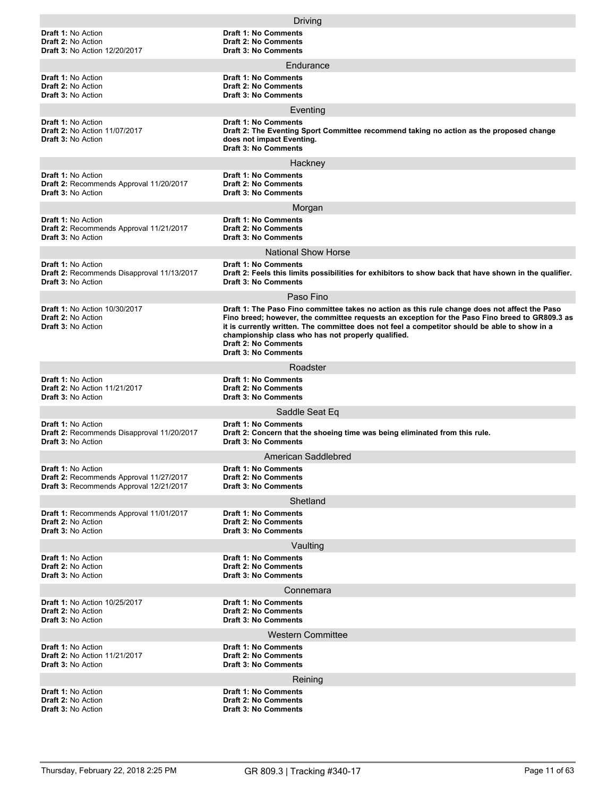|                                                                                                                 | Driving                                                                                                                                                                                                                                                                                                                                                                                                              |
|-----------------------------------------------------------------------------------------------------------------|----------------------------------------------------------------------------------------------------------------------------------------------------------------------------------------------------------------------------------------------------------------------------------------------------------------------------------------------------------------------------------------------------------------------|
| <b>Draft 1: No Action</b><br><b>Draft 2: No Action</b><br><b>Draft 3: No Action 12/20/2017</b>                  | <b>Draft 1: No Comments</b><br>Draft 2: No Comments<br><b>Draft 3: No Comments</b>                                                                                                                                                                                                                                                                                                                                   |
|                                                                                                                 | Endurance                                                                                                                                                                                                                                                                                                                                                                                                            |
| <b>Draft 1: No Action</b><br><b>Draft 2: No Action</b><br><b>Draft 3: No Action</b>                             | <b>Draft 1: No Comments</b><br><b>Draft 2: No Comments</b><br><b>Draft 3: No Comments</b>                                                                                                                                                                                                                                                                                                                            |
|                                                                                                                 | Eventing                                                                                                                                                                                                                                                                                                                                                                                                             |
| <b>Draft 1: No Action</b><br><b>Draft 2: No Action 11/07/2017</b><br><b>Draft 3: No Action</b>                  | <b>Draft 1: No Comments</b><br>Draft 2: The Eventing Sport Committee recommend taking no action as the proposed change<br>does not impact Eventing.<br><b>Draft 3: No Comments</b>                                                                                                                                                                                                                                   |
|                                                                                                                 | Hackney                                                                                                                                                                                                                                                                                                                                                                                                              |
| <b>Draft 1: No Action</b><br>Draft 2: Recommends Approval 11/20/2017<br><b>Draft 3: No Action</b>               | <b>Draft 1: No Comments</b><br><b>Draft 2: No Comments</b><br><b>Draft 3: No Comments</b>                                                                                                                                                                                                                                                                                                                            |
|                                                                                                                 | Morgan                                                                                                                                                                                                                                                                                                                                                                                                               |
| <b>Draft 1: No Action</b><br>Draft 2: Recommends Approval 11/21/2017<br><b>Draft 3: No Action</b>               | <b>Draft 1: No Comments</b><br><b>Draft 2: No Comments</b><br><b>Draft 3: No Comments</b>                                                                                                                                                                                                                                                                                                                            |
|                                                                                                                 | <b>National Show Horse</b>                                                                                                                                                                                                                                                                                                                                                                                           |
| <b>Draft 1: No Action</b><br>Draft 2: Recommends Disapproval 11/13/2017<br><b>Draft 3: No Action</b>            | <b>Draft 1: No Comments</b><br>Draft 2: Feels this limits possibilities for exhibitors to show back that have shown in the qualifier.<br><b>Draft 3: No Comments</b>                                                                                                                                                                                                                                                 |
|                                                                                                                 | Paso Fino                                                                                                                                                                                                                                                                                                                                                                                                            |
| <b>Draft 1: No Action 10/30/2017</b><br><b>Draft 2: No Action</b><br><b>Draft 3: No Action</b>                  | Draft 1: The Paso Fino committee takes no action as this rule change does not affect the Paso<br>Fino breed; however, the committee requests an exception for the Paso Fino breed to GR809.3 as<br>it is currently written. The committee does not feel a competitor should be able to show in a<br>championship class who has not properly qualified.<br><b>Draft 2: No Comments</b><br><b>Draft 3: No Comments</b> |
|                                                                                                                 | Roadster                                                                                                                                                                                                                                                                                                                                                                                                             |
| <b>Draft 1: No Action</b><br><b>Draft 2: No Action 11/21/2017</b><br><b>Draft 3: No Action</b>                  | <b>Draft 1: No Comments</b><br><b>Draft 2: No Comments</b><br><b>Draft 3: No Comments</b>                                                                                                                                                                                                                                                                                                                            |
|                                                                                                                 | Saddle Seat Eq                                                                                                                                                                                                                                                                                                                                                                                                       |
| <b>Draft 1: No Action</b><br>Draft 2: Recommends Disapproval 11/20/2017<br><b>Draft 3: No Action</b>            | <b>Draft 1: No Comments</b><br>Draft 2: Concern that the shoeing time was being eliminated from this rule.<br><b>Draft 3: No Comments</b>                                                                                                                                                                                                                                                                            |
|                                                                                                                 | American Saddlebred                                                                                                                                                                                                                                                                                                                                                                                                  |
| <b>Draft 1: No Action</b><br>Draft 2: Recommends Approval 11/27/2017<br>Draft 3: Recommends Approval 12/21/2017 | <b>Draft 1: No Comments</b><br><b>Draft 2: No Comments</b><br><b>Draft 3: No Comments</b>                                                                                                                                                                                                                                                                                                                            |
|                                                                                                                 | Shetland                                                                                                                                                                                                                                                                                                                                                                                                             |
| Draft 1: Recommends Approval 11/01/2017<br><b>Draft 2: No Action</b><br><b>Draft 3: No Action</b>               | Draft 1: No Comments<br><b>Draft 2: No Comments</b><br><b>Draft 3: No Comments</b>                                                                                                                                                                                                                                                                                                                                   |
|                                                                                                                 | Vaulting                                                                                                                                                                                                                                                                                                                                                                                                             |
| <b>Draft 1: No Action</b><br><b>Draft 2: No Action</b><br><b>Draft 3: No Action</b>                             | Draft 1: No Comments<br><b>Draft 2: No Comments</b><br><b>Draft 3: No Comments</b>                                                                                                                                                                                                                                                                                                                                   |
|                                                                                                                 | Connemara                                                                                                                                                                                                                                                                                                                                                                                                            |
| <b>Draft 1: No Action 10/25/2017</b><br><b>Draft 2: No Action</b><br><b>Draft 3: No Action</b>                  | <b>Draft 1: No Comments</b><br><b>Draft 2: No Comments</b><br><b>Draft 3: No Comments</b>                                                                                                                                                                                                                                                                                                                            |
|                                                                                                                 | <b>Western Committee</b>                                                                                                                                                                                                                                                                                                                                                                                             |
| <b>Draft 1: No Action</b><br>Draft 2: No Action 11/21/2017<br><b>Draft 3: No Action</b>                         | <b>Draft 1: No Comments</b><br><b>Draft 2: No Comments</b><br><b>Draft 3: No Comments</b>                                                                                                                                                                                                                                                                                                                            |
|                                                                                                                 | Reining                                                                                                                                                                                                                                                                                                                                                                                                              |
| <b>Draft 1: No Action</b><br><b>Draft 2: No Action</b><br><b>Draft 3: No Action</b>                             | <b>Draft 1: No Comments</b><br><b>Draft 2: No Comments</b><br><b>Draft 3: No Comments</b>                                                                                                                                                                                                                                                                                                                            |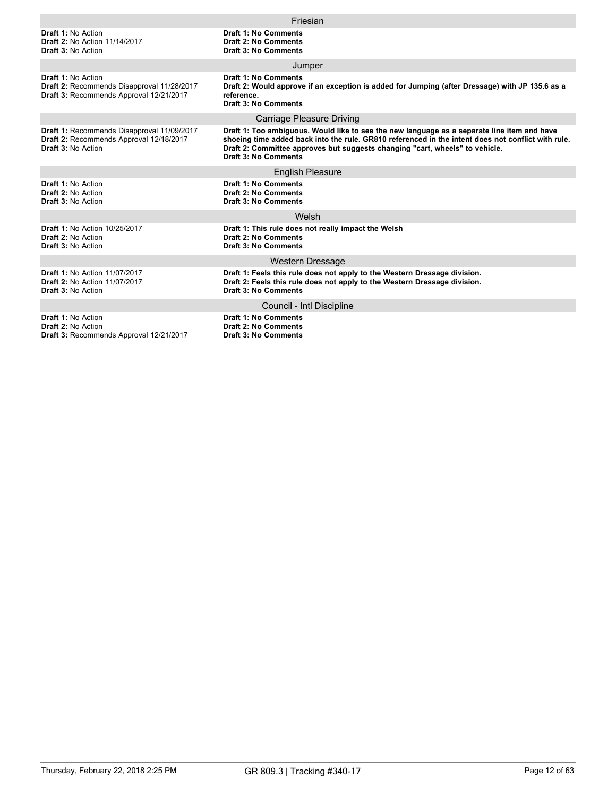|                                                                                                             | Friesian                                                                                                                                                                                                                                                                                                  |  |  |  |  |
|-------------------------------------------------------------------------------------------------------------|-----------------------------------------------------------------------------------------------------------------------------------------------------------------------------------------------------------------------------------------------------------------------------------------------------------|--|--|--|--|
| <b>Draft 1: No Action</b><br><b>Draft 2: No Action 11/14/2017</b><br><b>Draft 3: No Action</b>              | <b>Draft 1: No Comments</b><br><b>Draft 2: No Comments</b><br><b>Draft 3: No Comments</b>                                                                                                                                                                                                                 |  |  |  |  |
|                                                                                                             | Jumper                                                                                                                                                                                                                                                                                                    |  |  |  |  |
| Draft 1: No Action<br>Draft 2: Recommends Disapproval 11/28/2017<br>Draft 3: Recommends Approval 12/21/2017 | <b>Draft 1: No Comments</b><br>Draft 2: Would approve if an exception is added for Jumping (after Dressage) with JP 135.6 as a<br>reference.<br><b>Draft 3: No Comments</b>                                                                                                                               |  |  |  |  |
|                                                                                                             | <b>Carriage Pleasure Driving</b>                                                                                                                                                                                                                                                                          |  |  |  |  |
| Draft 1: Recommends Disapproval 11/09/2017<br>Draft 2: Recommends Approval 12/18/2017<br>Draft 3: No Action | Draft 1: Too ambiguous. Would like to see the new language as a separate line item and have<br>shoeing time added back into the rule. GR810 referenced in the intent does not conflict with rule.<br>Draft 2: Committee approves but suggests changing "cart, wheels" to vehicle.<br>Draft 3: No Comments |  |  |  |  |
|                                                                                                             | <b>English Pleasure</b>                                                                                                                                                                                                                                                                                   |  |  |  |  |
| Draft 1: No Action<br><b>Draft 2: No Action</b><br><b>Draft 3: No Action</b>                                | <b>Draft 1: No Comments</b><br><b>Draft 2: No Comments</b><br><b>Draft 3: No Comments</b>                                                                                                                                                                                                                 |  |  |  |  |
|                                                                                                             | Welsh                                                                                                                                                                                                                                                                                                     |  |  |  |  |
| <b>Draft 1: No Action 10/25/2017</b><br>Draft 2: No Action<br><b>Draft 3: No Action</b>                     | Draft 1: This rule does not really impact the Welsh<br><b>Draft 2: No Comments</b><br>Draft 3: No Comments                                                                                                                                                                                                |  |  |  |  |
|                                                                                                             | <b>Western Dressage</b>                                                                                                                                                                                                                                                                                   |  |  |  |  |
| <b>Draft 1: No Action 11/07/2017</b><br><b>Draft 2: No Action 11/07/2017</b><br><b>Draft 3: No Action</b>   | Draft 1: Feels this rule does not apply to the Western Dressage division.<br>Draft 2: Feels this rule does not apply to the Western Dressage division.<br><b>Draft 3: No Comments</b>                                                                                                                     |  |  |  |  |
|                                                                                                             | Council - Intl Discipline                                                                                                                                                                                                                                                                                 |  |  |  |  |
| Draft 1: No Action<br><b>Draft 2: No Action</b><br>Draft 3: Recommends Approval 12/21/2017                  | <b>Draft 1: No Comments</b><br><b>Draft 2: No Comments</b><br><b>Draft 3: No Comments</b>                                                                                                                                                                                                                 |  |  |  |  |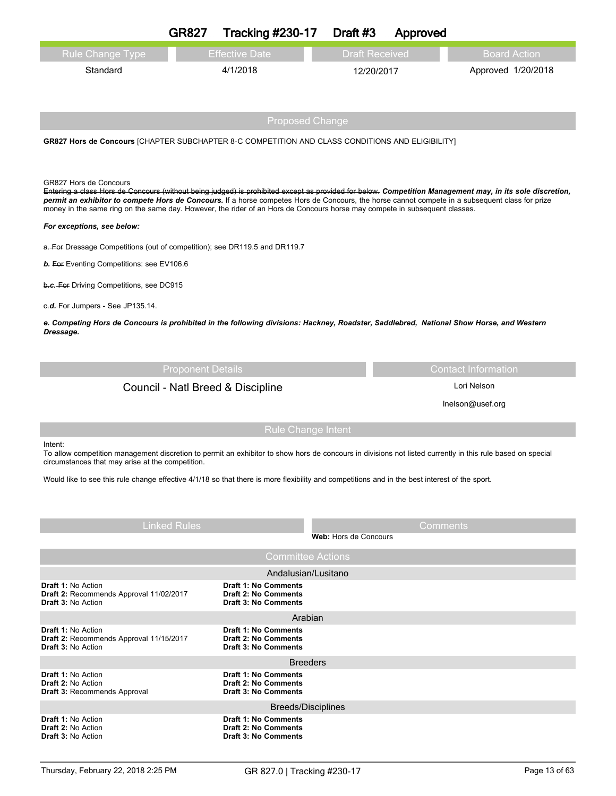|                                                                                                                                                                                                                                                                               | <b>GR827</b>             | <b>Tracking #230-17</b>                                    | Draft #3              | Approved |                                                                                                                                                          |  |
|-------------------------------------------------------------------------------------------------------------------------------------------------------------------------------------------------------------------------------------------------------------------------------|--------------------------|------------------------------------------------------------|-----------------------|----------|----------------------------------------------------------------------------------------------------------------------------------------------------------|--|
| <b>Rule Change Type</b>                                                                                                                                                                                                                                                       |                          | <b>Effective Date</b>                                      | <b>Draft Received</b> |          | <b>Board Action</b>                                                                                                                                      |  |
| Standard                                                                                                                                                                                                                                                                      |                          | 4/1/2018                                                   | 12/20/2017            |          | Approved 1/20/2018                                                                                                                                       |  |
|                                                                                                                                                                                                                                                                               |                          |                                                            |                       |          |                                                                                                                                                          |  |
|                                                                                                                                                                                                                                                                               |                          |                                                            |                       |          |                                                                                                                                                          |  |
|                                                                                                                                                                                                                                                                               |                          | <b>Proposed Change</b>                                     |                       |          |                                                                                                                                                          |  |
| GR827 Hors de Concours [CHAPTER SUBCHAPTER 8-C COMPETITION AND CLASS CONDITIONS AND ELIGIBILITY]                                                                                                                                                                              |                          |                                                            |                       |          |                                                                                                                                                          |  |
|                                                                                                                                                                                                                                                                               |                          |                                                            |                       |          |                                                                                                                                                          |  |
|                                                                                                                                                                                                                                                                               |                          |                                                            |                       |          |                                                                                                                                                          |  |
| GR827 Hors de Concours                                                                                                                                                                                                                                                        |                          |                                                            |                       |          | Entering a class Hors de Concours (without being judged) is prohibited except as provided for below. Competition Management may, in its sole discretion, |  |
| permit an exhibitor to compete Hors de Concours. If a horse competes Hors de Concours, the horse cannot compete in a subsequent class for prize<br>money in the same ring on the same day. However, the rider of an Hors de Concours horse may compete in subsequent classes. |                          |                                                            |                       |          |                                                                                                                                                          |  |
| For exceptions, see below:                                                                                                                                                                                                                                                    |                          |                                                            |                       |          |                                                                                                                                                          |  |
| a. For Dressage Competitions (out of competition); see DR119.5 and DR119.7                                                                                                                                                                                                    |                          |                                                            |                       |          |                                                                                                                                                          |  |
| b. For Eventing Competitions: see EV106.6                                                                                                                                                                                                                                     |                          |                                                            |                       |          |                                                                                                                                                          |  |
| b.c. For Driving Competitions, see DC915                                                                                                                                                                                                                                      |                          |                                                            |                       |          |                                                                                                                                                          |  |
| c.d. For Jumpers - See JP135.14.                                                                                                                                                                                                                                              |                          |                                                            |                       |          |                                                                                                                                                          |  |
| e. Competing Hors de Concours is prohibited in the following divisions: Hackney, Roadster, Saddlebred, National Show Horse, and Western                                                                                                                                       |                          |                                                            |                       |          |                                                                                                                                                          |  |
| Dressage.                                                                                                                                                                                                                                                                     |                          |                                                            |                       |          |                                                                                                                                                          |  |
|                                                                                                                                                                                                                                                                               |                          |                                                            |                       |          |                                                                                                                                                          |  |
|                                                                                                                                                                                                                                                                               | <b>Proponent Details</b> |                                                            |                       |          | <b>Contact Information</b>                                                                                                                               |  |
| Lori Nelson<br>Council - Natl Breed & Discipline                                                                                                                                                                                                                              |                          |                                                            |                       |          |                                                                                                                                                          |  |
|                                                                                                                                                                                                                                                                               |                          |                                                            |                       |          |                                                                                                                                                          |  |
|                                                                                                                                                                                                                                                                               |                          |                                                            |                       |          | Inelson@usef.org                                                                                                                                         |  |
|                                                                                                                                                                                                                                                                               |                          | Rule Change Intent                                         |                       |          |                                                                                                                                                          |  |
| Intent:<br>To allow competition management discretion to permit an exhibitor to show hors de concours in divisions not listed currently in this rule based on special<br>circumstances that may arise at the competition.                                                     |                          |                                                            |                       |          |                                                                                                                                                          |  |
|                                                                                                                                                                                                                                                                               |                          |                                                            |                       |          |                                                                                                                                                          |  |
| Would like to see this rule change effective 4/1/18 so that there is more flexibility and competitions and in the best interest of the sport.                                                                                                                                 |                          |                                                            |                       |          |                                                                                                                                                          |  |
|                                                                                                                                                                                                                                                                               |                          |                                                            |                       |          |                                                                                                                                                          |  |
|                                                                                                                                                                                                                                                                               | <b>Linked Rules</b>      |                                                            |                       | Comments |                                                                                                                                                          |  |
|                                                                                                                                                                                                                                                                               |                          |                                                            | Web: Hors de Concours |          |                                                                                                                                                          |  |
|                                                                                                                                                                                                                                                                               |                          | <b>Committee Actions</b>                                   |                       |          |                                                                                                                                                          |  |
| Draft 1: No Action                                                                                                                                                                                                                                                            |                          | Andalusian/Lusitano<br>Draft 1: No Comments                |                       |          |                                                                                                                                                          |  |
| Draft 2: Recommends Approval 11/02/2017<br><b>Draft 3: No Action</b>                                                                                                                                                                                                          |                          | <b>Draft 2: No Comments</b><br><b>Draft 3: No Comments</b> |                       |          |                                                                                                                                                          |  |
|                                                                                                                                                                                                                                                                               |                          | Arabian                                                    |                       |          |                                                                                                                                                          |  |
| Draft 1: No Action<br>Draft 2: Recommends Approval 11/15/2017                                                                                                                                                                                                                 |                          | <b>Draft 1: No Comments</b><br><b>Draft 2: No Comments</b> |                       |          |                                                                                                                                                          |  |
| <b>Draft 3: No Action</b>                                                                                                                                                                                                                                                     |                          | <b>Draft 3: No Comments</b><br><b>Breeders</b>             |                       |          |                                                                                                                                                          |  |
| <b>Draft 1: No Action</b>                                                                                                                                                                                                                                                     |                          | <b>Draft 1: No Comments</b>                                |                       |          |                                                                                                                                                          |  |
| <b>Draft 2: No Action</b><br><b>Draft 3: Recommends Approval</b>                                                                                                                                                                                                              |                          | <b>Draft 2: No Comments</b><br><b>Draft 3: No Comments</b> |                       |          |                                                                                                                                                          |  |
|                                                                                                                                                                                                                                                                               |                          | <b>Breeds/Disciplines</b>                                  |                       |          |                                                                                                                                                          |  |
| <b>Draft 1: No Action</b><br><b>Draft 2: No Action</b>                                                                                                                                                                                                                        |                          | Draft 1: No Comments<br><b>Draft 2: No Comments</b>        |                       |          |                                                                                                                                                          |  |
| <b>Draft 3: No Action</b>                                                                                                                                                                                                                                                     |                          | <b>Draft 3: No Comments</b>                                |                       |          |                                                                                                                                                          |  |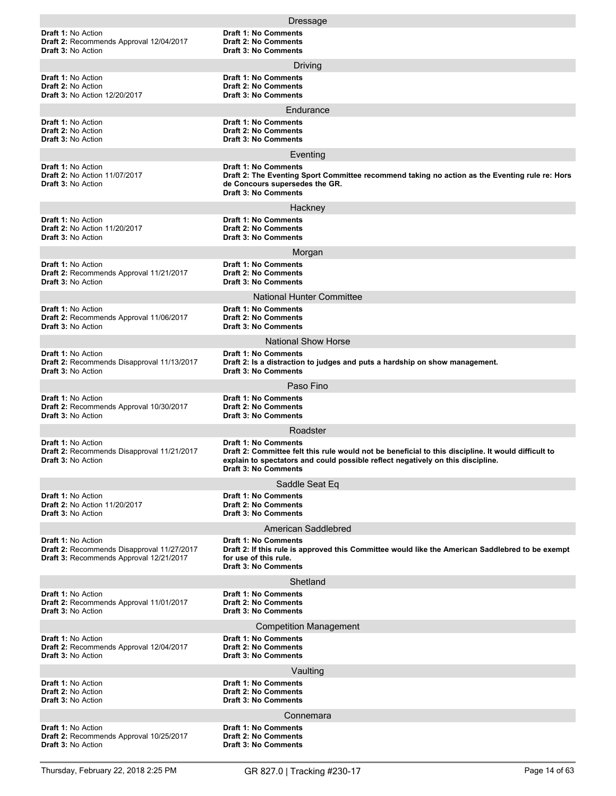|                                                                                                                    | Dressage                                                                                                                                                                                                                                             |
|--------------------------------------------------------------------------------------------------------------------|------------------------------------------------------------------------------------------------------------------------------------------------------------------------------------------------------------------------------------------------------|
| Draft 1: No Action<br>Draft 2: Recommends Approval 12/04/2017<br><b>Draft 3: No Action</b>                         | <b>Draft 1: No Comments</b><br><b>Draft 2: No Comments</b><br><b>Draft 3: No Comments</b>                                                                                                                                                            |
|                                                                                                                    | Driving                                                                                                                                                                                                                                              |
| <b>Draft 1: No Action</b><br><b>Draft 2: No Action</b><br><b>Draft 3: No Action 12/20/2017</b>                     | <b>Draft 1: No Comments</b><br><b>Draft 2: No Comments</b><br><b>Draft 3: No Comments</b>                                                                                                                                                            |
|                                                                                                                    | Endurance                                                                                                                                                                                                                                            |
| <b>Draft 1: No Action</b><br><b>Draft 2: No Action</b><br><b>Draft 3: No Action</b>                                | Draft 1: No Comments<br><b>Draft 2: No Comments</b><br><b>Draft 3: No Comments</b>                                                                                                                                                                   |
|                                                                                                                    | Eventing                                                                                                                                                                                                                                             |
| <b>Draft 1: No Action</b><br><b>Draft 2: No Action 11/07/2017</b><br><b>Draft 3: No Action</b>                     | <b>Draft 1: No Comments</b><br>Draft 2: The Eventing Sport Committee recommend taking no action as the Eventing rule re: Hors<br>de Concours supersedes the GR.<br><b>Draft 3: No Comments</b>                                                       |
|                                                                                                                    | Hackney                                                                                                                                                                                                                                              |
| Draft 1: No Action<br><b>Draft 2: No Action 11/20/2017</b><br><b>Draft 3: No Action</b>                            | <b>Draft 1: No Comments</b><br><b>Draft 2: No Comments</b><br><b>Draft 3: No Comments</b>                                                                                                                                                            |
|                                                                                                                    | Morgan                                                                                                                                                                                                                                               |
| <b>Draft 1: No Action</b><br>Draft 2: Recommends Approval 11/21/2017<br><b>Draft 3: No Action</b>                  | <b>Draft 1: No Comments</b><br><b>Draft 2: No Comments</b><br><b>Draft 3: No Comments</b>                                                                                                                                                            |
|                                                                                                                    | <b>National Hunter Committee</b>                                                                                                                                                                                                                     |
| <b>Draft 1: No Action</b><br>Draft 2: Recommends Approval 11/06/2017<br><b>Draft 3: No Action</b>                  | <b>Draft 1: No Comments</b><br><b>Draft 2: No Comments</b><br><b>Draft 3: No Comments</b>                                                                                                                                                            |
|                                                                                                                    | <b>National Show Horse</b>                                                                                                                                                                                                                           |
| <b>Draft 1: No Action</b><br>Draft 2: Recommends Disapproval 11/13/2017<br><b>Draft 3: No Action</b>               | <b>Draft 1: No Comments</b><br>Draft 2: Is a distraction to judges and puts a hardship on show management.<br><b>Draft 3: No Comments</b>                                                                                                            |
|                                                                                                                    | Paso Fino                                                                                                                                                                                                                                            |
| <b>Draft 1: No Action</b><br>Draft 2: Recommends Approval 10/30/2017<br><b>Draft 3: No Action</b>                  | <b>Draft 1: No Comments</b><br><b>Draft 2: No Comments</b><br><b>Draft 3: No Comments</b>                                                                                                                                                            |
|                                                                                                                    | Roadster                                                                                                                                                                                                                                             |
| <b>Draft 1: No Action</b><br>Draft 2: Recommends Disapproval 11/21/2017<br><b>Draft 3: No Action</b>               | <b>Draft 1: No Comments</b><br>Draft 2: Committee felt this rule would not be beneficial to this discipline. It would difficult to<br>explain to spectators and could possible reflect negatively on this discipline.<br><b>Draft 3: No Comments</b> |
|                                                                                                                    | Saddle Seat Eq                                                                                                                                                                                                                                       |
| <b>Draft 1: No Action</b><br><b>Draft 2: No Action 11/20/2017</b><br><b>Draft 3: No Action</b>                     | <b>Draft 1: No Comments</b><br><b>Draft 2: No Comments</b><br><b>Draft 3: No Comments</b>                                                                                                                                                            |
|                                                                                                                    | American Saddlebred                                                                                                                                                                                                                                  |
| <b>Draft 1: No Action</b><br>Draft 2: Recommends Disapproval 11/27/2017<br>Draft 3: Recommends Approval 12/21/2017 | <b>Draft 1: No Comments</b><br>Draft 2: If this rule is approved this Committee would like the American Saddlebred to be exempt<br>for use of this rule.<br><b>Draft 3: No Comments</b>                                                              |
|                                                                                                                    | Shetland                                                                                                                                                                                                                                             |
| <b>Draft 1: No Action</b><br>Draft 2: Recommends Approval 11/01/2017<br><b>Draft 3: No Action</b>                  | <b>Draft 1: No Comments</b><br><b>Draft 2: No Comments</b><br><b>Draft 3: No Comments</b>                                                                                                                                                            |
|                                                                                                                    | <b>Competition Management</b>                                                                                                                                                                                                                        |
| <b>Draft 1: No Action</b><br>Draft 2: Recommends Approval 12/04/2017<br><b>Draft 3: No Action</b>                  | <b>Draft 1: No Comments</b><br><b>Draft 2: No Comments</b><br><b>Draft 3: No Comments</b>                                                                                                                                                            |
|                                                                                                                    | Vaulting                                                                                                                                                                                                                                             |
| <b>Draft 1: No Action</b><br><b>Draft 2: No Action</b><br><b>Draft 3: No Action</b>                                | <b>Draft 1: No Comments</b><br><b>Draft 2: No Comments</b><br><b>Draft 3: No Comments</b>                                                                                                                                                            |
|                                                                                                                    | Connemara                                                                                                                                                                                                                                            |
| <b>Draft 1: No Action</b><br>Draft 2: Recommends Approval 10/25/2017<br><b>Draft 3: No Action</b>                  | <b>Draft 1: No Comments</b><br><b>Draft 2: No Comments</b><br><b>Draft 3: No Comments</b>                                                                                                                                                            |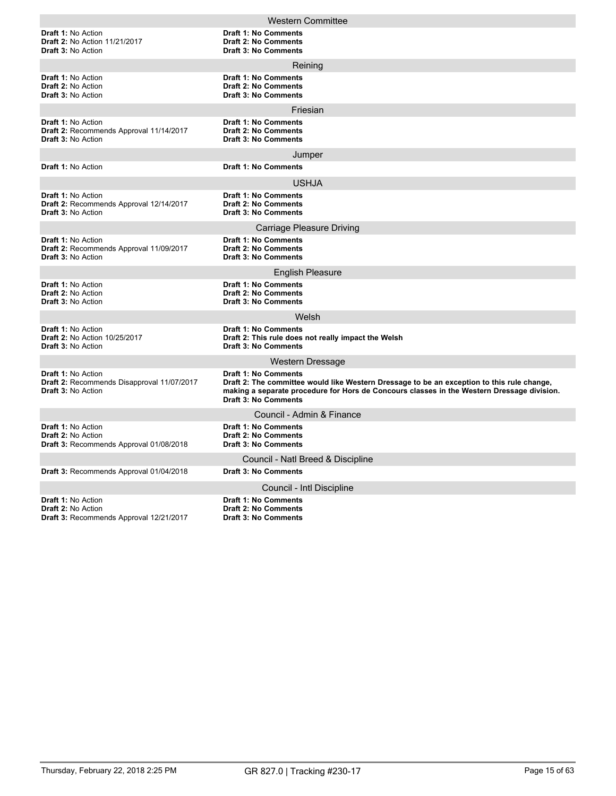|                                                                                                      | <b>Western Committee</b>                                                                                                                                                                                                                        |  |  |  |  |
|------------------------------------------------------------------------------------------------------|-------------------------------------------------------------------------------------------------------------------------------------------------------------------------------------------------------------------------------------------------|--|--|--|--|
| <b>Draft 1: No Action</b><br><b>Draft 2: No Action 11/21/2017</b><br><b>Draft 3: No Action</b>       | <b>Draft 1: No Comments</b><br><b>Draft 2: No Comments</b><br><b>Draft 3: No Comments</b>                                                                                                                                                       |  |  |  |  |
|                                                                                                      | Reining                                                                                                                                                                                                                                         |  |  |  |  |
| <b>Draft 1: No Action</b><br><b>Draft 2: No Action</b><br><b>Draft 3: No Action</b>                  | <b>Draft 1: No Comments</b><br><b>Draft 2: No Comments</b><br><b>Draft 3: No Comments</b>                                                                                                                                                       |  |  |  |  |
|                                                                                                      | Friesian                                                                                                                                                                                                                                        |  |  |  |  |
| Draft 1: No Action<br>Draft 2: Recommends Approval 11/14/2017<br><b>Draft 3: No Action</b>           | Draft 1: No Comments<br><b>Draft 2: No Comments</b><br><b>Draft 3: No Comments</b>                                                                                                                                                              |  |  |  |  |
|                                                                                                      | Jumper                                                                                                                                                                                                                                          |  |  |  |  |
| <b>Draft 1: No Action</b>                                                                            | <b>Draft 1: No Comments</b>                                                                                                                                                                                                                     |  |  |  |  |
|                                                                                                      | USHJA                                                                                                                                                                                                                                           |  |  |  |  |
| <b>Draft 1: No Action</b><br>Draft 2: Recommends Approval 12/14/2017<br>Draft 3: No Action           | <b>Draft 1: No Comments</b><br><b>Draft 2: No Comments</b><br><b>Draft 3: No Comments</b>                                                                                                                                                       |  |  |  |  |
|                                                                                                      | Carriage Pleasure Driving                                                                                                                                                                                                                       |  |  |  |  |
| Draft 1: No Action<br>Draft 2: Recommends Approval 11/09/2017<br><b>Draft 3: No Action</b>           | Draft 1: No Comments<br><b>Draft 2: No Comments</b><br><b>Draft 3: No Comments</b>                                                                                                                                                              |  |  |  |  |
|                                                                                                      | <b>English Pleasure</b>                                                                                                                                                                                                                         |  |  |  |  |
| <b>Draft 1: No Action</b><br>Draft 2: No Action<br>Draft 3: No Action                                | <b>Draft 1: No Comments</b><br><b>Draft 2: No Comments</b><br><b>Draft 3: No Comments</b>                                                                                                                                                       |  |  |  |  |
|                                                                                                      | Welsh                                                                                                                                                                                                                                           |  |  |  |  |
| Draft 1: No Action<br><b>Draft 2: No Action 10/25/2017</b><br><b>Draft 3: No Action</b>              | Draft 1: No Comments<br>Draft 2: This rule does not really impact the Welsh<br><b>Draft 3: No Comments</b>                                                                                                                                      |  |  |  |  |
|                                                                                                      | Western Dressage                                                                                                                                                                                                                                |  |  |  |  |
| <b>Draft 1: No Action</b><br>Draft 2: Recommends Disapproval 11/07/2017<br><b>Draft 3: No Action</b> | Draft 1: No Comments<br>Draft 2: The committee would like Western Dressage to be an exception to this rule change,<br>making a separate procedure for Hors de Concours classes in the Western Dressage division.<br><b>Draft 3: No Comments</b> |  |  |  |  |
|                                                                                                      | Council - Admin & Finance                                                                                                                                                                                                                       |  |  |  |  |
| <b>Draft 1: No Action</b><br>Draft 2: No Action<br>Draft 3: Recommends Approval 01/08/2018           | <b>Draft 1: No Comments</b><br><b>Draft 2: No Comments</b><br><b>Draft 3: No Comments</b>                                                                                                                                                       |  |  |  |  |
|                                                                                                      | Council - Natl Breed & Discipline                                                                                                                                                                                                               |  |  |  |  |
| Draft 3: Recommends Approval 01/04/2018                                                              | <b>Draft 3: No Comments</b>                                                                                                                                                                                                                     |  |  |  |  |
|                                                                                                      | Council - Intl Discipline                                                                                                                                                                                                                       |  |  |  |  |
| <b>Draft 1: No Action</b><br>Draft 2: No Action<br><b>Draft 3: Recommends Approval 12/21/2017</b>    | <b>Draft 1: No Comments</b><br><b>Draft 2: No Comments</b><br><b>Draft 3: No Comments</b>                                                                                                                                                       |  |  |  |  |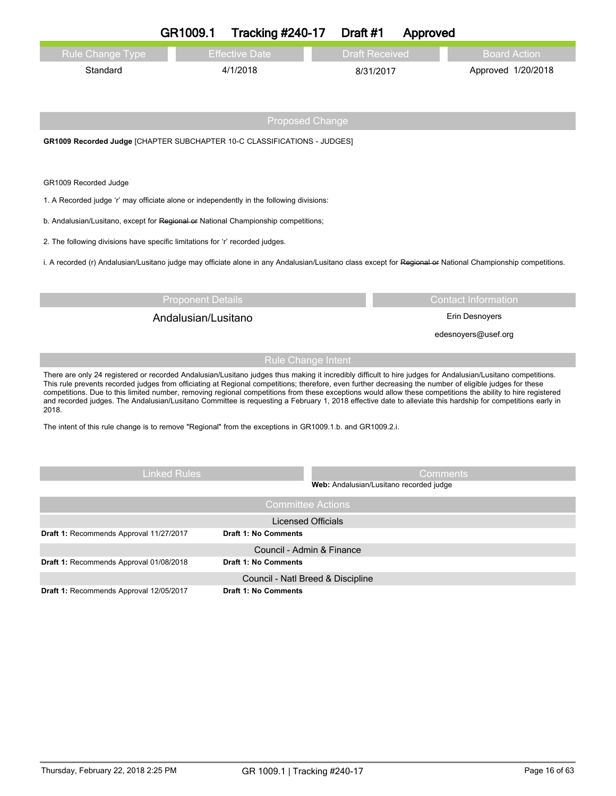|                                                                                                                                                                                                                                                                                                                          | GR1009.1                 | <b>Tracking #240-17</b>                                  | Draft #1                                | Approved |                            |
|--------------------------------------------------------------------------------------------------------------------------------------------------------------------------------------------------------------------------------------------------------------------------------------------------------------------------|--------------------------|----------------------------------------------------------|-----------------------------------------|----------|----------------------------|
| <b>Rule Change Type</b>                                                                                                                                                                                                                                                                                                  |                          | <b>Effective Date</b>                                    | <b>Draft Received</b>                   |          | <b>Board Action</b>        |
| Standard                                                                                                                                                                                                                                                                                                                 |                          | 4/1/2018                                                 | 8/31/2017                               |          | Approved 1/20/2018         |
|                                                                                                                                                                                                                                                                                                                          |                          |                                                          |                                         |          |                            |
|                                                                                                                                                                                                                                                                                                                          |                          |                                                          |                                         |          |                            |
|                                                                                                                                                                                                                                                                                                                          |                          | <b>Proposed Change</b>                                   |                                         |          |                            |
| GR1009 Recorded Judge [CHAPTER SUBCHAPTER 10-C CLASSIFICATIONS - JUDGES]                                                                                                                                                                                                                                                 |                          |                                                          |                                         |          |                            |
|                                                                                                                                                                                                                                                                                                                          |                          |                                                          |                                         |          |                            |
| GR1009 Recorded Judge                                                                                                                                                                                                                                                                                                    |                          |                                                          |                                         |          |                            |
| 1. A Recorded judge 'r' may officiate alone or independently in the following divisions:                                                                                                                                                                                                                                 |                          |                                                          |                                         |          |                            |
| b. Andalusian/Lusitano, except for Regional or National Championship competitions;                                                                                                                                                                                                                                       |                          |                                                          |                                         |          |                            |
| 2. The following divisions have specific limitations for 'r' recorded judges.                                                                                                                                                                                                                                            |                          |                                                          |                                         |          |                            |
| i. A recorded (r) Andalusian/Lusitano judge may officiate alone in any Andalusian/Lusitano class except for Regional or National Championship competitions.                                                                                                                                                              |                          |                                                          |                                         |          |                            |
|                                                                                                                                                                                                                                                                                                                          |                          |                                                          |                                         |          |                            |
|                                                                                                                                                                                                                                                                                                                          | <b>Proponent Details</b> |                                                          |                                         |          | <b>Contact Information</b> |
| Andalusian/Lusitano<br>Erin Desnoyers                                                                                                                                                                                                                                                                                    |                          |                                                          |                                         |          |                            |
|                                                                                                                                                                                                                                                                                                                          |                          |                                                          |                                         |          | edesnoyers@usef.org        |
|                                                                                                                                                                                                                                                                                                                          |                          | <b>Rule Change Intent</b>                                |                                         |          |                            |
| There are only 24 registered or recorded Andalusian/Lusitano judges thus making it incredibly difficult to hire judges for Andalusian/Lusitano competitions.                                                                                                                                                             |                          |                                                          |                                         |          |                            |
| This rule prevents recorded judges from officiating at Regional competitions; therefore, even further decreasing the number of eligible judges for these<br>competitions. Due to this limited number, removing regional competitions from these exceptions would allow these competitions the ability to hire registered |                          |                                                          |                                         |          |                            |
| and recorded judges. The Andalusian/Lusitano Committee is requesting a February 1, 2018 effective date to alleviate this hardship for competitions early in<br>2018.                                                                                                                                                     |                          |                                                          |                                         |          |                            |
| The intent of this rule change is to remove "Regional" from the exceptions in GR1009.1.b. and GR1009.2.i.                                                                                                                                                                                                                |                          |                                                          |                                         |          |                            |
|                                                                                                                                                                                                                                                                                                                          |                          |                                                          |                                         |          |                            |
|                                                                                                                                                                                                                                                                                                                          |                          |                                                          |                                         |          |                            |
|                                                                                                                                                                                                                                                                                                                          | Linked Rules             |                                                          | Web: Andalusian/Lusitano recorded judge | Comments |                            |
|                                                                                                                                                                                                                                                                                                                          |                          | <b>Committee Actions</b>                                 |                                         |          |                            |
|                                                                                                                                                                                                                                                                                                                          |                          |                                                          |                                         |          |                            |
|                                                                                                                                                                                                                                                                                                                          |                          | <b>Licensed Officials</b>                                |                                         |          |                            |
| Draft 1: Recommends Approval 11/27/2017                                                                                                                                                                                                                                                                                  |                          | Draft 1: No Comments                                     |                                         |          |                            |
| Draft 1: Recommends Approval 01/08/2018                                                                                                                                                                                                                                                                                  |                          | Council - Admin & Finance<br><b>Draft 1: No Comments</b> |                                         |          |                            |
|                                                                                                                                                                                                                                                                                                                          |                          | Council - Natl Breed & Discipline                        |                                         |          |                            |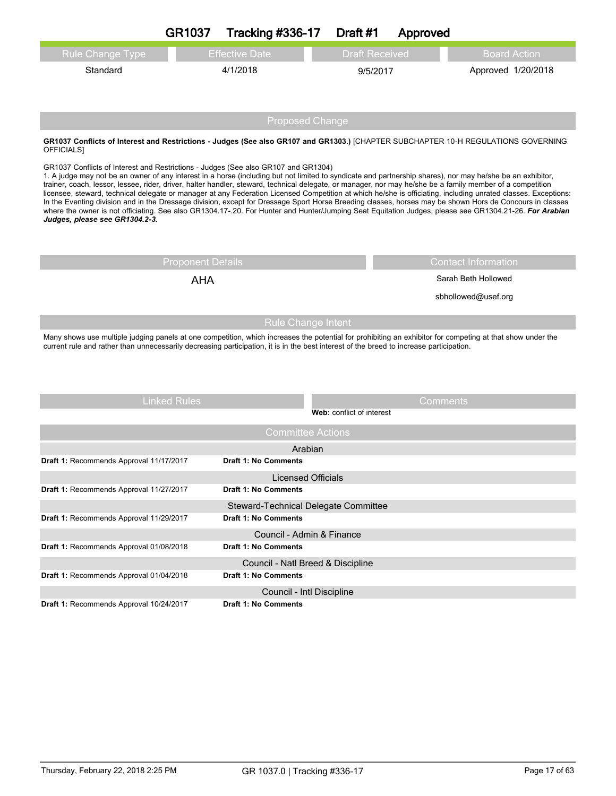|                                                                                                                                                                                                                                                                                                                                                                                                                                                  | <b>GR1037</b>            | <b>Tracking #336-17</b>                                      | Draft #1                  | Approved              |                                                                                                                                                                                                                                                                                                                                                                                                                                                                                      |
|--------------------------------------------------------------------------------------------------------------------------------------------------------------------------------------------------------------------------------------------------------------------------------------------------------------------------------------------------------------------------------------------------------------------------------------------------|--------------------------|--------------------------------------------------------------|---------------------------|-----------------------|--------------------------------------------------------------------------------------------------------------------------------------------------------------------------------------------------------------------------------------------------------------------------------------------------------------------------------------------------------------------------------------------------------------------------------------------------------------------------------------|
| Rule Change Type                                                                                                                                                                                                                                                                                                                                                                                                                                 |                          | <b>Effective Date</b>                                        |                           | <b>Draft Received</b> | <b>Board Action</b>                                                                                                                                                                                                                                                                                                                                                                                                                                                                  |
| Standard                                                                                                                                                                                                                                                                                                                                                                                                                                         |                          | 4/1/2018                                                     |                           | 9/5/2017              | Approved 1/20/2018                                                                                                                                                                                                                                                                                                                                                                                                                                                                   |
|                                                                                                                                                                                                                                                                                                                                                                                                                                                  |                          | <b>Proposed Change</b>                                       |                           |                       |                                                                                                                                                                                                                                                                                                                                                                                                                                                                                      |
| GR1037 Conflicts of Interest and Restrictions - Judges (See also GR107 and GR1303.) [CHAPTER SUBCHAPTER 10-H REGULATIONS GOVERNING<br>OFFICIALS]                                                                                                                                                                                                                                                                                                 |                          |                                                              |                           |                       |                                                                                                                                                                                                                                                                                                                                                                                                                                                                                      |
| GR1037 Conflicts of Interest and Restrictions - Judges (See also GR107 and GR1304)<br>1. A judge may not be an owner of any interest in a horse (including but not limited to syndicate and partnership shares), nor may he/she be an exhibitor,<br>trainer, coach, lessor, lessee, rider, driver, halter handler, steward, technical delegate, or manager, nor may he/she be a family member of a competition<br>Judges, please see GR1304.2-3. |                          |                                                              |                           |                       | licensee, steward, technical delegate or manager at any Federation Licensed Competition at which he/she is officiating, including unrated classes. Exceptions:<br>In the Eventing division and in the Dressage division, except for Dressage Sport Horse Breeding classes, horses may be shown Hors de Concours in classes<br>where the owner is not officiating. See also GR1304.17-.20. For Hunter and Hunter/Jumping Seat Equitation Judges, please see GR1304.21-26. For Arabian |
|                                                                                                                                                                                                                                                                                                                                                                                                                                                  | <b>Proponent Details</b> |                                                              |                           |                       | <b>Contact Information</b>                                                                                                                                                                                                                                                                                                                                                                                                                                                           |
|                                                                                                                                                                                                                                                                                                                                                                                                                                                  | <b>AHA</b>               |                                                              |                           |                       | Sarah Beth Hollowed                                                                                                                                                                                                                                                                                                                                                                                                                                                                  |
|                                                                                                                                                                                                                                                                                                                                                                                                                                                  |                          |                                                              |                           |                       | sbhollowed@usef.org                                                                                                                                                                                                                                                                                                                                                                                                                                                                  |
|                                                                                                                                                                                                                                                                                                                                                                                                                                                  |                          | <b>Rule Change Intent</b>                                    |                           |                       |                                                                                                                                                                                                                                                                                                                                                                                                                                                                                      |
| Many shows use multiple judging panels at one competition, which increases the potential for prohibiting an exhibitor for competing at that show under the<br>current rule and rather than unnecessarily decreasing participation, it is in the best interest of the breed to increase participation.                                                                                                                                            |                          |                                                              |                           |                       |                                                                                                                                                                                                                                                                                                                                                                                                                                                                                      |
|                                                                                                                                                                                                                                                                                                                                                                                                                                                  | <b>Linked Rules</b>      |                                                              |                           | Comments              |                                                                                                                                                                                                                                                                                                                                                                                                                                                                                      |
|                                                                                                                                                                                                                                                                                                                                                                                                                                                  |                          |                                                              | Web: conflict of interest |                       |                                                                                                                                                                                                                                                                                                                                                                                                                                                                                      |
|                                                                                                                                                                                                                                                                                                                                                                                                                                                  |                          | <b>Committee Actions</b>                                     |                           |                       |                                                                                                                                                                                                                                                                                                                                                                                                                                                                                      |
|                                                                                                                                                                                                                                                                                                                                                                                                                                                  |                          | Arabian                                                      |                           |                       |                                                                                                                                                                                                                                                                                                                                                                                                                                                                                      |
| Draft 1: Recommends Approval 11/17/2017                                                                                                                                                                                                                                                                                                                                                                                                          |                          | <b>Draft 1: No Comments</b>                                  |                           |                       |                                                                                                                                                                                                                                                                                                                                                                                                                                                                                      |
|                                                                                                                                                                                                                                                                                                                                                                                                                                                  |                          | <b>Licensed Officials</b>                                    |                           |                       |                                                                                                                                                                                                                                                                                                                                                                                                                                                                                      |
| Draft 1: Recommends Approval 11/27/2017                                                                                                                                                                                                                                                                                                                                                                                                          |                          | Draft 1: No Comments                                         |                           |                       |                                                                                                                                                                                                                                                                                                                                                                                                                                                                                      |
| Draft 1: Recommends Approval 11/29/2017                                                                                                                                                                                                                                                                                                                                                                                                          |                          | Steward-Technical Delegate Committee<br>Draft 1: No Comments |                           |                       |                                                                                                                                                                                                                                                                                                                                                                                                                                                                                      |
|                                                                                                                                                                                                                                                                                                                                                                                                                                                  |                          |                                                              |                           |                       |                                                                                                                                                                                                                                                                                                                                                                                                                                                                                      |
| Draft 1: Recommends Approval 01/08/2018                                                                                                                                                                                                                                                                                                                                                                                                          |                          | Council - Admin & Finance<br><b>Draft 1: No Comments</b>     |                           |                       |                                                                                                                                                                                                                                                                                                                                                                                                                                                                                      |
|                                                                                                                                                                                                                                                                                                                                                                                                                                                  |                          | Council - Natl Breed & Discipline                            |                           |                       |                                                                                                                                                                                                                                                                                                                                                                                                                                                                                      |
| Draft 1: Recommends Approval 01/04/2018                                                                                                                                                                                                                                                                                                                                                                                                          |                          | <b>Draft 1: No Comments</b>                                  |                           |                       |                                                                                                                                                                                                                                                                                                                                                                                                                                                                                      |
|                                                                                                                                                                                                                                                                                                                                                                                                                                                  |                          | Council - Intl Discipline                                    |                           |                       |                                                                                                                                                                                                                                                                                                                                                                                                                                                                                      |
| Draft 1: Recommends Approval 10/24/2017                                                                                                                                                                                                                                                                                                                                                                                                          |                          | <b>Draft 1: No Comments</b>                                  |                           |                       |                                                                                                                                                                                                                                                                                                                                                                                                                                                                                      |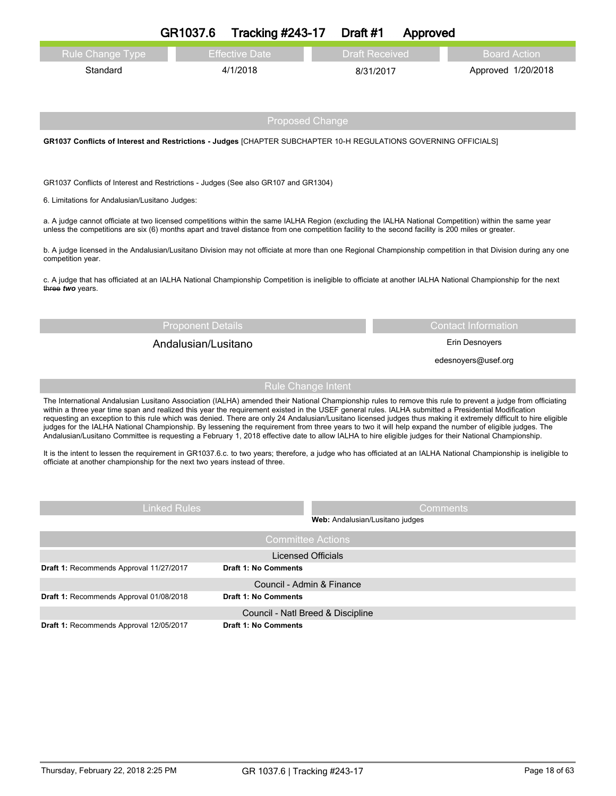|                                                | GR1037.6<br><b>Tracking #243-17</b>                                                                                                                                                                                                                                                                                                                                                                                                                                                                                                                                                                                                                                                                                                                                                                        | Draft #1                          | Approved              |                            |
|------------------------------------------------|------------------------------------------------------------------------------------------------------------------------------------------------------------------------------------------------------------------------------------------------------------------------------------------------------------------------------------------------------------------------------------------------------------------------------------------------------------------------------------------------------------------------------------------------------------------------------------------------------------------------------------------------------------------------------------------------------------------------------------------------------------------------------------------------------------|-----------------------------------|-----------------------|----------------------------|
| <b>Rule Change Type</b>                        | <b>Effective Date</b>                                                                                                                                                                                                                                                                                                                                                                                                                                                                                                                                                                                                                                                                                                                                                                                      |                                   | <b>Draft Received</b> | <b>Board Action</b>        |
| Standard                                       | 4/1/2018                                                                                                                                                                                                                                                                                                                                                                                                                                                                                                                                                                                                                                                                                                                                                                                                   |                                   | 8/31/2017             | Approved 1/20/2018         |
|                                                |                                                                                                                                                                                                                                                                                                                                                                                                                                                                                                                                                                                                                                                                                                                                                                                                            |                                   |                       |                            |
|                                                |                                                                                                                                                                                                                                                                                                                                                                                                                                                                                                                                                                                                                                                                                                                                                                                                            |                                   |                       |                            |
|                                                |                                                                                                                                                                                                                                                                                                                                                                                                                                                                                                                                                                                                                                                                                                                                                                                                            | <b>Proposed Change</b>            |                       |                            |
|                                                | GR1037 Conflicts of Interest and Restrictions - Judges [CHAPTER SUBCHAPTER 10-H REGULATIONS GOVERNING OFFICIALS]                                                                                                                                                                                                                                                                                                                                                                                                                                                                                                                                                                                                                                                                                           |                                   |                       |                            |
|                                                |                                                                                                                                                                                                                                                                                                                                                                                                                                                                                                                                                                                                                                                                                                                                                                                                            |                                   |                       |                            |
|                                                | GR1037 Conflicts of Interest and Restrictions - Judges (See also GR107 and GR1304)                                                                                                                                                                                                                                                                                                                                                                                                                                                                                                                                                                                                                                                                                                                         |                                   |                       |                            |
| 6. Limitations for Andalusian/Lusitano Judges: |                                                                                                                                                                                                                                                                                                                                                                                                                                                                                                                                                                                                                                                                                                                                                                                                            |                                   |                       |                            |
|                                                | a. A judge cannot officiate at two licensed competitions within the same IALHA Region (excluding the IALHA National Competition) within the same year<br>unless the competitions are six (6) months apart and travel distance from one competition facility to the second facility is 200 miles or greater.                                                                                                                                                                                                                                                                                                                                                                                                                                                                                                |                                   |                       |                            |
|                                                |                                                                                                                                                                                                                                                                                                                                                                                                                                                                                                                                                                                                                                                                                                                                                                                                            |                                   |                       |                            |
| competition year.                              | b. A judge licensed in the Andalusian/Lusitano Division may not officiate at more than one Regional Championship competition in that Division during any one                                                                                                                                                                                                                                                                                                                                                                                                                                                                                                                                                                                                                                               |                                   |                       |                            |
| three two years.                               | c. A judge that has officiated at an IALHA National Championship Competition is ineligible to officiate at another IALHA National Championship for the next                                                                                                                                                                                                                                                                                                                                                                                                                                                                                                                                                                                                                                                |                                   |                       |                            |
|                                                |                                                                                                                                                                                                                                                                                                                                                                                                                                                                                                                                                                                                                                                                                                                                                                                                            |                                   |                       |                            |
|                                                | <b>Proponent Details</b>                                                                                                                                                                                                                                                                                                                                                                                                                                                                                                                                                                                                                                                                                                                                                                                   |                                   |                       | <b>Contact Information</b> |
|                                                | Andalusian/Lusitano                                                                                                                                                                                                                                                                                                                                                                                                                                                                                                                                                                                                                                                                                                                                                                                        |                                   |                       | Erin Desnoyers             |
|                                                |                                                                                                                                                                                                                                                                                                                                                                                                                                                                                                                                                                                                                                                                                                                                                                                                            |                                   |                       | edesnoyers@usef.org        |
|                                                |                                                                                                                                                                                                                                                                                                                                                                                                                                                                                                                                                                                                                                                                                                                                                                                                            | <b>Rule Change Intent</b>         |                       |                            |
|                                                | The International Andalusian Lusitano Association (IALHA) amended their National Championship rules to remove this rule to prevent a judge from officiating<br>within a three year time span and realized this year the requirement existed in the USEF general rules. IALHA submitted a Presidential Modification<br>requesting an exception to this rule which was denied. There are only 24 Andalusian/Lusitano licensed judges thus making it extremely difficult to hire eligible<br>judges for the IALHA National Championship. By lessening the requirement from three years to two it will help expand the number of eligible judges. The<br>Andalusian/Lusitano Committee is requesting a February 1, 2018 effective date to allow IALHA to hire eligible judges for their National Championship. |                                   |                       |                            |
|                                                | It is the intent to lessen the requirement in GR1037.6.c. to two years; therefore, a judge who has officiated at an IALHA National Championship is ineligible to<br>officiate at another championship for the next two years instead of three.                                                                                                                                                                                                                                                                                                                                                                                                                                                                                                                                                             |                                   |                       |                            |
|                                                |                                                                                                                                                                                                                                                                                                                                                                                                                                                                                                                                                                                                                                                                                                                                                                                                            |                                   |                       |                            |
|                                                | <b>Linked Rules</b>                                                                                                                                                                                                                                                                                                                                                                                                                                                                                                                                                                                                                                                                                                                                                                                        | Web: Andalusian/Lusitano judges   | Comments              |                            |
|                                                |                                                                                                                                                                                                                                                                                                                                                                                                                                                                                                                                                                                                                                                                                                                                                                                                            | <b>Committee Actions</b>          |                       |                            |
|                                                |                                                                                                                                                                                                                                                                                                                                                                                                                                                                                                                                                                                                                                                                                                                                                                                                            | <b>Licensed Officials</b>         |                       |                            |
| Draft 1: Recommends Approval 11/27/2017        | <b>Draft 1: No Comments</b>                                                                                                                                                                                                                                                                                                                                                                                                                                                                                                                                                                                                                                                                                                                                                                                |                                   |                       |                            |
| Draft 1: Recommends Approval 01/08/2018        | <b>Draft 1: No Comments</b>                                                                                                                                                                                                                                                                                                                                                                                                                                                                                                                                                                                                                                                                                                                                                                                | Council - Admin & Finance         |                       |                            |
|                                                |                                                                                                                                                                                                                                                                                                                                                                                                                                                                                                                                                                                                                                                                                                                                                                                                            | Council - Natl Breed & Discipline |                       |                            |
| Draft 1: Recommends Approval 12/05/2017        | <b>Draft 1: No Comments</b>                                                                                                                                                                                                                                                                                                                                                                                                                                                                                                                                                                                                                                                                                                                                                                                |                                   |                       |                            |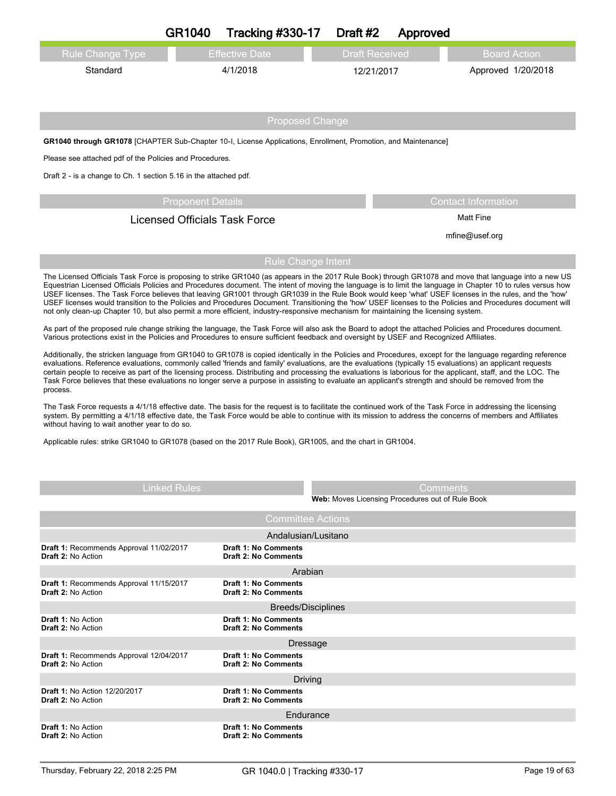|                                                                                                                                                                                                                                                                                                                                                                                                                                                                                                                                                                                                                                                                  | GR1040                               | <b>Tracking #330-17</b>                                    | Draft #2                                         | Approved        |                                                                                                                                                                                                                                                                                                                            |
|------------------------------------------------------------------------------------------------------------------------------------------------------------------------------------------------------------------------------------------------------------------------------------------------------------------------------------------------------------------------------------------------------------------------------------------------------------------------------------------------------------------------------------------------------------------------------------------------------------------------------------------------------------------|--------------------------------------|------------------------------------------------------------|--------------------------------------------------|-----------------|----------------------------------------------------------------------------------------------------------------------------------------------------------------------------------------------------------------------------------------------------------------------------------------------------------------------------|
| Rule Change Type                                                                                                                                                                                                                                                                                                                                                                                                                                                                                                                                                                                                                                                 |                                      | <b>Effective Date</b>                                      | <b>Draft Received</b>                            |                 | <b>Board Action</b>                                                                                                                                                                                                                                                                                                        |
| Standard                                                                                                                                                                                                                                                                                                                                                                                                                                                                                                                                                                                                                                                         |                                      | 4/1/2018                                                   | 12/21/2017                                       |                 | Approved 1/20/2018                                                                                                                                                                                                                                                                                                         |
|                                                                                                                                                                                                                                                                                                                                                                                                                                                                                                                                                                                                                                                                  |                                      |                                                            |                                                  |                 |                                                                                                                                                                                                                                                                                                                            |
|                                                                                                                                                                                                                                                                                                                                                                                                                                                                                                                                                                                                                                                                  |                                      |                                                            |                                                  |                 |                                                                                                                                                                                                                                                                                                                            |
|                                                                                                                                                                                                                                                                                                                                                                                                                                                                                                                                                                                                                                                                  |                                      | <b>Proposed Change</b>                                     |                                                  |                 |                                                                                                                                                                                                                                                                                                                            |
| GR1040 through GR1078 [CHAPTER Sub-Chapter 10-1, License Applications, Enrollment, Promotion, and Maintenance]                                                                                                                                                                                                                                                                                                                                                                                                                                                                                                                                                   |                                      |                                                            |                                                  |                 |                                                                                                                                                                                                                                                                                                                            |
| Please see attached pdf of the Policies and Procedures.                                                                                                                                                                                                                                                                                                                                                                                                                                                                                                                                                                                                          |                                      |                                                            |                                                  |                 |                                                                                                                                                                                                                                                                                                                            |
| Draft 2 - is a change to Ch. 1 section 5.16 in the attached pdf.                                                                                                                                                                                                                                                                                                                                                                                                                                                                                                                                                                                                 |                                      |                                                            |                                                  |                 |                                                                                                                                                                                                                                                                                                                            |
|                                                                                                                                                                                                                                                                                                                                                                                                                                                                                                                                                                                                                                                                  | <b>Proponent Details</b>             |                                                            |                                                  |                 | <b>Contact Information</b>                                                                                                                                                                                                                                                                                                 |
|                                                                                                                                                                                                                                                                                                                                                                                                                                                                                                                                                                                                                                                                  | <b>Licensed Officials Task Force</b> |                                                            |                                                  |                 | <b>Matt Fine</b>                                                                                                                                                                                                                                                                                                           |
|                                                                                                                                                                                                                                                                                                                                                                                                                                                                                                                                                                                                                                                                  |                                      |                                                            |                                                  |                 | mfine@usef.org                                                                                                                                                                                                                                                                                                             |
|                                                                                                                                                                                                                                                                                                                                                                                                                                                                                                                                                                                                                                                                  |                                      | <b>Rule Change Intent</b>                                  |                                                  |                 |                                                                                                                                                                                                                                                                                                                            |
|                                                                                                                                                                                                                                                                                                                                                                                                                                                                                                                                                                                                                                                                  |                                      |                                                            |                                                  |                 | The Licensed Officials Task Force is proposing to strike GR1040 (as appears in the 2017 Rule Book) through GR1078 and move that language into a new US                                                                                                                                                                     |
| USEF licenses. The Task Force believes that leaving GR1001 through GR1039 in the Rule Book would keep 'what' USEF licenses in the rules, and the 'how'<br>not only clean-up Chapter 10, but also permit a more efficient, industry-responsive mechanism for maintaining the licensing system.                                                                                                                                                                                                                                                                                                                                                                    |                                      |                                                            |                                                  |                 | Equestrian Licensed Officials Policies and Procedures document. The intent of moving the language is to limit the language in Chapter 10 to rules versus how<br>USEF licenses would transition to the Policies and Procedures Document. Transitioning the 'how' USEF licenses to the Policies and Procedures document will |
| As part of the proposed rule change striking the language, the Task Force will also ask the Board to adopt the attached Policies and Procedures document.<br>Various protections exist in the Policies and Procedures to ensure sufficient feedback and oversight by USEF and Recognized Affiliates.                                                                                                                                                                                                                                                                                                                                                             |                                      |                                                            |                                                  |                 |                                                                                                                                                                                                                                                                                                                            |
| Additionally, the stricken language from GR1040 to GR1078 is copied identically in the Policies and Procedures, except for the language regarding reference<br>evaluations. Reference evaluations, commonly called 'friends and family' evaluations, are the evaluations (typically 15 evaluations) an applicant requests<br>certain people to receive as part of the licensing process. Distributing and processing the evaluations is laborious for the applicant, staff, and the LOC. The<br>Task Force believes that these evaluations no longer serve a purpose in assisting to evaluate an applicant's strength and should be removed from the<br>process. |                                      |                                                            |                                                  |                 |                                                                                                                                                                                                                                                                                                                            |
| The Task Force requests a 4/1/18 effective date. The basis for the request is to facilitate the continued work of the Task Force in addressing the licensing<br>system. By permitting a 4/1/18 effective date, the Task Force would be able to continue with its mission to address the concerns of members and Affiliates<br>without having to wait another year to do so.                                                                                                                                                                                                                                                                                      |                                      |                                                            |                                                  |                 |                                                                                                                                                                                                                                                                                                                            |
| Applicable rules: strike GR1040 to GR1078 (based on the 2017 Rule Book), GR1005, and the chart in GR1004.                                                                                                                                                                                                                                                                                                                                                                                                                                                                                                                                                        |                                      |                                                            |                                                  |                 |                                                                                                                                                                                                                                                                                                                            |
|                                                                                                                                                                                                                                                                                                                                                                                                                                                                                                                                                                                                                                                                  |                                      |                                                            |                                                  |                 |                                                                                                                                                                                                                                                                                                                            |
|                                                                                                                                                                                                                                                                                                                                                                                                                                                                                                                                                                                                                                                                  |                                      |                                                            |                                                  |                 |                                                                                                                                                                                                                                                                                                                            |
|                                                                                                                                                                                                                                                                                                                                                                                                                                                                                                                                                                                                                                                                  | <b>Linked Rules</b>                  |                                                            |                                                  | <b>Comments</b> |                                                                                                                                                                                                                                                                                                                            |
|                                                                                                                                                                                                                                                                                                                                                                                                                                                                                                                                                                                                                                                                  |                                      |                                                            | Web: Moves Licensing Procedures out of Rule Book |                 |                                                                                                                                                                                                                                                                                                                            |
|                                                                                                                                                                                                                                                                                                                                                                                                                                                                                                                                                                                                                                                                  |                                      | <b>Committee Actions</b>                                   |                                                  |                 |                                                                                                                                                                                                                                                                                                                            |
| Draft 1: Recommends Approval 11/02/2017                                                                                                                                                                                                                                                                                                                                                                                                                                                                                                                                                                                                                          |                                      | Andalusian/Lusitano<br><b>Draft 1: No Comments</b>         |                                                  |                 |                                                                                                                                                                                                                                                                                                                            |
| Draft 2: No Action                                                                                                                                                                                                                                                                                                                                                                                                                                                                                                                                                                                                                                               |                                      | <b>Draft 2: No Comments</b>                                |                                                  |                 |                                                                                                                                                                                                                                                                                                                            |
| Draft 1: Recommends Approval 11/15/2017                                                                                                                                                                                                                                                                                                                                                                                                                                                                                                                                                                                                                          |                                      | Arabian<br><b>Draft 1: No Comments</b>                     |                                                  |                 |                                                                                                                                                                                                                                                                                                                            |
| <b>Draft 2: No Action</b>                                                                                                                                                                                                                                                                                                                                                                                                                                                                                                                                                                                                                                        |                                      | <b>Draft 2: No Comments</b>                                |                                                  |                 |                                                                                                                                                                                                                                                                                                                            |
|                                                                                                                                                                                                                                                                                                                                                                                                                                                                                                                                                                                                                                                                  |                                      | <b>Breeds/Disciplines</b><br><b>Draft 1: No Comments</b>   |                                                  |                 |                                                                                                                                                                                                                                                                                                                            |
| <b>Draft 1: No Action</b><br><b>Draft 2: No Action</b>                                                                                                                                                                                                                                                                                                                                                                                                                                                                                                                                                                                                           |                                      | <b>Draft 2: No Comments</b>                                |                                                  |                 |                                                                                                                                                                                                                                                                                                                            |
|                                                                                                                                                                                                                                                                                                                                                                                                                                                                                                                                                                                                                                                                  |                                      | Dressage                                                   |                                                  |                 |                                                                                                                                                                                                                                                                                                                            |
| Draft 1: Recommends Approval 12/04/2017<br><b>Draft 2: No Action</b>                                                                                                                                                                                                                                                                                                                                                                                                                                                                                                                                                                                             |                                      | <b>Draft 1: No Comments</b><br><b>Draft 2: No Comments</b> |                                                  |                 |                                                                                                                                                                                                                                                                                                                            |
|                                                                                                                                                                                                                                                                                                                                                                                                                                                                                                                                                                                                                                                                  |                                      | Driving                                                    |                                                  |                 |                                                                                                                                                                                                                                                                                                                            |
| <b>Draft 1: No Action 12/20/2017</b><br><b>Draft 2: No Action</b>                                                                                                                                                                                                                                                                                                                                                                                                                                                                                                                                                                                                |                                      | Draft 1: No Comments<br><b>Draft 2: No Comments</b>        |                                                  |                 |                                                                                                                                                                                                                                                                                                                            |
|                                                                                                                                                                                                                                                                                                                                                                                                                                                                                                                                                                                                                                                                  |                                      | Endurance                                                  |                                                  |                 |                                                                                                                                                                                                                                                                                                                            |
| <b>Draft 1: No Action</b><br>Draft 2: No Action                                                                                                                                                                                                                                                                                                                                                                                                                                                                                                                                                                                                                  |                                      | Draft 1: No Comments<br><b>Draft 2: No Comments</b>        |                                                  |                 |                                                                                                                                                                                                                                                                                                                            |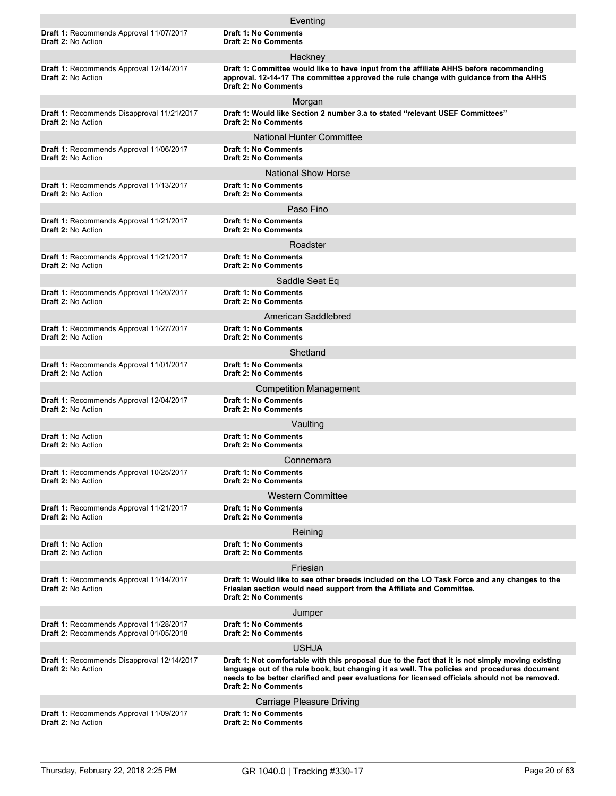|                                                                                    | Eventing                                                                                                                                                                                                                                                                                                                            |
|------------------------------------------------------------------------------------|-------------------------------------------------------------------------------------------------------------------------------------------------------------------------------------------------------------------------------------------------------------------------------------------------------------------------------------|
| <b>Draft 1: Recommends Approval 11/07/2017</b><br><b>Draft 2: No Action</b>        | <b>Draft 1: No Comments</b><br><b>Draft 2: No Comments</b>                                                                                                                                                                                                                                                                          |
|                                                                                    | Hackney                                                                                                                                                                                                                                                                                                                             |
| Draft 1: Recommends Approval 12/14/2017<br>Draft 2: No Action                      | Draft 1: Committee would like to have input from the affiliate AHHS before recommending<br>approval. 12-14-17 The committee approved the rule change with quidance from the AHHS<br><b>Draft 2: No Comments</b>                                                                                                                     |
|                                                                                    | Morgan                                                                                                                                                                                                                                                                                                                              |
| Draft 1: Recommends Disapproval 11/21/2017<br><b>Draft 2: No Action</b>            | Draft 1: Would like Section 2 number 3.a to stated "relevant USEF Committees"<br><b>Draft 2: No Comments</b>                                                                                                                                                                                                                        |
|                                                                                    | National Hunter Committee                                                                                                                                                                                                                                                                                                           |
| Draft 1: Recommends Approval 11/06/2017<br>Draft 2: No Action                      | <b>Draft 1: No Comments</b><br><b>Draft 2: No Comments</b>                                                                                                                                                                                                                                                                          |
|                                                                                    | <b>National Show Horse</b>                                                                                                                                                                                                                                                                                                          |
| Draft 1: Recommends Approval 11/13/2017<br><b>Draft 2: No Action</b>               | <b>Draft 1: No Comments</b><br><b>Draft 2: No Comments</b>                                                                                                                                                                                                                                                                          |
|                                                                                    | Paso Fino                                                                                                                                                                                                                                                                                                                           |
| Draft 1: Recommends Approval 11/21/2017<br><b>Draft 2: No Action</b>               | <b>Draft 1: No Comments</b><br><b>Draft 2: No Comments</b>                                                                                                                                                                                                                                                                          |
|                                                                                    | Roadster                                                                                                                                                                                                                                                                                                                            |
| Draft 1: Recommends Approval 11/21/2017<br><b>Draft 2: No Action</b>               | <b>Draft 1: No Comments</b><br><b>Draft 2: No Comments</b>                                                                                                                                                                                                                                                                          |
|                                                                                    | Saddle Seat Eq                                                                                                                                                                                                                                                                                                                      |
| Draft 1: Recommends Approval 11/20/2017<br><b>Draft 2: No Action</b>               | <b>Draft 1: No Comments</b><br><b>Draft 2: No Comments</b>                                                                                                                                                                                                                                                                          |
|                                                                                    | American Saddlebred                                                                                                                                                                                                                                                                                                                 |
| Draft 1: Recommends Approval 11/27/2017<br><b>Draft 2: No Action</b>               | <b>Draft 1: No Comments</b><br><b>Draft 2: No Comments</b>                                                                                                                                                                                                                                                                          |
|                                                                                    | Shetland                                                                                                                                                                                                                                                                                                                            |
| Draft 1: Recommends Approval 11/01/2017<br><b>Draft 2: No Action</b>               | <b>Draft 1: No Comments</b><br><b>Draft 2: No Comments</b>                                                                                                                                                                                                                                                                          |
|                                                                                    | <b>Competition Management</b>                                                                                                                                                                                                                                                                                                       |
| Draft 1: Recommends Approval 12/04/2017<br>Draft 2: No Action                      | <b>Draft 1: No Comments</b><br><b>Draft 2: No Comments</b>                                                                                                                                                                                                                                                                          |
|                                                                                    | Vaulting                                                                                                                                                                                                                                                                                                                            |
| Draft 1: No Action<br>Draft 2: No Action                                           | <b>Draft 1: No Comments</b><br><b>Draft 2: No Comments</b>                                                                                                                                                                                                                                                                          |
|                                                                                    | Connemara                                                                                                                                                                                                                                                                                                                           |
| Draft 1: Recommends Approval 10/25/2017<br><b>Draft 2: No Action</b>               | <b>Draft 1: No Comments</b><br><b>Draft 2: No Comments</b>                                                                                                                                                                                                                                                                          |
|                                                                                    | <b>Western Committee</b>                                                                                                                                                                                                                                                                                                            |
| Draft 1: Recommends Approval 11/21/2017<br><b>Draft 2: No Action</b>               | <b>Draft 1: No Comments</b><br><b>Draft 2: No Comments</b>                                                                                                                                                                                                                                                                          |
|                                                                                    | Reining                                                                                                                                                                                                                                                                                                                             |
| Draft 1: No Action<br>Draft 2: No Action                                           | <b>Draft 1: No Comments</b><br><b>Draft 2: No Comments</b>                                                                                                                                                                                                                                                                          |
|                                                                                    | Friesian                                                                                                                                                                                                                                                                                                                            |
| Draft 1: Recommends Approval 11/14/2017<br><b>Draft 2: No Action</b>               | Draft 1: Would like to see other breeds included on the LO Task Force and any changes to the<br>Friesian section would need support from the Affiliate and Committee.<br><b>Draft 2: No Comments</b>                                                                                                                                |
|                                                                                    | Jumper                                                                                                                                                                                                                                                                                                                              |
| Draft 1: Recommends Approval 11/28/2017<br>Draft 2: Recommends Approval 01/05/2018 | <b>Draft 1: No Comments</b><br><b>Draft 2: No Comments</b>                                                                                                                                                                                                                                                                          |
|                                                                                    | <b>USHJA</b>                                                                                                                                                                                                                                                                                                                        |
| Draft 1: Recommends Disapproval 12/14/2017<br><b>Draft 2: No Action</b>            | Draft 1: Not comfortable with this proposal due to the fact that it is not simply moving existing<br>language out of the rule book, but changing it as well. The policies and procedures document<br>needs to be better clarified and peer evaluations for licensed officials should not be removed.<br><b>Draft 2: No Comments</b> |
|                                                                                    | <b>Carriage Pleasure Driving</b>                                                                                                                                                                                                                                                                                                    |
| Draft 1: Recommends Approval 11/09/2017<br><b>Draft 2: No Action</b>               | Draft 1: No Comments<br><b>Draft 2: No Comments</b>                                                                                                                                                                                                                                                                                 |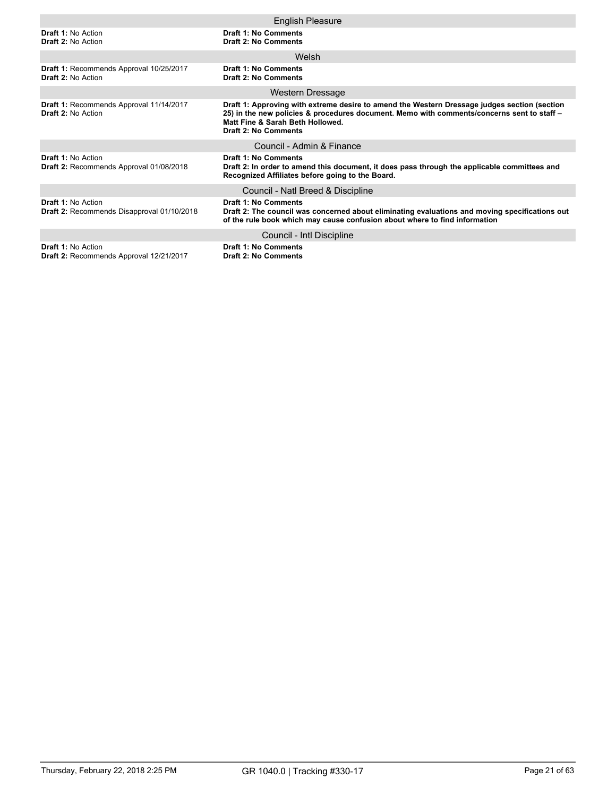|                                                                         | <b>English Pleasure</b>                                                                                                                                                                                                                                |
|-------------------------------------------------------------------------|--------------------------------------------------------------------------------------------------------------------------------------------------------------------------------------------------------------------------------------------------------|
| Draft 1: No Action<br><b>Draft 2: No Action</b>                         | Draft 1: No Comments<br>Draft 2: No Comments                                                                                                                                                                                                           |
|                                                                         | Welsh                                                                                                                                                                                                                                                  |
| Draft 1: Recommends Approval 10/25/2017<br><b>Draft 2: No Action</b>    | Draft 1: No Comments<br><b>Draft 2: No Comments</b>                                                                                                                                                                                                    |
|                                                                         | <b>Western Dressage</b>                                                                                                                                                                                                                                |
| Draft 1: Recommends Approval 11/14/2017<br><b>Draft 2: No Action</b>    | Draft 1: Approving with extreme desire to amend the Western Dressage judges section (section<br>25) in the new policies & procedures document. Memo with comments/concerns sent to staff -<br>Matt Fine & Sarah Beth Hollowed.<br>Draft 2: No Comments |
|                                                                         | Council - Admin & Finance                                                                                                                                                                                                                              |
| <b>Draft 1: No Action</b><br>Draft 2: Recommends Approval 01/08/2018    | Draft 1: No Comments<br>Draft 2: In order to amend this document, it does pass through the applicable committees and<br>Recognized Affiliates before going to the Board.                                                                               |
|                                                                         | Council - Natl Breed & Discipline                                                                                                                                                                                                                      |
| <b>Draft 1: No Action</b><br>Draft 2: Recommends Disapproval 01/10/2018 | <b>Draft 1: No Comments</b><br>Draft 2: The council was concerned about eliminating evaluations and moving specifications out<br>of the rule book which may cause confusion about where to find information                                            |
|                                                                         | Council - Intl Discipline                                                                                                                                                                                                                              |
| <b>Draft 1: No Action</b><br>Draft 2: Recommends Approval 12/21/2017    | <b>Draft 1: No Comments</b><br><b>Draft 2: No Comments</b>                                                                                                                                                                                             |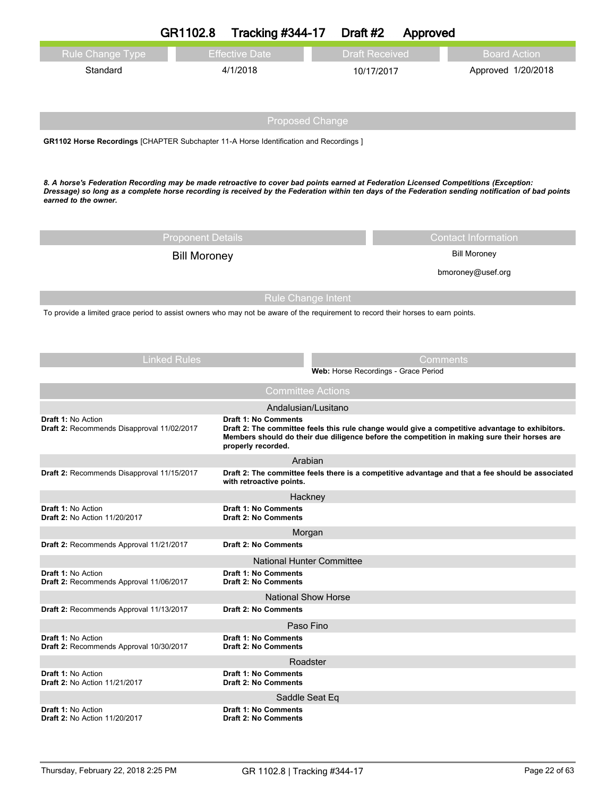|                                                                                                                                                                                                                                                                                                                    | GR1102.8                 | <b>Tracking #344-17</b>                                         |  | Draft #2              | Approved                             |                                                                                                                                                                                                 |
|--------------------------------------------------------------------------------------------------------------------------------------------------------------------------------------------------------------------------------------------------------------------------------------------------------------------|--------------------------|-----------------------------------------------------------------|--|-----------------------|--------------------------------------|-------------------------------------------------------------------------------------------------------------------------------------------------------------------------------------------------|
| Rule Change Type                                                                                                                                                                                                                                                                                                   |                          | <b>Effective Date</b>                                           |  | <b>Draft Received</b> |                                      | <b>Board Action</b>                                                                                                                                                                             |
| Standard                                                                                                                                                                                                                                                                                                           |                          | 4/1/2018                                                        |  | 10/17/2017            |                                      | Approved 1/20/2018                                                                                                                                                                              |
|                                                                                                                                                                                                                                                                                                                    |                          |                                                                 |  |                       |                                      |                                                                                                                                                                                                 |
|                                                                                                                                                                                                                                                                                                                    |                          |                                                                 |  |                       |                                      |                                                                                                                                                                                                 |
|                                                                                                                                                                                                                                                                                                                    |                          | <b>Proposed Change</b>                                          |  |                       |                                      |                                                                                                                                                                                                 |
| GR1102 Horse Recordings [CHAPTER Subchapter 11-A Horse Identification and Recordings]                                                                                                                                                                                                                              |                          |                                                                 |  |                       |                                      |                                                                                                                                                                                                 |
|                                                                                                                                                                                                                                                                                                                    |                          |                                                                 |  |                       |                                      |                                                                                                                                                                                                 |
| 8. A horse's Federation Recording may be made retroactive to cover bad points earned at Federation Licensed Competitions (Exception:<br>Dressage) so long as a complete horse recording is received by the Federation within ten days of the Federation sending notification of bad points<br>earned to the owner. |                          |                                                                 |  |                       |                                      |                                                                                                                                                                                                 |
|                                                                                                                                                                                                                                                                                                                    | <b>Proponent Details</b> |                                                                 |  |                       |                                      | <b>Contact Information</b>                                                                                                                                                                      |
|                                                                                                                                                                                                                                                                                                                    | <b>Bill Moroney</b>      |                                                                 |  |                       |                                      | <b>Bill Moroney</b>                                                                                                                                                                             |
|                                                                                                                                                                                                                                                                                                                    |                          |                                                                 |  |                       |                                      | bmoroney@usef.org                                                                                                                                                                               |
|                                                                                                                                                                                                                                                                                                                    |                          |                                                                 |  |                       |                                      |                                                                                                                                                                                                 |
| To provide a limited grace period to assist owners who may not be aware of the requirement to record their horses to earn points.                                                                                                                                                                                  |                          | <b>Rule Change Intent</b>                                       |  |                       |                                      |                                                                                                                                                                                                 |
|                                                                                                                                                                                                                                                                                                                    | <b>Linked Rules</b>      |                                                                 |  |                       | Comments                             |                                                                                                                                                                                                 |
|                                                                                                                                                                                                                                                                                                                    |                          |                                                                 |  |                       | Web: Horse Recordings - Grace Period |                                                                                                                                                                                                 |
|                                                                                                                                                                                                                                                                                                                    |                          | <b>Committee Actions</b>                                        |  |                       |                                      |                                                                                                                                                                                                 |
| <b>Draft 1: No Action</b>                                                                                                                                                                                                                                                                                          |                          | Andalusian/Lusitano<br>Draft 1: No Comments                     |  |                       |                                      |                                                                                                                                                                                                 |
| Draft 2: Recommends Disapproval 11/02/2017                                                                                                                                                                                                                                                                         |                          | properly recorded.                                              |  |                       |                                      | Draft 2: The committee feels this rule change would give a competitive advantage to exhibitors.<br>Members should do their due diligence before the competition in making sure their horses are |
|                                                                                                                                                                                                                                                                                                                    |                          | Arabian                                                         |  |                       |                                      |                                                                                                                                                                                                 |
| Draft 2: Recommends Disapproval 11/15/2017                                                                                                                                                                                                                                                                         |                          | with retroactive points.                                        |  |                       |                                      | Draft 2: The committee feels there is a competitive advantage and that a fee should be associated                                                                                               |
|                                                                                                                                                                                                                                                                                                                    |                          | Hackney                                                         |  |                       |                                      |                                                                                                                                                                                                 |
| <b>Draft 1: No Action</b><br><b>Draft 2: No Action 11/20/2017</b>                                                                                                                                                                                                                                                  |                          | Draft 1: No Comments<br><b>Draft 2: No Comments</b>             |  |                       |                                      |                                                                                                                                                                                                 |
|                                                                                                                                                                                                                                                                                                                    |                          | Morgan                                                          |  |                       |                                      |                                                                                                                                                                                                 |
| Draft 2: Recommends Approval 11/21/2017                                                                                                                                                                                                                                                                            |                          | <b>Draft 2: No Comments</b>                                     |  |                       |                                      |                                                                                                                                                                                                 |
| <b>Draft 1: No Action</b>                                                                                                                                                                                                                                                                                          |                          | <b>National Hunter Committee</b><br><b>Draft 1: No Comments</b> |  |                       |                                      |                                                                                                                                                                                                 |
| Draft 2: Recommends Approval 11/06/2017                                                                                                                                                                                                                                                                            |                          | <b>Draft 2: No Comments</b>                                     |  |                       |                                      |                                                                                                                                                                                                 |
|                                                                                                                                                                                                                                                                                                                    |                          | <b>National Show Horse</b><br><b>Draft 2: No Comments</b>       |  |                       |                                      |                                                                                                                                                                                                 |
| Draft 2: Recommends Approval 11/13/2017                                                                                                                                                                                                                                                                            |                          | Paso Fino                                                       |  |                       |                                      |                                                                                                                                                                                                 |
| Draft 1: No Action                                                                                                                                                                                                                                                                                                 |                          | Draft 1: No Comments                                            |  |                       |                                      |                                                                                                                                                                                                 |
| Draft 2: Recommends Approval 10/30/2017                                                                                                                                                                                                                                                                            |                          | <b>Draft 2: No Comments</b>                                     |  |                       |                                      |                                                                                                                                                                                                 |
| Draft 1: No Action                                                                                                                                                                                                                                                                                                 |                          | Roadster<br>Draft 1: No Comments                                |  |                       |                                      |                                                                                                                                                                                                 |
| <b>Draft 2: No Action 11/21/2017</b>                                                                                                                                                                                                                                                                               |                          | <b>Draft 2: No Comments</b>                                     |  |                       |                                      |                                                                                                                                                                                                 |
| Draft 1: No Action                                                                                                                                                                                                                                                                                                 |                          | Saddle Seat Eq<br>Draft 1: No Comments                          |  |                       |                                      |                                                                                                                                                                                                 |
| <b>Draft 2: No Action 11/20/2017</b>                                                                                                                                                                                                                                                                               |                          | Draft 2: No Comments                                            |  |                       |                                      |                                                                                                                                                                                                 |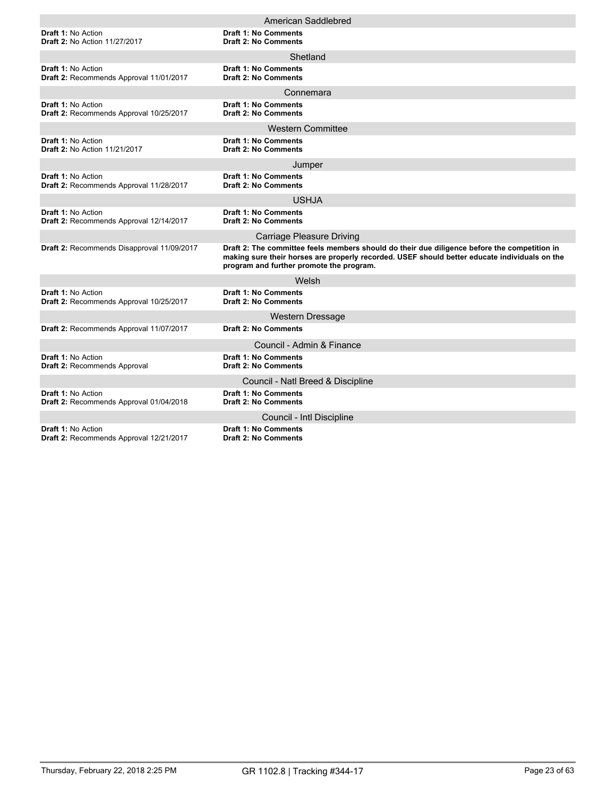|                                                                             | American Saddlebred                                                                                                                                                                                                                       |
|-----------------------------------------------------------------------------|-------------------------------------------------------------------------------------------------------------------------------------------------------------------------------------------------------------------------------------------|
| <b>Draft 1: No Action</b><br><b>Draft 2: No Action 11/27/2017</b>           | <b>Draft 1: No Comments</b><br><b>Draft 2: No Comments</b>                                                                                                                                                                                |
|                                                                             | Shetland                                                                                                                                                                                                                                  |
| <b>Draft 1: No Action</b><br>Draft 2: Recommends Approval 11/01/2017        | <b>Draft 1: No Comments</b><br><b>Draft 2: No Comments</b>                                                                                                                                                                                |
|                                                                             | Connemara                                                                                                                                                                                                                                 |
| <b>Draft 1: No Action</b><br>Draft 2: Recommends Approval 10/25/2017        | <b>Draft 1: No Comments</b><br><b>Draft 2: No Comments</b>                                                                                                                                                                                |
|                                                                             | <b>Western Committee</b>                                                                                                                                                                                                                  |
| <b>Draft 1: No Action</b><br><b>Draft 2: No Action 11/21/2017</b>           | <b>Draft 1: No Comments</b><br><b>Draft 2: No Comments</b>                                                                                                                                                                                |
|                                                                             | Jumper                                                                                                                                                                                                                                    |
| <b>Draft 1: No Action</b><br>Draft 2: Recommends Approval 11/28/2017        | <b>Draft 1: No Comments</b><br><b>Draft 2: No Comments</b>                                                                                                                                                                                |
|                                                                             | <b>USHJA</b>                                                                                                                                                                                                                              |
| <b>Draft 1: No Action</b><br>Draft 2: Recommends Approval 12/14/2017        | <b>Draft 1: No Comments</b><br><b>Draft 2: No Comments</b>                                                                                                                                                                                |
|                                                                             | <b>Carriage Pleasure Driving</b>                                                                                                                                                                                                          |
| Draft 2: Recommends Disapproval 11/09/2017                                  | Draft 2: The committee feels members should do their due diligence before the competition in<br>making sure their horses are properly recorded. USEF should better educate individuals on the<br>program and further promote the program. |
|                                                                             | Welsh                                                                                                                                                                                                                                     |
| <b>Draft 1: No Action</b><br>Draft 2: Recommends Approval 10/25/2017        | <b>Draft 1: No Comments</b><br><b>Draft 2: No Comments</b>                                                                                                                                                                                |
|                                                                             | <b>Western Dressage</b>                                                                                                                                                                                                                   |
| Draft 2: Recommends Approval 11/07/2017                                     | <b>Draft 2: No Comments</b>                                                                                                                                                                                                               |
|                                                                             | Council - Admin & Finance                                                                                                                                                                                                                 |
| <b>Draft 1: No Action</b><br><b>Draft 2: Recommends Approval</b>            | <b>Draft 1: No Comments</b><br><b>Draft 2: No Comments</b>                                                                                                                                                                                |
|                                                                             | Council - Natl Breed & Discipline                                                                                                                                                                                                         |
| <b>Draft 1: No Action</b><br>Draft 2: Recommends Approval 01/04/2018        | <b>Draft 1: No Comments</b><br><b>Draft 2: No Comments</b>                                                                                                                                                                                |
|                                                                             | Council - Intl Discipline                                                                                                                                                                                                                 |
| <b>Draft 1: No Action</b><br><b>Draft 2: Recommends Approval 12/21/2017</b> | <b>Draft 1: No Comments</b><br><b>Draft 2: No Comments</b>                                                                                                                                                                                |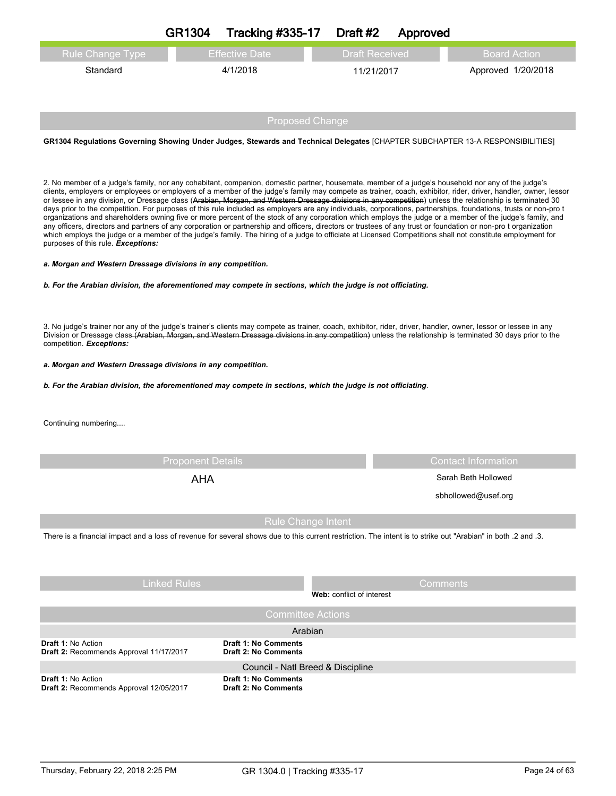|                                                                                                                                                                                                                                                                                                                                                                                                                                                                                                                                                                                                                                                                                                                                                                                                                                                                                                                                                                                                                                                                                                                                                                                                                                                                                                                                                                            | <b>GR1304</b>            | <b>Tracking #335-17</b>   | Draft #2              | Approved |                            |
|----------------------------------------------------------------------------------------------------------------------------------------------------------------------------------------------------------------------------------------------------------------------------------------------------------------------------------------------------------------------------------------------------------------------------------------------------------------------------------------------------------------------------------------------------------------------------------------------------------------------------------------------------------------------------------------------------------------------------------------------------------------------------------------------------------------------------------------------------------------------------------------------------------------------------------------------------------------------------------------------------------------------------------------------------------------------------------------------------------------------------------------------------------------------------------------------------------------------------------------------------------------------------------------------------------------------------------------------------------------------------|--------------------------|---------------------------|-----------------------|----------|----------------------------|
| <b>Rule Change Type</b>                                                                                                                                                                                                                                                                                                                                                                                                                                                                                                                                                                                                                                                                                                                                                                                                                                                                                                                                                                                                                                                                                                                                                                                                                                                                                                                                                    |                          | <b>Effective Date</b>     | <b>Draft Received</b> |          | <b>Board Action</b>        |
| Standard                                                                                                                                                                                                                                                                                                                                                                                                                                                                                                                                                                                                                                                                                                                                                                                                                                                                                                                                                                                                                                                                                                                                                                                                                                                                                                                                                                   |                          | 4/1/2018                  | 11/21/2017            |          | Approved 1/20/2018         |
|                                                                                                                                                                                                                                                                                                                                                                                                                                                                                                                                                                                                                                                                                                                                                                                                                                                                                                                                                                                                                                                                                                                                                                                                                                                                                                                                                                            |                          |                           |                       |          |                            |
|                                                                                                                                                                                                                                                                                                                                                                                                                                                                                                                                                                                                                                                                                                                                                                                                                                                                                                                                                                                                                                                                                                                                                                                                                                                                                                                                                                            |                          | <b>Proposed Change</b>    |                       |          |                            |
| GR1304 Regulations Governing Showing Under Judges, Stewards and Technical Delegates [CHAPTER SUBCHAPTER 13-A RESPONSIBILITIES]                                                                                                                                                                                                                                                                                                                                                                                                                                                                                                                                                                                                                                                                                                                                                                                                                                                                                                                                                                                                                                                                                                                                                                                                                                             |                          |                           |                       |          |                            |
|                                                                                                                                                                                                                                                                                                                                                                                                                                                                                                                                                                                                                                                                                                                                                                                                                                                                                                                                                                                                                                                                                                                                                                                                                                                                                                                                                                            |                          |                           |                       |          |                            |
| 2. No member of a judge's family, nor any cohabitant, companion, domestic partner, housemate, member of a judge's household nor any of the judge's<br>clients, employers or employees or employers of a member of the judge's family may compete as trainer, coach, exhibitor, rider, driver, handler, owner, lessor<br>or lessee in any division, or Dressage class (Arabian, Morgan, and Western Dressage divisions in any competition) unless the relationship is terminated 30<br>days prior to the competition. For purposes of this rule included as employers are any individuals, corporations, partnerships, foundations, trusts or non-pro t<br>organizations and shareholders owning five or more percent of the stock of any corporation which employs the judge or a member of the judge's family, and<br>any officers, directors and partners of any corporation or partnership and officers, directors or trustees of any trust or foundation or non-pro t organization<br>which employs the judge or a member of the judge's family. The hiring of a judge to officiate at Licensed Competitions shall not constitute employment for<br>purposes of this rule. Exceptions:<br>a. Morgan and Western Dressage divisions in any competition.<br>b. For the Arabian division, the aforementioned may compete in sections, which the judge is not officiating. |                          |                           |                       |          |                            |
| 3. No judge's trainer nor any of the judge's trainer's clients may compete as trainer, coach, exhibitor, rider, driver, handler, owner, lessor or lessee in any<br>Division or Dressage class (Arabian, Morgan, and Western Dressage divisions in any competition) unless the relationship is terminated 30 days prior to the<br>competition. Exceptions:                                                                                                                                                                                                                                                                                                                                                                                                                                                                                                                                                                                                                                                                                                                                                                                                                                                                                                                                                                                                                  |                          |                           |                       |          |                            |
| a. Morgan and Western Dressage divisions in any competition.                                                                                                                                                                                                                                                                                                                                                                                                                                                                                                                                                                                                                                                                                                                                                                                                                                                                                                                                                                                                                                                                                                                                                                                                                                                                                                               |                          |                           |                       |          |                            |
| b. For the Arabian division, the aforementioned may compete in sections, which the judge is not officiating.                                                                                                                                                                                                                                                                                                                                                                                                                                                                                                                                                                                                                                                                                                                                                                                                                                                                                                                                                                                                                                                                                                                                                                                                                                                               |                          |                           |                       |          |                            |
| Continuing numbering                                                                                                                                                                                                                                                                                                                                                                                                                                                                                                                                                                                                                                                                                                                                                                                                                                                                                                                                                                                                                                                                                                                                                                                                                                                                                                                                                       |                          |                           |                       |          |                            |
|                                                                                                                                                                                                                                                                                                                                                                                                                                                                                                                                                                                                                                                                                                                                                                                                                                                                                                                                                                                                                                                                                                                                                                                                                                                                                                                                                                            |                          |                           |                       |          |                            |
|                                                                                                                                                                                                                                                                                                                                                                                                                                                                                                                                                                                                                                                                                                                                                                                                                                                                                                                                                                                                                                                                                                                                                                                                                                                                                                                                                                            | <b>Proponent Details</b> |                           |                       |          | <b>Contact Information</b> |
|                                                                                                                                                                                                                                                                                                                                                                                                                                                                                                                                                                                                                                                                                                                                                                                                                                                                                                                                                                                                                                                                                                                                                                                                                                                                                                                                                                            | <b>AHA</b>               |                           |                       |          | Sarah Beth Hollowed        |
|                                                                                                                                                                                                                                                                                                                                                                                                                                                                                                                                                                                                                                                                                                                                                                                                                                                                                                                                                                                                                                                                                                                                                                                                                                                                                                                                                                            |                          |                           |                       |          | sbhollowed@usef.org        |
|                                                                                                                                                                                                                                                                                                                                                                                                                                                                                                                                                                                                                                                                                                                                                                                                                                                                                                                                                                                                                                                                                                                                                                                                                                                                                                                                                                            |                          | <b>Rule Change Intent</b> |                       |          |                            |
| There is a financial impact and a loss of revenue for several shows due to this current restriction. The intent is to strike out "Arabian" in both .2 and .3.                                                                                                                                                                                                                                                                                                                                                                                                                                                                                                                                                                                                                                                                                                                                                                                                                                                                                                                                                                                                                                                                                                                                                                                                              |                          |                           |                       |          |                            |
|                                                                                                                                                                                                                                                                                                                                                                                                                                                                                                                                                                                                                                                                                                                                                                                                                                                                                                                                                                                                                                                                                                                                                                                                                                                                                                                                                                            |                          |                           |                       |          |                            |
|                                                                                                                                                                                                                                                                                                                                                                                                                                                                                                                                                                                                                                                                                                                                                                                                                                                                                                                                                                                                                                                                                                                                                                                                                                                                                                                                                                            | <b>Linked Rules</b>      |                           |                       | Comments |                            |

|                                                                      | Web: conflict of interest                                  |
|----------------------------------------------------------------------|------------------------------------------------------------|
|                                                                      | <b>Committee Actions</b>                                   |
|                                                                      | Arabian                                                    |
| <b>Draft 1: No Action</b><br>Draft 2: Recommends Approval 11/17/2017 | <b>Draft 1: No Comments</b><br><b>Draft 2: No Comments</b> |
|                                                                      | Council - Natl Breed & Discipline                          |
| <b>Draft 1: No Action</b><br>Draft 2: Recommends Approval 12/05/2017 | <b>Draft 1: No Comments</b><br><b>Draft 2: No Comments</b> |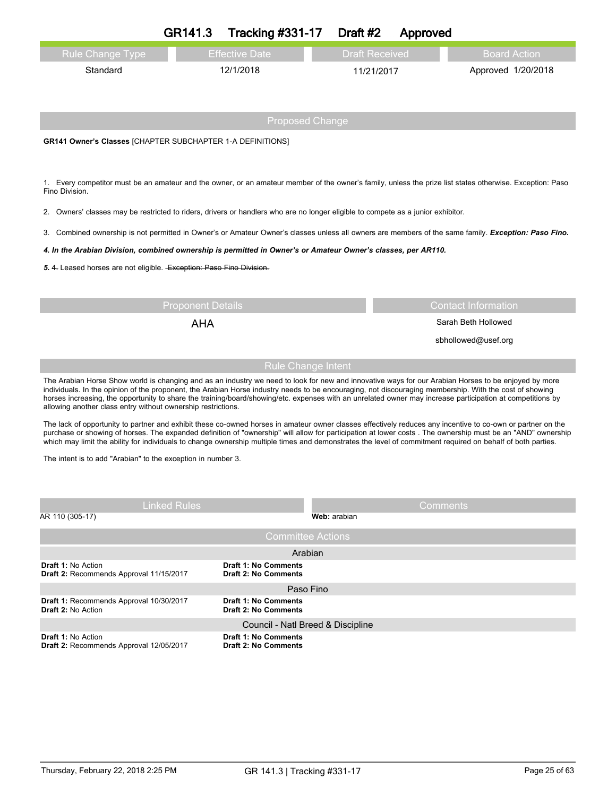|                                                                                                                                                                                                                                                                                                                                                                                                                                                                                                                                               | GR141.3                  | <b>Tracking #331-17</b>                                    | Draft #2              | Approved        |                            |
|-----------------------------------------------------------------------------------------------------------------------------------------------------------------------------------------------------------------------------------------------------------------------------------------------------------------------------------------------------------------------------------------------------------------------------------------------------------------------------------------------------------------------------------------------|--------------------------|------------------------------------------------------------|-----------------------|-----------------|----------------------------|
| Rule Change Type                                                                                                                                                                                                                                                                                                                                                                                                                                                                                                                              |                          | <b>Effective Date</b>                                      | <b>Draft Received</b> |                 | <b>Board Action</b>        |
| Standard                                                                                                                                                                                                                                                                                                                                                                                                                                                                                                                                      |                          | 12/1/2018                                                  | 11/21/2017            |                 | Approved 1/20/2018         |
|                                                                                                                                                                                                                                                                                                                                                                                                                                                                                                                                               |                          | <b>Proposed Change</b>                                     |                       |                 |                            |
| GR141 Owner's Classes [CHAPTER SUBCHAPTER 1-A DEFINITIONS]                                                                                                                                                                                                                                                                                                                                                                                                                                                                                    |                          |                                                            |                       |                 |                            |
| 1. Every competitor must be an amateur and the owner, or an amateur member of the owner's family, unless the prize list states otherwise. Exception: Paso<br>Fino Division.                                                                                                                                                                                                                                                                                                                                                                   |                          |                                                            |                       |                 |                            |
| 2. Owners' classes may be restricted to riders, drivers or handlers who are no longer eligible to compete as a junior exhibitor.                                                                                                                                                                                                                                                                                                                                                                                                              |                          |                                                            |                       |                 |                            |
| 3. Combined ownership is not permitted in Owner's or Amateur Owner's classes unless all owners are members of the same family. Exception: Paso Fino.                                                                                                                                                                                                                                                                                                                                                                                          |                          |                                                            |                       |                 |                            |
| 4. In the Arabian Division, combined ownership is permitted in Owner's or Amateur Owner's classes, per AR110.                                                                                                                                                                                                                                                                                                                                                                                                                                 |                          |                                                            |                       |                 |                            |
| 5. 4. Leased horses are not eligible. Exception: Paso Fino Division.                                                                                                                                                                                                                                                                                                                                                                                                                                                                          |                          |                                                            |                       |                 |                            |
|                                                                                                                                                                                                                                                                                                                                                                                                                                                                                                                                               |                          |                                                            |                       |                 |                            |
|                                                                                                                                                                                                                                                                                                                                                                                                                                                                                                                                               | <b>Proponent Details</b> |                                                            |                       |                 | <b>Contact Information</b> |
|                                                                                                                                                                                                                                                                                                                                                                                                                                                                                                                                               | <b>AHA</b>               |                                                            |                       |                 | Sarah Beth Hollowed        |
|                                                                                                                                                                                                                                                                                                                                                                                                                                                                                                                                               |                          |                                                            |                       |                 | sbhollowed@usef.org        |
|                                                                                                                                                                                                                                                                                                                                                                                                                                                                                                                                               |                          | <b>Rule Change Intent</b>                                  |                       |                 |                            |
| The Arabian Horse Show world is changing and as an industry we need to look for new and innovative ways for our Arabian Horses to be enjoyed by more<br>individuals. In the opinion of the proponent, the Arabian Horse industry needs to be encouraging, not discouraging membership. With the cost of showing<br>horses increasing, the opportunity to share the training/board/showing/etc. expenses with an unrelated owner may increase participation at competitions by<br>allowing another class entry without ownership restrictions. |                          |                                                            |                       |                 |                            |
| The lack of opportunity to partner and exhibit these co-owned horses in amateur owner classes effectively reduces any incentive to co-own or partner on the<br>purchase or showing of horses. The expanded definition of "ownership" will allow for participation at lower costs. The ownership must be an "AND" ownership<br>which may limit the ability for individuals to change ownership multiple times and demonstrates the level of commitment required on behalf of both parties.                                                     |                          |                                                            |                       |                 |                            |
| The intent is to add "Arabian" to the exception in number 3.                                                                                                                                                                                                                                                                                                                                                                                                                                                                                  |                          |                                                            |                       |                 |                            |
|                                                                                                                                                                                                                                                                                                                                                                                                                                                                                                                                               |                          |                                                            |                       |                 |                            |
|                                                                                                                                                                                                                                                                                                                                                                                                                                                                                                                                               | <b>Linked Rules</b>      |                                                            |                       | <b>Comments</b> |                            |
| AR 110 (305-17)                                                                                                                                                                                                                                                                                                                                                                                                                                                                                                                               |                          |                                                            | Web: arabian          |                 |                            |
|                                                                                                                                                                                                                                                                                                                                                                                                                                                                                                                                               |                          | <b>Committee Actions</b>                                   |                       |                 |                            |
|                                                                                                                                                                                                                                                                                                                                                                                                                                                                                                                                               |                          | Arabian                                                    |                       |                 |                            |
| <b>Draft 1: No Action</b><br>Draft 2: Recommends Approval 11/15/2017                                                                                                                                                                                                                                                                                                                                                                                                                                                                          |                          | <b>Draft 1: No Comments</b><br><b>Draft 2: No Comments</b> |                       |                 |                            |
| Draft 1: Recommends Approval 10/30/2017                                                                                                                                                                                                                                                                                                                                                                                                                                                                                                       |                          | Paso Fino<br><b>Draft 1: No Comments</b>                   |                       |                 |                            |

Council - Natl Breed & Discipline

**Draft 1: No Comments Draft 2: No Comments Draft 1:** No Action **Draft 2:** Recommends Approval 12/05/2017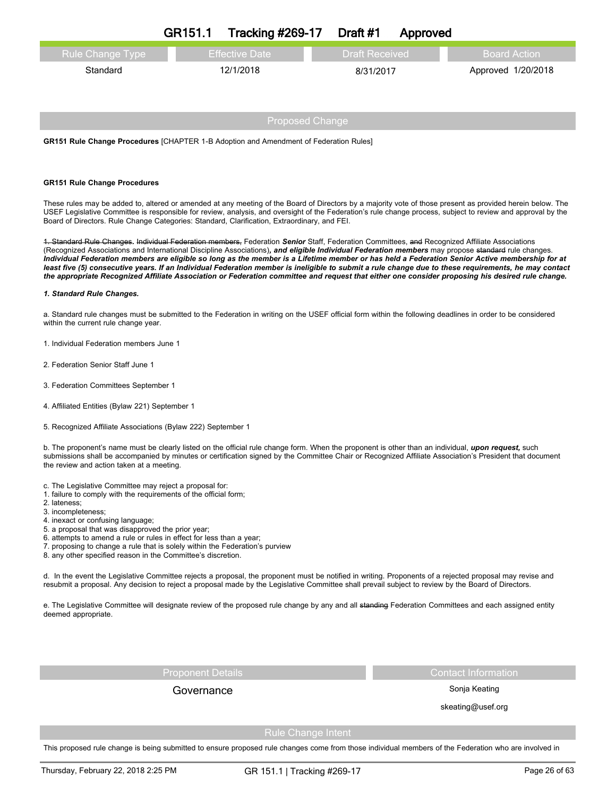|                         | GR151.1 | Tracking $\#269-17$ Draft $\#1$ |                       | Approved |                    |
|-------------------------|---------|---------------------------------|-----------------------|----------|--------------------|
| <b>Rule Change Type</b> |         | <b>Effective Date</b>           | <b>Draft Received</b> |          | / Board Action ⊥   |
| Standard                |         | 12/1/2018                       | 8/31/2017             |          | Approved 1/20/2018 |
|                         |         |                                 |                       |          |                    |

**GR151 Rule Change Procedures** [CHAPTER 1-B Adoption and Amendment of Federation Rules]

### **GR151 Rule Change Procedures**

These rules may be added to, altered or amended at any meeting of the Board of Directors by a majority vote of those present as provided herein below. The USEF Legislative Committee is responsible for review, analysis, and oversight of the Federation's rule change process, subject to review and approval by the Board of Directors. Rule Change Categories: Standard, Clarification, Extraordinary, and FEI.

1. Standard Rule Changes*.* Individual Federation members, Federation *Senior* Staff, Federation Committees, and Recognized Affiliate Associations (Recognized Associations and International Discipline Associations)*, and eligible Individual Federation members* may propose standard rule changes. Individual Federation members are eligible so long as the member is a Lifetime member or has held a Federation Senior Active membership for at least five (5) consecutive years. If an Individual Federation member is ineligible to submit a rule change due to these requirements, he may contact the appropriate Recognized Affiliate Association or Federation committee and request that either one consider proposing his desired rule change.

#### *1. Standard Rule Changes.*

a. Standard rule changes must be submitted to the Federation in writing on the USEF official form within the following deadlines in order to be considered within the current rule change year.

- 1. Individual Federation members June 1
- 2. Federation Senior Staff June 1
- 3. Federation Committees September 1
- 4. Affiliated Entities (Bylaw 221) September 1
- 5. Recognized Affiliate Associations (Bylaw 222) September 1

b. The proponent's name must be clearly listed on the official rule change form. When the proponent is other than an individual, *upon request,* such submissions shall be accompanied by minutes or certification signed by the Committee Chair or Recognized Affiliate Association's President that document the review and action taken at a meeting.

- c. The Legislative Committee may reject a proposal for:
- 1. failure to comply with the requirements of the official form;
- 2. lateness;
- 3. incompleteness;
- 4. inexact or confusing language;
- 5. a proposal that was disapproved the prior year;
- 6. attempts to amend a rule or rules in effect for less than a year;
- 7. proposing to change a rule that is solely within the Federation's purview
- 8. any other specified reason in the Committee's discretion.

d. In the event the Legislative Committee rejects a proposal, the proponent must be notified in writing. Proponents of a rejected proposal may revise and resubmit a proposal. Any decision to reject a proposal made by the Legislative Committee shall prevail subject to review by the Board of Directors.

e. The Legislative Committee will designate review of the proposed rule change by any and all standing Federation Committees and each assigned entity deemed appropriate.

Governance **Governance** Sonja Keating

Proponent Details Contact Information Contact Information

skeating@usef.org

Rule Change Intent

This proposed rule change is being submitted to ensure proposed rule changes come from those individual members of the Federation who are involved in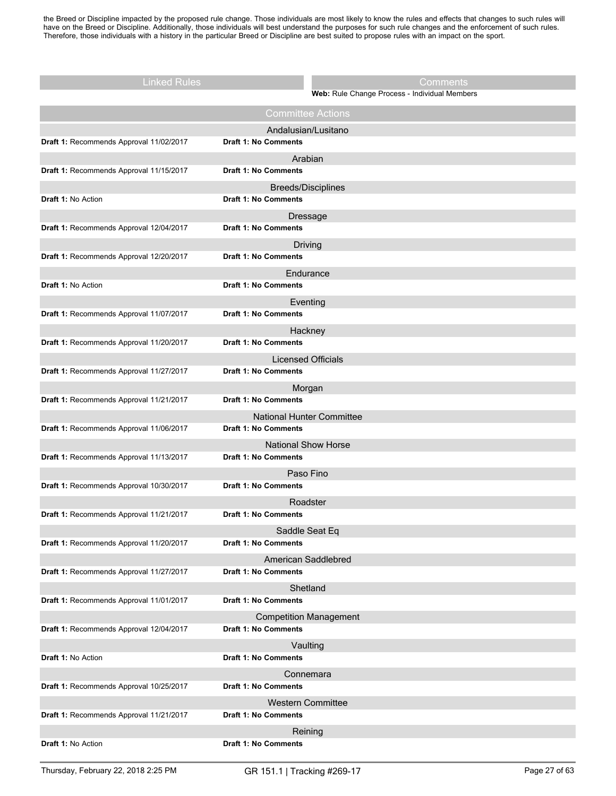the Breed or Discipline impacted by the proposed rule change. Those individuals are most likely to know the rules and effects that changes to such rules will have on the Breed or Discipline. Additionally, those individuals will best understand the purposes for such rule changes and the enforcement of such rules. Therefore, those individuals with a history in the particular Breed or Discipline are best suited to propose rules with an impact on the sport.

| <b>Linked Rules</b>                     |                             | Comments                                      |
|-----------------------------------------|-----------------------------|-----------------------------------------------|
|                                         |                             | Web: Rule Change Process - Individual Members |
|                                         |                             | <b>Committee Actions</b>                      |
|                                         |                             | Andalusian/Lusitano                           |
| Draft 1: Recommends Approval 11/02/2017 | Draft 1: No Comments        |                                               |
| Draft 1: Recommends Approval 11/15/2017 | <b>Draft 1: No Comments</b> | Arabian                                       |
|                                         |                             |                                               |
| Draft 1: No Action                      | Draft 1: No Comments        | <b>Breeds/Disciplines</b>                     |
|                                         |                             | Dressage                                      |
| Draft 1: Recommends Approval 12/04/2017 | Draft 1: No Comments        |                                               |
|                                         |                             | Driving                                       |
| Draft 1: Recommends Approval 12/20/2017 | <b>Draft 1: No Comments</b> |                                               |
|                                         |                             | Endurance                                     |
| Draft 1: No Action                      | <b>Draft 1: No Comments</b> |                                               |
| Draft 1: Recommends Approval 11/07/2017 | <b>Draft 1: No Comments</b> | Eventing                                      |
|                                         |                             | Hackney                                       |
| Draft 1: Recommends Approval 11/20/2017 | <b>Draft 1: No Comments</b> |                                               |
|                                         |                             | <b>Licensed Officials</b>                     |
| Draft 1: Recommends Approval 11/27/2017 | <b>Draft 1: No Comments</b> |                                               |
|                                         |                             | Morgan                                        |
| Draft 1: Recommends Approval 11/21/2017 | <b>Draft 1: No Comments</b> |                                               |
|                                         |                             | <b>National Hunter Committee</b>              |
| Draft 1: Recommends Approval 11/06/2017 | Draft 1: No Comments        |                                               |
| Draft 1: Recommends Approval 11/13/2017 | <b>Draft 1: No Comments</b> | <b>National Show Horse</b>                    |
|                                         |                             | Paso Fino                                     |
| Draft 1: Recommends Approval 10/30/2017 | <b>Draft 1: No Comments</b> |                                               |
|                                         |                             | Roadster                                      |
| Draft 1: Recommends Approval 11/21/2017 | <b>Draft 1: No Comments</b> |                                               |
|                                         |                             | Saddle Seat Eq                                |
| Draft 1: Recommends Approval 11/20/2017 | <b>Draft 1: No Comments</b> |                                               |
|                                         |                             | American Saddlebred                           |
| Draft 1: Recommends Approval 11/27/2017 | <b>Draft 1: No Comments</b> |                                               |
| Draft 1: Recommends Approval 11/01/2017 | <b>Draft 1: No Comments</b> | Shetland                                      |
|                                         |                             |                                               |
| Draft 1: Recommends Approval 12/04/2017 | Draft 1: No Comments        | <b>Competition Management</b>                 |
|                                         |                             | Vaulting                                      |
| Draft 1: No Action                      | <b>Draft 1: No Comments</b> |                                               |
|                                         |                             | Connemara                                     |
| Draft 1: Recommends Approval 10/25/2017 | <b>Draft 1: No Comments</b> |                                               |
|                                         |                             | <b>Western Committee</b>                      |
| Draft 1: Recommends Approval 11/21/2017 | Draft 1: No Comments        |                                               |
|                                         |                             | Reining                                       |
| Draft 1: No Action                      | <b>Draft 1: No Comments</b> |                                               |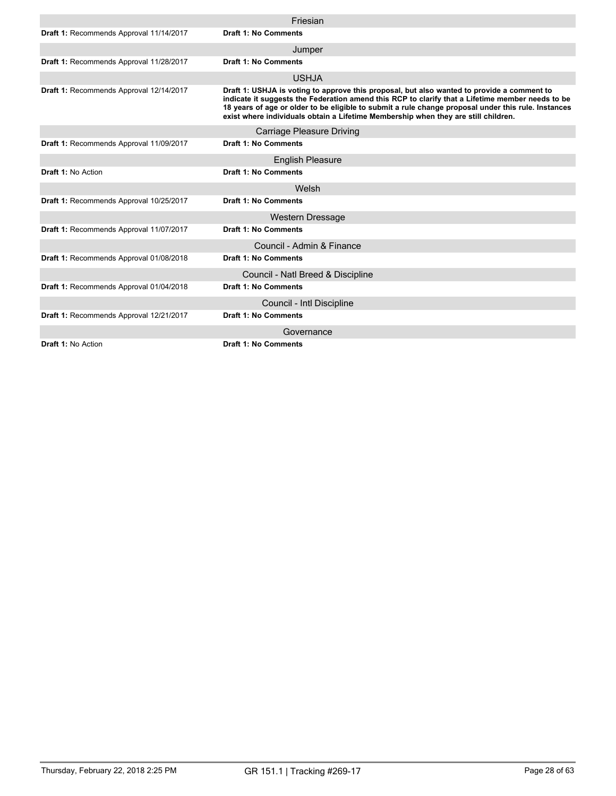|                                         | Friesian                                                                                                                                                                                                                                                                                                                                                                                    |
|-----------------------------------------|---------------------------------------------------------------------------------------------------------------------------------------------------------------------------------------------------------------------------------------------------------------------------------------------------------------------------------------------------------------------------------------------|
| Draft 1: Recommends Approval 11/14/2017 | <b>Draft 1: No Comments</b>                                                                                                                                                                                                                                                                                                                                                                 |
|                                         | Jumper                                                                                                                                                                                                                                                                                                                                                                                      |
| Draft 1: Recommends Approval 11/28/2017 | <b>Draft 1: No Comments</b>                                                                                                                                                                                                                                                                                                                                                                 |
|                                         | <b>USHJA</b>                                                                                                                                                                                                                                                                                                                                                                                |
| Draft 1: Recommends Approval 12/14/2017 | Draft 1: USHJA is voting to approve this proposal, but also wanted to provide a comment to<br>indicate it suggests the Federation amend this RCP to clarify that a Lifetime member needs to be<br>18 years of age or older to be eligible to submit a rule change proposal under this rule. Instances<br>exist where individuals obtain a Lifetime Membership when they are still children. |
|                                         | <b>Carriage Pleasure Driving</b>                                                                                                                                                                                                                                                                                                                                                            |
| Draft 1: Recommends Approval 11/09/2017 | <b>Draft 1: No Comments</b>                                                                                                                                                                                                                                                                                                                                                                 |
|                                         | <b>English Pleasure</b>                                                                                                                                                                                                                                                                                                                                                                     |
| Draft 1: No Action                      | <b>Draft 1: No Comments</b>                                                                                                                                                                                                                                                                                                                                                                 |
|                                         | Welsh                                                                                                                                                                                                                                                                                                                                                                                       |
| Draft 1: Recommends Approval 10/25/2017 | Draft 1: No Comments                                                                                                                                                                                                                                                                                                                                                                        |
|                                         | Western Dressage                                                                                                                                                                                                                                                                                                                                                                            |
| Draft 1: Recommends Approval 11/07/2017 | <b>Draft 1: No Comments</b>                                                                                                                                                                                                                                                                                                                                                                 |
|                                         | Council - Admin & Finance                                                                                                                                                                                                                                                                                                                                                                   |
| Draft 1: Recommends Approval 01/08/2018 | <b>Draft 1: No Comments</b>                                                                                                                                                                                                                                                                                                                                                                 |
|                                         | Council - Natl Breed & Discipline                                                                                                                                                                                                                                                                                                                                                           |
| Draft 1: Recommends Approval 01/04/2018 | <b>Draft 1: No Comments</b>                                                                                                                                                                                                                                                                                                                                                                 |
|                                         | Council - Intl Discipline                                                                                                                                                                                                                                                                                                                                                                   |
| Draft 1: Recommends Approval 12/21/2017 | <b>Draft 1: No Comments</b>                                                                                                                                                                                                                                                                                                                                                                 |
|                                         | Governance                                                                                                                                                                                                                                                                                                                                                                                  |
| <b>Draft 1: No Action</b>               | Draft 1: No Comments                                                                                                                                                                                                                                                                                                                                                                        |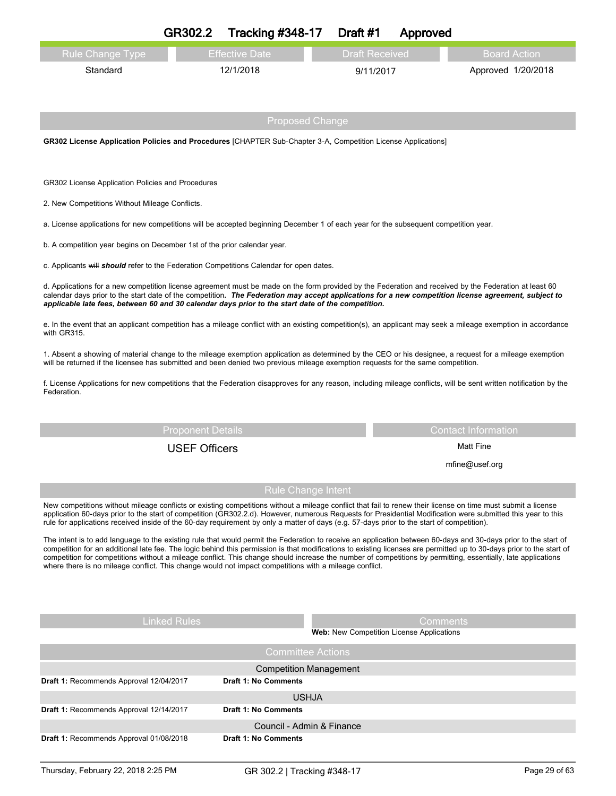|                                                                                                                                                                                                                                                                                                                                                                                                                                                                             | GR302.2                                                                                                                                                                                                                                                                                                                                                                                                             | <b>Tracking #348-17</b>   | Draft #1                                         | Approved |                                                                                                                                                                       |
|-----------------------------------------------------------------------------------------------------------------------------------------------------------------------------------------------------------------------------------------------------------------------------------------------------------------------------------------------------------------------------------------------------------------------------------------------------------------------------|---------------------------------------------------------------------------------------------------------------------------------------------------------------------------------------------------------------------------------------------------------------------------------------------------------------------------------------------------------------------------------------------------------------------|---------------------------|--------------------------------------------------|----------|-----------------------------------------------------------------------------------------------------------------------------------------------------------------------|
| <b>Rule Change Type</b>                                                                                                                                                                                                                                                                                                                                                                                                                                                     |                                                                                                                                                                                                                                                                                                                                                                                                                     | <b>Effective Date</b>     | <b>Draft Received</b>                            |          | <b>Board Action</b>                                                                                                                                                   |
| Standard                                                                                                                                                                                                                                                                                                                                                                                                                                                                    |                                                                                                                                                                                                                                                                                                                                                                                                                     | 12/1/2018                 | 9/11/2017                                        |          | Approved 1/20/2018                                                                                                                                                    |
|                                                                                                                                                                                                                                                                                                                                                                                                                                                                             |                                                                                                                                                                                                                                                                                                                                                                                                                     | <b>Proposed Change</b>    |                                                  |          |                                                                                                                                                                       |
| GR302 License Application Policies and Procedures [CHAPTER Sub-Chapter 3-A, Competition License Applications]                                                                                                                                                                                                                                                                                                                                                               |                                                                                                                                                                                                                                                                                                                                                                                                                     |                           |                                                  |          |                                                                                                                                                                       |
|                                                                                                                                                                                                                                                                                                                                                                                                                                                                             |                                                                                                                                                                                                                                                                                                                                                                                                                     |                           |                                                  |          |                                                                                                                                                                       |
| GR302 License Application Policies and Procedures                                                                                                                                                                                                                                                                                                                                                                                                                           |                                                                                                                                                                                                                                                                                                                                                                                                                     |                           |                                                  |          |                                                                                                                                                                       |
| 2. New Competitions Without Mileage Conflicts.                                                                                                                                                                                                                                                                                                                                                                                                                              |                                                                                                                                                                                                                                                                                                                                                                                                                     |                           |                                                  |          |                                                                                                                                                                       |
| a. License applications for new competitions will be accepted beginning December 1 of each year for the subsequent competition year.                                                                                                                                                                                                                                                                                                                                        |                                                                                                                                                                                                                                                                                                                                                                                                                     |                           |                                                  |          |                                                                                                                                                                       |
| b. A competition year begins on December 1st of the prior calendar year.                                                                                                                                                                                                                                                                                                                                                                                                    |                                                                                                                                                                                                                                                                                                                                                                                                                     |                           |                                                  |          |                                                                                                                                                                       |
| c. Applicants will should refer to the Federation Competitions Calendar for open dates.                                                                                                                                                                                                                                                                                                                                                                                     |                                                                                                                                                                                                                                                                                                                                                                                                                     |                           |                                                  |          |                                                                                                                                                                       |
|                                                                                                                                                                                                                                                                                                                                                                                                                                                                             | d. Applications for a new competition license agreement must be made on the form provided by the Federation and received by the Federation at least 60<br>calendar days prior to the start date of the competition. The Federation may accept applications for a new competition license agreement, subject to<br>applicable late fees, between 60 and 30 calendar days prior to the start date of the competition. |                           |                                                  |          |                                                                                                                                                                       |
| e. In the event that an applicant competition has a mileage conflict with an existing competition(s), an applicant may seek a mileage exemption in accordance<br>with GR315.                                                                                                                                                                                                                                                                                                |                                                                                                                                                                                                                                                                                                                                                                                                                     |                           |                                                  |          |                                                                                                                                                                       |
| 1. Absent a showing of material change to the mileage exemption application as determined by the CEO or his designee, a request for a mileage exemption<br>will be returned if the licensee has submitted and been denied two previous mileage exemption requests for the same competition.                                                                                                                                                                                 |                                                                                                                                                                                                                                                                                                                                                                                                                     |                           |                                                  |          |                                                                                                                                                                       |
| f. License Applications for new competitions that the Federation disapproves for any reason, including mileage conflicts, will be sent written notification by the<br>Federation.                                                                                                                                                                                                                                                                                           |                                                                                                                                                                                                                                                                                                                                                                                                                     |                           |                                                  |          |                                                                                                                                                                       |
|                                                                                                                                                                                                                                                                                                                                                                                                                                                                             | <b>Proponent Details</b>                                                                                                                                                                                                                                                                                                                                                                                            |                           |                                                  |          | <b>Contact Information</b>                                                                                                                                            |
|                                                                                                                                                                                                                                                                                                                                                                                                                                                                             | <b>USEF Officers</b>                                                                                                                                                                                                                                                                                                                                                                                                |                           |                                                  |          | <b>Matt Fine</b>                                                                                                                                                      |
|                                                                                                                                                                                                                                                                                                                                                                                                                                                                             |                                                                                                                                                                                                                                                                                                                                                                                                                     |                           |                                                  |          | mfine@usef.org                                                                                                                                                        |
|                                                                                                                                                                                                                                                                                                                                                                                                                                                                             |                                                                                                                                                                                                                                                                                                                                                                                                                     | <b>Rule Change Intent</b> |                                                  |          |                                                                                                                                                                       |
| New competitions without mileage conflicts or existing competitions without a mileage conflict that fail to renew their license on time must submit a license<br>application 60-days prior to the start of competition (GR302.2.d). However, numerous Requests for Presidential Modification were submitted this year to this<br>rule for applications received inside of the 60-day requirement by only a matter of days (e.g. 57-days prior to the start of competition). |                                                                                                                                                                                                                                                                                                                                                                                                                     |                           |                                                  |          |                                                                                                                                                                       |
| The intent is to add language to the existing rule that would permit the Federation to receive an application between 60-days and 30-days prior to the start of<br>competition for competitions without a mileage conflict. This change should increase the number of competitions by permitting, essentially, late applications<br>where there is no mileage conflict. This change would not impact competitions with a mileage conflict.                                  |                                                                                                                                                                                                                                                                                                                                                                                                                     |                           |                                                  |          | competition for an additional late fee. The logic behind this permission is that modifications to existing licenses are permitted up to 30-days prior to the start of |
|                                                                                                                                                                                                                                                                                                                                                                                                                                                                             |                                                                                                                                                                                                                                                                                                                                                                                                                     |                           |                                                  |          |                                                                                                                                                                       |
|                                                                                                                                                                                                                                                                                                                                                                                                                                                                             | <b>Linked Rules</b>                                                                                                                                                                                                                                                                                                                                                                                                 |                           |                                                  | Comments |                                                                                                                                                                       |
|                                                                                                                                                                                                                                                                                                                                                                                                                                                                             |                                                                                                                                                                                                                                                                                                                                                                                                                     |                           | <b>Web:</b> New Competition License Applications |          |                                                                                                                                                                       |

|                                         | <b>Committee Actions</b>      |
|-----------------------------------------|-------------------------------|
|                                         | <b>Competition Management</b> |
| Draft 1: Recommends Approval 12/04/2017 | <b>Draft 1: No Comments</b>   |
|                                         | <b>USHJA</b>                  |
| Draft 1: Recommends Approval 12/14/2017 | <b>Draft 1: No Comments</b>   |
|                                         | Council - Admin & Finance     |
| Draft 1: Recommends Approval 01/08/2018 | <b>Draft 1: No Comments</b>   |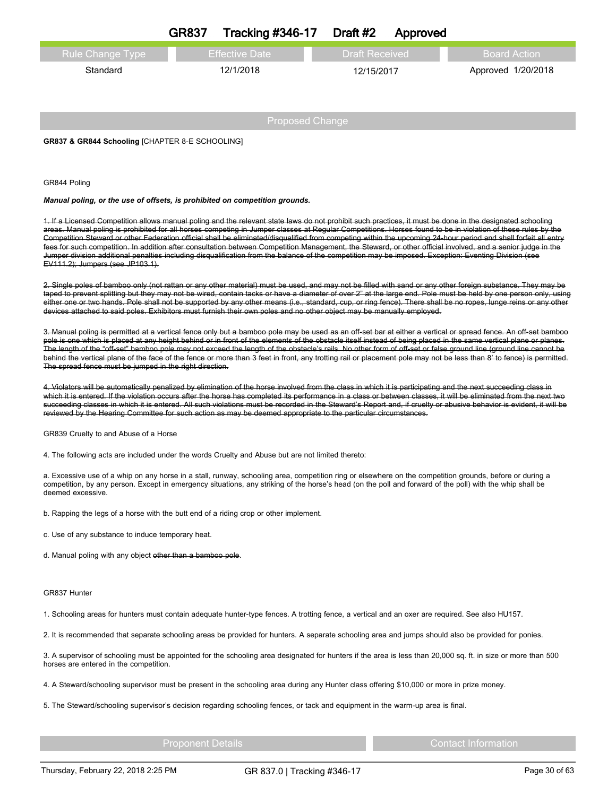| <b>Rule Change Type</b><br><b>Effective Date</b><br><b>Draft Received</b><br><b>Board Action</b><br>12/1/2018<br>Standard<br>Approved 1/20/2018<br>12/15/2017 | <b>GR837</b> | <b>Tracking #346-17</b> | Draft #2 | Approved |  |
|---------------------------------------------------------------------------------------------------------------------------------------------------------------|--------------|-------------------------|----------|----------|--|
|                                                                                                                                                               |              |                         |          |          |  |
|                                                                                                                                                               |              |                         |          |          |  |
|                                                                                                                                                               |              |                         |          |          |  |
|                                                                                                                                                               |              |                         |          |          |  |

Proposed Change

**GR837 & GR844 Schooling** [CHAPTER 8-E SCHOOLING]

GR844 Poling

*Manual poling, or the use of offsets, is prohibited on competition grounds.*

1. If a Licensed Competition allows manual poling and the relevant state laws do not prohibit such practices, it must be done in the designated schooling areas. Manual poling is prohibited for all horses competing in Jumper classes at Regular Competitions. Horses found to be in violation of these rules by the Competition Steward or other Federation official shall be eliminated/disqualified from competing within the upcoming 24-hour period and shall forfeit all entry fees for such competition. In addition after consultation between Competition Management, the Steward, or other official involved, and a senior judge in the Jumper division additional penalties including disqualification from the balance of the competition may be imposed. Exception: Eventing Division (see EV111.2); Jumpers (see JP103.1).

2. Single poles of bamboo only (not rattan or any other material) must be used, and may not be filled with sand or any other foreign substance. They may be taped to prevent splitting but they may not be wired, contain tacks or have a diameter of over 2" at the large end. Pole must be held by one person only, using either one or two hands. Pole shall not be supported by any other means (i.e., standard, cup, or ring fence). There shall be no ropes, lunge reins or any other devices attached to said poles. Exhibitors must furnish their own poles and no other object may be manually employed.

3. Manual poling is permitted at a vertical fence only but a bamboo pole may be used as an off-set bar at either a vertical or spread fence. An off-set bamboo pole is one which is placed at any height behind or in front of the elements of the obstacle itself instead of being placed in the same vertical plane or planes. The length of the "off-set" bamboo pole may not exceed the length of the obstacle's rails. No other form of off-set or false ground line (ground line cannot be behind the vertical plane of the face of the fence or more than 3 feet in front, any trotting rail or placement pole may not be less than 8' to fence) is permitted. The spread fence must be jumped in the right direction.

4. Violators will be automatically penalized by elimination of the horse involved from the class in which it is participating and the next succeeding class in which it is entered. If the violation occurs after the horse has completed its performance in a class or between classes, it will be eliminated from the next two succeeding classes in which it is entered. All such violations must be recorded in the Steward's Report and, if cruelty or abusive behavior is evident, it will be reviewed by the Hearing Committee for such action as may be deemed appropriate to the particular circumstances.

GR839 Cruelty to and Abuse of a Horse

4. The following acts are included under the words Cruelty and Abuse but are not limited thereto:

a. Excessive use of a whip on any horse in a stall, runway, schooling area, competition ring or elsewhere on the competition grounds, before or during a competition, by any person. Except in emergency situations, any striking of the horse's head (on the poll and forward of the poll) with the whip shall be deemed excessive.

b. Rapping the legs of a horse with the butt end of a riding crop or other implement.

- c. Use of any substance to induce temporary heat.
- d. Manual poling with any object other than a bamboo pole.

#### GR837 Hunter

1. Schooling areas for hunters must contain adequate hunter-type fences. A trotting fence, a vertical and an oxer are required. See also HU157.

2. It is recommended that separate schooling areas be provided for hunters. A separate schooling area and jumps should also be provided for ponies.

3. A supervisor of schooling must be appointed for the schooling area designated for hunters if the area is less than 20,000 sq. ft. in size or more than 500 horses are entered in the competition.

4. A Steward/schooling supervisor must be present in the schooling area during any Hunter class offering \$10,000 or more in prize money.

5. The Steward/schooling supervisor's decision regarding schooling fences, or tack and equipment in the warm-up area is final.

Proponent Details Contact Information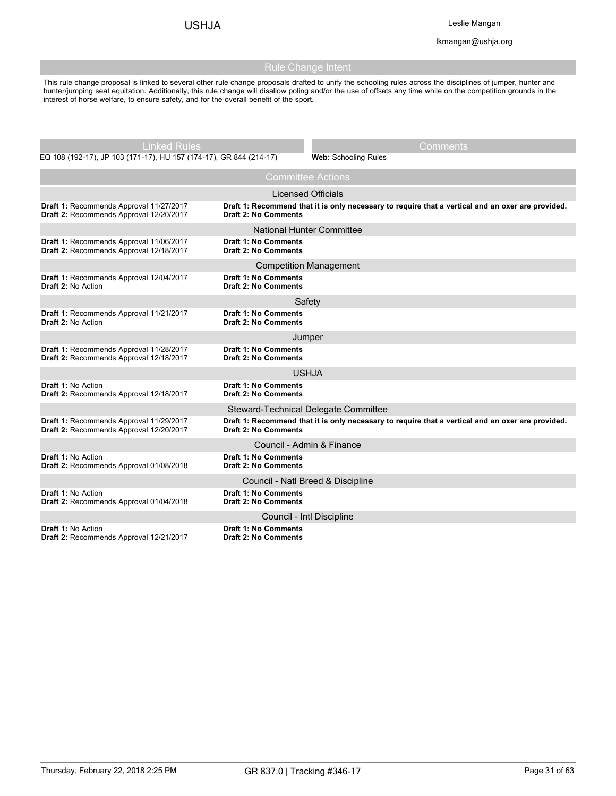lkmangan@ushja.org

# Rule Change Intent

This rule change proposal is linked to several other rule change proposals drafted to unify the schooling rules across the disciplines of jumper, hunter and hunter/jumping seat equitation. Additionally, this rule change will disallow poling and/or the use of offsets any time while on the competition grounds in the interest of horse welfare, to ensure safety, and for the overall benefit of the sport.

| Linked Rules                                                                       |                                                            | Comments                                                                                          |  |  |  |
|------------------------------------------------------------------------------------|------------------------------------------------------------|---------------------------------------------------------------------------------------------------|--|--|--|
| EQ 108 (192-17), JP 103 (171-17), HU 157 (174-17), GR 844 (214-17)                 |                                                            | Web: Schooling Rules                                                                              |  |  |  |
| <b>Committee Actions</b>                                                           |                                                            |                                                                                                   |  |  |  |
|                                                                                    | <b>Licensed Officials</b>                                  |                                                                                                   |  |  |  |
| Draft 1: Recommends Approval 11/27/2017<br>Draft 2: Recommends Approval 12/20/2017 | <b>Draft 2: No Comments</b>                                | Draft 1: Recommend that it is only necessary to require that a vertical and an oxer are provided. |  |  |  |
|                                                                                    | <b>National Hunter Committee</b>                           |                                                                                                   |  |  |  |
| Draft 1: Recommends Approval 11/06/2017<br>Draft 2: Recommends Approval 12/18/2017 | <b>Draft 1: No Comments</b><br><b>Draft 2: No Comments</b> |                                                                                                   |  |  |  |
|                                                                                    | <b>Competition Management</b>                              |                                                                                                   |  |  |  |
| Draft 1: Recommends Approval 12/04/2017<br>Draft 2: No Action                      | <b>Draft 1: No Comments</b><br><b>Draft 2: No Comments</b> |                                                                                                   |  |  |  |
|                                                                                    | Safety                                                     |                                                                                                   |  |  |  |
| Draft 1: Recommends Approval 11/21/2017<br><b>Draft 2: No Action</b>               | <b>Draft 1: No Comments</b><br><b>Draft 2: No Comments</b> |                                                                                                   |  |  |  |
|                                                                                    | Jumper                                                     |                                                                                                   |  |  |  |
| Draft 1: Recommends Approval 11/28/2017<br>Draft 2: Recommends Approval 12/18/2017 | <b>Draft 1: No Comments</b><br><b>Draft 2: No Comments</b> |                                                                                                   |  |  |  |
| USHJA                                                                              |                                                            |                                                                                                   |  |  |  |
| <b>Draft 1: No Action</b><br>Draft 2: Recommends Approval 12/18/2017               | Draft 1: No Comments<br><b>Draft 2: No Comments</b>        |                                                                                                   |  |  |  |
|                                                                                    | Steward-Technical Delegate Committee                       |                                                                                                   |  |  |  |
| Draft 1: Recommends Approval 11/29/2017<br>Draft 2: Recommends Approval 12/20/2017 | <b>Draft 2: No Comments</b>                                | Draft 1: Recommend that it is only necessary to require that a vertical and an oxer are provided. |  |  |  |
| Council - Admin & Finance                                                          |                                                            |                                                                                                   |  |  |  |
| Draft 1: No Action<br>Draft 2: Recommends Approval 01/08/2018                      | <b>Draft 1: No Comments</b><br><b>Draft 2: No Comments</b> |                                                                                                   |  |  |  |
| Council - Natl Breed & Discipline                                                  |                                                            |                                                                                                   |  |  |  |
| <b>Draft 1: No Action</b><br>Draft 2: Recommends Approval 01/04/2018               | <b>Draft 1: No Comments</b><br><b>Draft 2: No Comments</b> |                                                                                                   |  |  |  |
|                                                                                    | Council - Intl Discipline                                  |                                                                                                   |  |  |  |
| <b>Draft 1: No Action</b><br>Draft 2: Recommends Approval 12/21/2017               | <b>Draft 1: No Comments</b><br><b>Draft 2: No Comments</b> |                                                                                                   |  |  |  |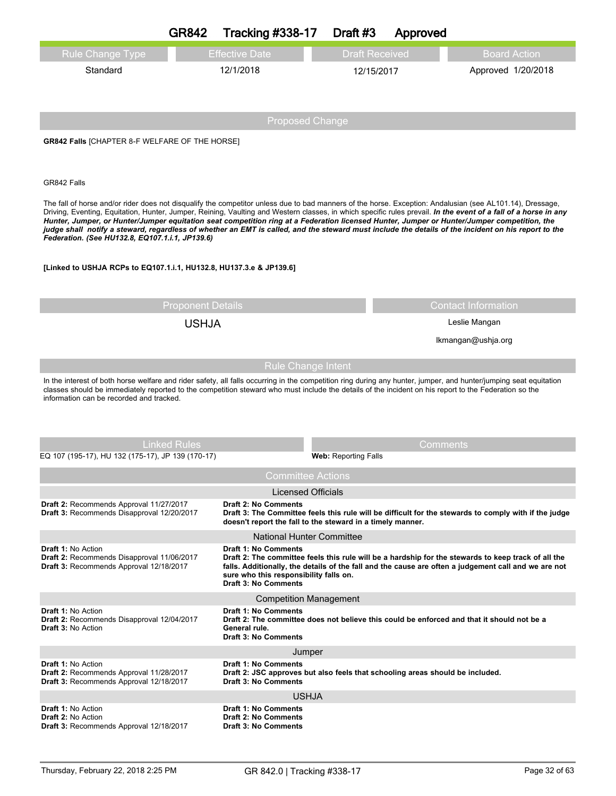|                                                                                                                                                                                                                                                                                                                                                                        | <b>GR842</b>                                                                                                                                                                                                                                                                                                                                                                                                                                                                                                                                                                                                                                                                          | <b>Tracking #338-17</b>                                                                                                                                                   | Draft #3              | Approved           |                                                                                                                                                                                                             |  |
|------------------------------------------------------------------------------------------------------------------------------------------------------------------------------------------------------------------------------------------------------------------------------------------------------------------------------------------------------------------------|---------------------------------------------------------------------------------------------------------------------------------------------------------------------------------------------------------------------------------------------------------------------------------------------------------------------------------------------------------------------------------------------------------------------------------------------------------------------------------------------------------------------------------------------------------------------------------------------------------------------------------------------------------------------------------------|---------------------------------------------------------------------------------------------------------------------------------------------------------------------------|-----------------------|--------------------|-------------------------------------------------------------------------------------------------------------------------------------------------------------------------------------------------------------|--|
| Rule Change Type                                                                                                                                                                                                                                                                                                                                                       |                                                                                                                                                                                                                                                                                                                                                                                                                                                                                                                                                                                                                                                                                       | <b>Effective Date</b>                                                                                                                                                     | <b>Draft Received</b> |                    | <b>Board Action</b>                                                                                                                                                                                         |  |
| Standard                                                                                                                                                                                                                                                                                                                                                               |                                                                                                                                                                                                                                                                                                                                                                                                                                                                                                                                                                                                                                                                                       | 12/1/2018                                                                                                                                                                 | 12/15/2017            |                    | Approved 1/20/2018                                                                                                                                                                                          |  |
|                                                                                                                                                                                                                                                                                                                                                                        |                                                                                                                                                                                                                                                                                                                                                                                                                                                                                                                                                                                                                                                                                       |                                                                                                                                                                           |                       |                    |                                                                                                                                                                                                             |  |
|                                                                                                                                                                                                                                                                                                                                                                        |                                                                                                                                                                                                                                                                                                                                                                                                                                                                                                                                                                                                                                                                                       |                                                                                                                                                                           |                       |                    |                                                                                                                                                                                                             |  |
|                                                                                                                                                                                                                                                                                                                                                                        |                                                                                                                                                                                                                                                                                                                                                                                                                                                                                                                                                                                                                                                                                       | <b>Proposed Change</b>                                                                                                                                                    |                       |                    |                                                                                                                                                                                                             |  |
| GR842 Falls [CHAPTER 8-F WELFARE OF THE HORSE]                                                                                                                                                                                                                                                                                                                         |                                                                                                                                                                                                                                                                                                                                                                                                                                                                                                                                                                                                                                                                                       |                                                                                                                                                                           |                       |                    |                                                                                                                                                                                                             |  |
|                                                                                                                                                                                                                                                                                                                                                                        |                                                                                                                                                                                                                                                                                                                                                                                                                                                                                                                                                                                                                                                                                       |                                                                                                                                                                           |                       |                    |                                                                                                                                                                                                             |  |
| GR842 Falls                                                                                                                                                                                                                                                                                                                                                            |                                                                                                                                                                                                                                                                                                                                                                                                                                                                                                                                                                                                                                                                                       |                                                                                                                                                                           |                       |                    |                                                                                                                                                                                                             |  |
|                                                                                                                                                                                                                                                                                                                                                                        | The fall of horse and/or rider does not disqualify the competitor unless due to bad manners of the horse. Exception: Andalusian (see AL101.14), Dressage,<br>Driving, Eventing, Equitation, Hunter, Jumper, Reining, Vaulting and Western classes, in which specific rules prevail. In the event of a fall of a horse in any<br>Hunter, Jumper, or Hunter/Jumper equitation seat competition ring at a Federation licensed Hunter, Jumper or Hunter/Jumper competition, the<br>judge shall notify a steward, regardless of whether an EMT is called, and the steward must include the details of the incident on his report to the<br>Federation. (See HU132.8, EQ107.1.i.1, JP139.6) |                                                                                                                                                                           |                       |                    |                                                                                                                                                                                                             |  |
| [Linked to USHJA RCPs to EQ107.1.i.1, HU132.8, HU137.3.e & JP139.6]                                                                                                                                                                                                                                                                                                    |                                                                                                                                                                                                                                                                                                                                                                                                                                                                                                                                                                                                                                                                                       |                                                                                                                                                                           |                       |                    |                                                                                                                                                                                                             |  |
|                                                                                                                                                                                                                                                                                                                                                                        | <b>Proponent Details</b>                                                                                                                                                                                                                                                                                                                                                                                                                                                                                                                                                                                                                                                              |                                                                                                                                                                           |                       |                    | <b>Contact Information</b>                                                                                                                                                                                  |  |
|                                                                                                                                                                                                                                                                                                                                                                        | <b>USHJA</b>                                                                                                                                                                                                                                                                                                                                                                                                                                                                                                                                                                                                                                                                          |                                                                                                                                                                           |                       |                    | Leslie Mangan                                                                                                                                                                                               |  |
|                                                                                                                                                                                                                                                                                                                                                                        |                                                                                                                                                                                                                                                                                                                                                                                                                                                                                                                                                                                                                                                                                       |                                                                                                                                                                           |                       | lkmangan@ushja.org |                                                                                                                                                                                                             |  |
| <b>Rule Change Intent</b>                                                                                                                                                                                                                                                                                                                                              |                                                                                                                                                                                                                                                                                                                                                                                                                                                                                                                                                                                                                                                                                       |                                                                                                                                                                           |                       |                    |                                                                                                                                                                                                             |  |
| In the interest of both horse welfare and rider safety, all falls occurring in the competition ring during any hunter, jumper, and hunter/jumping seat equitation<br>classes should be immediately reported to the competition steward who must include the details of the incident on his report to the Federation so the<br>information can be recorded and tracked. |                                                                                                                                                                                                                                                                                                                                                                                                                                                                                                                                                                                                                                                                                       |                                                                                                                                                                           |                       |                    |                                                                                                                                                                                                             |  |
| <b>Linked Rules</b><br><b>Comments</b><br>EQ 107 (195-17), HU 132 (175-17), JP 139 (170-17)<br><b>Web: Reporting Falls</b>                                                                                                                                                                                                                                             |                                                                                                                                                                                                                                                                                                                                                                                                                                                                                                                                                                                                                                                                                       |                                                                                                                                                                           |                       |                    |                                                                                                                                                                                                             |  |
| <b>Committee Actions</b>                                                                                                                                                                                                                                                                                                                                               |                                                                                                                                                                                                                                                                                                                                                                                                                                                                                                                                                                                                                                                                                       |                                                                                                                                                                           |                       |                    |                                                                                                                                                                                                             |  |
|                                                                                                                                                                                                                                                                                                                                                                        |                                                                                                                                                                                                                                                                                                                                                                                                                                                                                                                                                                                                                                                                                       | Licensed Officials                                                                                                                                                        |                       |                    |                                                                                                                                                                                                             |  |
| Draft 2: Recommends Approval 11/27/2017<br>Draft 3: Recommends Disapproval 12/20/2017                                                                                                                                                                                                                                                                                  |                                                                                                                                                                                                                                                                                                                                                                                                                                                                                                                                                                                                                                                                                       | <b>Draft 2: No Comments</b><br>doesn't report the fall to the steward in a timely manner.                                                                                 |                       |                    | Draft 3: The Committee feels this rule will be difficult for the stewards to comply with if the judge                                                                                                       |  |
|                                                                                                                                                                                                                                                                                                                                                                        |                                                                                                                                                                                                                                                                                                                                                                                                                                                                                                                                                                                                                                                                                       | <b>National Hunter Committee</b>                                                                                                                                          |                       |                    |                                                                                                                                                                                                             |  |
| Draft 1: No Action<br>Draft 2: Recommends Disapproval 11/06/2017<br>Draft 3: Recommends Approval 12/18/2017                                                                                                                                                                                                                                                            |                                                                                                                                                                                                                                                                                                                                                                                                                                                                                                                                                                                                                                                                                       | <b>Draft 1: No Comments</b><br>sure who this responsibility falls on.<br><b>Draft 3: No Comments</b>                                                                      |                       |                    | Draft 2: The committee feels this rule will be a hardship for the stewards to keep track of all the<br>falls. Additionally, the details of the fall and the cause are often a judgement call and we are not |  |
|                                                                                                                                                                                                                                                                                                                                                                        |                                                                                                                                                                                                                                                                                                                                                                                                                                                                                                                                                                                                                                                                                       | <b>Competition Management</b>                                                                                                                                             |                       |                    |                                                                                                                                                                                                             |  |
| <b>Draft 1: No Action</b><br>Draft 2: Recommends Disapproval 12/04/2017<br><b>Draft 3: No Action</b>                                                                                                                                                                                                                                                                   |                                                                                                                                                                                                                                                                                                                                                                                                                                                                                                                                                                                                                                                                                       | <b>Draft 1: No Comments</b><br>Draft 2: The committee does not believe this could be enforced and that it should not be a<br>General rule.<br><b>Draft 3: No Comments</b> |                       |                    |                                                                                                                                                                                                             |  |
|                                                                                                                                                                                                                                                                                                                                                                        |                                                                                                                                                                                                                                                                                                                                                                                                                                                                                                                                                                                                                                                                                       | Jumper                                                                                                                                                                    |                       |                    |                                                                                                                                                                                                             |  |
| <b>Draft 1: No Action</b><br>Draft 2: Recommends Approval 11/28/2017<br>Draft 3: Recommends Approval 12/18/2017                                                                                                                                                                                                                                                        |                                                                                                                                                                                                                                                                                                                                                                                                                                                                                                                                                                                                                                                                                       | <b>Draft 1: No Comments</b><br>Draft 2: JSC approves but also feels that schooling areas should be included.<br><b>Draft 3: No Comments</b>                               |                       |                    |                                                                                                                                                                                                             |  |
|                                                                                                                                                                                                                                                                                                                                                                        |                                                                                                                                                                                                                                                                                                                                                                                                                                                                                                                                                                                                                                                                                       | <b>USHJA</b>                                                                                                                                                              |                       |                    |                                                                                                                                                                                                             |  |
| <b>Draft 1: No Action</b><br><b>Draft 2: No Action</b><br><b>Draft 3: Recommends Approval 12/18/2017</b>                                                                                                                                                                                                                                                               |                                                                                                                                                                                                                                                                                                                                                                                                                                                                                                                                                                                                                                                                                       | <b>Draft 1: No Comments</b><br><b>Draft 2: No Comments</b><br><b>Draft 3: No Comments</b>                                                                                 |                       |                    |                                                                                                                                                                                                             |  |
|                                                                                                                                                                                                                                                                                                                                                                        |                                                                                                                                                                                                                                                                                                                                                                                                                                                                                                                                                                                                                                                                                       |                                                                                                                                                                           |                       |                    |                                                                                                                                                                                                             |  |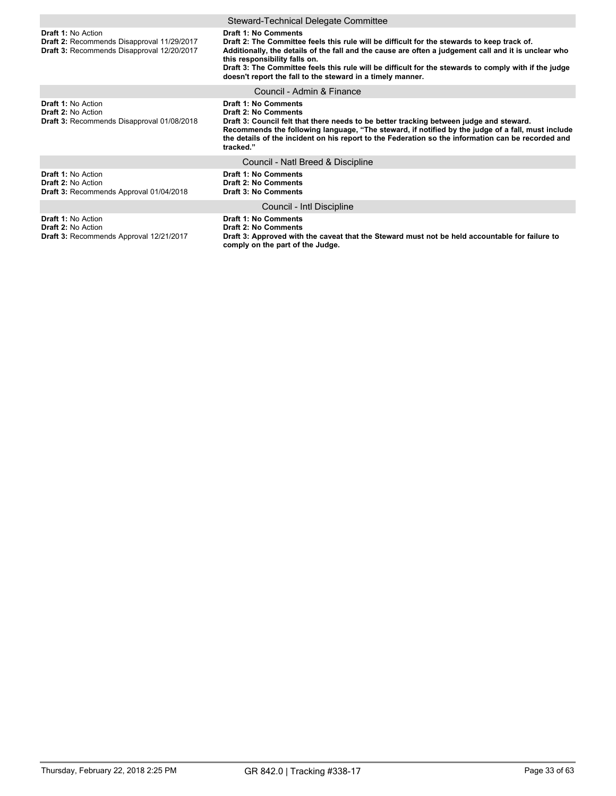|                                                                                                                       | Steward-Technical Delegate Committee                                                                                                                                                                                                                                                                                                                                                                                                |
|-----------------------------------------------------------------------------------------------------------------------|-------------------------------------------------------------------------------------------------------------------------------------------------------------------------------------------------------------------------------------------------------------------------------------------------------------------------------------------------------------------------------------------------------------------------------------|
| <b>Draft 1: No Action</b><br>Draft 2: Recommends Disapproval 11/29/2017<br>Draft 3: Recommends Disapproval 12/20/2017 | Draft 1: No Comments<br>Draft 2: The Committee feels this rule will be difficult for the stewards to keep track of.<br>Additionally, the details of the fall and the cause are often a judgement call and it is unclear who<br>this responsibility falls on.<br>Draft 3: The Committee feels this rule will be difficult for the stewards to comply with if the judge<br>doesn't report the fall to the steward in a timely manner. |
|                                                                                                                       | Council - Admin & Finance                                                                                                                                                                                                                                                                                                                                                                                                           |
| <b>Draft 1: No Action</b><br><b>Draft 2: No Action</b><br>Draft 3: Recommends Disapproval 01/08/2018                  | <b>Draft 1: No Comments</b><br><b>Draft 2: No Comments</b><br>Draft 3: Council felt that there needs to be better tracking between judge and steward.<br>Recommends the following language, "The steward, if notified by the judge of a fall, must include<br>the details of the incident on his report to the Federation so the information can be recorded and<br>tracked."                                                       |
|                                                                                                                       | Council - Natl Breed & Discipline                                                                                                                                                                                                                                                                                                                                                                                                   |
| <b>Draft 1: No Action</b><br><b>Draft 2: No Action</b><br>Draft 3: Recommends Approval 01/04/2018                     | <b>Draft 1: No Comments</b><br><b>Draft 2: No Comments</b><br><b>Draft 3: No Comments</b>                                                                                                                                                                                                                                                                                                                                           |
|                                                                                                                       | Council - Intl Discipline                                                                                                                                                                                                                                                                                                                                                                                                           |
| <b>Draft 1: No Action</b><br><b>Draft 2: No Action</b><br><b>Draft 3: Recommends Approval 12/21/2017</b>              | <b>Draft 1: No Comments</b><br><b>Draft 2: No Comments</b><br>Draft 3: Approved with the caveat that the Steward must not be held accountable for failure to<br>comply on the part of the Judge.                                                                                                                                                                                                                                    |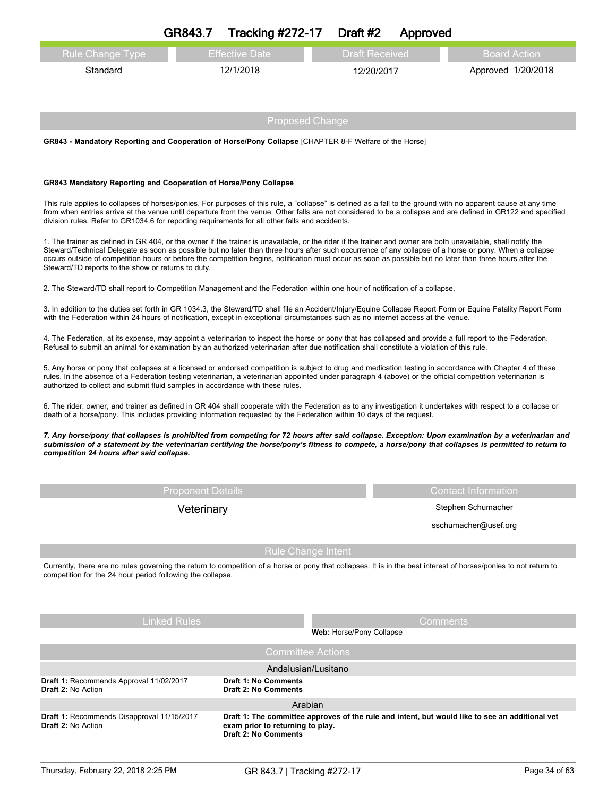|                         | Tracking $\#272-17$ Draft $\#2$<br>GR843.7 | Approved              |                     |
|-------------------------|--------------------------------------------|-----------------------|---------------------|
| <b>Rule Change Type</b> | <b>Effective Date</b>                      | <b>Draft Received</b> | <b>Board Action</b> |
| Standard                | 12/1/2018                                  | 12/20/2017            | Approved 1/20/2018  |
|                         |                                            |                       |                     |
|                         |                                            |                       |                     |

**GR843 - Mandatory Reporting and Cooperation of Horse/Pony Collapse** [CHAPTER 8-F Welfare of the Horse]

### **GR843 Mandatory Reporting and Cooperation of Horse/Pony Collapse**

This rule applies to collapses of horses/ponies. For purposes of this rule, a "collapse" is defined as a fall to the ground with no apparent cause at any time from when entries arrive at the venue until departure from the venue. Other falls are not considered to be a collapse and are defined in GR122 and specified division rules. Refer to GR1034.6 for reporting requirements for all other falls and accidents.

1. The trainer as defined in GR 404, or the owner if the trainer is unavailable, or the rider if the trainer and owner are both unavailable, shall notify the Steward/Technical Delegate as soon as possible but no later than three hours after such occurrence of any collapse of a horse or pony. When a collapse occurs outside of competition hours or before the competition begins, notification must occur as soon as possible but no later than three hours after the Steward/TD reports to the show or returns to duty.

2. The Steward/TD shall report to Competition Management and the Federation within one hour of notification of a collapse.

3. In addition to the duties set forth in GR 1034.3, the Steward/TD shall file an Accident/Injury/Equine Collapse Report Form or Equine Fatality Report Form with the Federation within 24 hours of notification, except in exceptional circumstances such as no internet access at the venue.

4. The Federation, at its expense, may appoint a veterinarian to inspect the horse or pony that has collapsed and provide a full report to the Federation. Refusal to submit an animal for examination by an authorized veterinarian after due notification shall constitute a violation of this rule.

5. Any horse or pony that collapses at a licensed or endorsed competition is subject to drug and medication testing in accordance with Chapter 4 of these rules. In the absence of a Federation testing veterinarian, a veterinarian appointed under paragraph 4 (above) or the official competition veterinarian is authorized to collect and submit fluid samples in accordance with these rules.

6. The rider, owner, and trainer as defined in GR 404 shall cooperate with the Federation as to any investigation it undertakes with respect to a collapse or death of a horse/pony. This includes providing information requested by the Federation within 10 days of the request.

7. Any horse/pony that collapses is prohibited from competing for 72 hours after said collapse. Exception: Upon examination by a veterinarian and submission of a statement by the veterinarian certifying the horse/pony's fitness to compete, a horse/pony that collapses is permitted to return to *competition 24 hours after said collapse.*

| <b>Proponent Details</b> |  |  |
|--------------------------|--|--|
|                          |  |  |

**Contact Information** 

Veterinary **Stephen Schumacher** Stephen Schumacher

sschumacher@usef.org

# Rule Change Intent

Currently, there are no rules governing the return to competition of a horse or pony that collapses. It is in the best interest of horses/ponies to not return to competition for the 24 hour period following the collapse.

| <b>Linked Rules</b>                                                     | <b>Comments</b><br><b>Web: Horse/Pony Collapse</b>                                                                                                          |  |  |  |  |
|-------------------------------------------------------------------------|-------------------------------------------------------------------------------------------------------------------------------------------------------------|--|--|--|--|
|                                                                         | <b>Committee Actions</b>                                                                                                                                    |  |  |  |  |
| Andalusian/Lusitano                                                     |                                                                                                                                                             |  |  |  |  |
| Draft 1: Recommends Approval 11/02/2017<br><b>Draft 2: No Action</b>    | <b>Draft 1: No Comments</b><br>Draft 2: No Comments                                                                                                         |  |  |  |  |
|                                                                         | Arabian                                                                                                                                                     |  |  |  |  |
| Draft 1: Recommends Disapproval 11/15/2017<br><b>Draft 2: No Action</b> | Draft 1: The committee approves of the rule and intent, but would like to see an additional vet<br>exam prior to returning to play.<br>Draft 2: No Comments |  |  |  |  |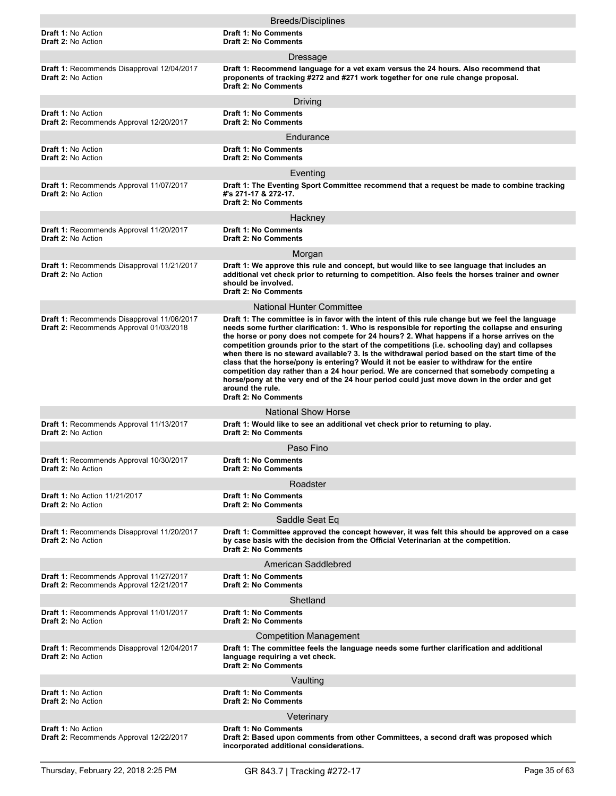|                                                                                       | <b>Breeds/Disciplines</b>                                                                                                                                                                                                                                                                                                                                                                                                                                                                                                                                                                                                                                                                                                                                                                                                                    |
|---------------------------------------------------------------------------------------|----------------------------------------------------------------------------------------------------------------------------------------------------------------------------------------------------------------------------------------------------------------------------------------------------------------------------------------------------------------------------------------------------------------------------------------------------------------------------------------------------------------------------------------------------------------------------------------------------------------------------------------------------------------------------------------------------------------------------------------------------------------------------------------------------------------------------------------------|
| <b>Draft 1: No Action</b><br><b>Draft 2: No Action</b>                                | <b>Draft 1: No Comments</b><br><b>Draft 2: No Comments</b>                                                                                                                                                                                                                                                                                                                                                                                                                                                                                                                                                                                                                                                                                                                                                                                   |
|                                                                                       | Dressage                                                                                                                                                                                                                                                                                                                                                                                                                                                                                                                                                                                                                                                                                                                                                                                                                                     |
| Draft 1: Recommends Disapproval 12/04/2017<br><b>Draft 2: No Action</b>               | Draft 1: Recommend language for a vet exam versus the 24 hours. Also recommend that<br>proponents of tracking #272 and #271 work together for one rule change proposal.<br>Draft 2: No Comments                                                                                                                                                                                                                                                                                                                                                                                                                                                                                                                                                                                                                                              |
|                                                                                       | Driving                                                                                                                                                                                                                                                                                                                                                                                                                                                                                                                                                                                                                                                                                                                                                                                                                                      |
| <b>Draft 1: No Action</b><br>Draft 2: Recommends Approval 12/20/2017                  | <b>Draft 1: No Comments</b><br><b>Draft 2: No Comments</b>                                                                                                                                                                                                                                                                                                                                                                                                                                                                                                                                                                                                                                                                                                                                                                                   |
|                                                                                       | Endurance                                                                                                                                                                                                                                                                                                                                                                                                                                                                                                                                                                                                                                                                                                                                                                                                                                    |
| <b>Draft 1: No Action</b><br>Draft 2: No Action                                       | <b>Draft 1: No Comments</b><br><b>Draft 2: No Comments</b>                                                                                                                                                                                                                                                                                                                                                                                                                                                                                                                                                                                                                                                                                                                                                                                   |
|                                                                                       | Eventing                                                                                                                                                                                                                                                                                                                                                                                                                                                                                                                                                                                                                                                                                                                                                                                                                                     |
| <b>Draft 1: Recommends Approval 11/07/2017</b><br><b>Draft 2: No Action</b>           | Draft 1: The Eventing Sport Committee recommend that a request be made to combine tracking<br>#'s 271-17 & 272-17.<br><b>Draft 2: No Comments</b>                                                                                                                                                                                                                                                                                                                                                                                                                                                                                                                                                                                                                                                                                            |
|                                                                                       | Hackney                                                                                                                                                                                                                                                                                                                                                                                                                                                                                                                                                                                                                                                                                                                                                                                                                                      |
| Draft 1: Recommends Approval 11/20/2017<br>Draft 2: No Action                         | <b>Draft 1: No Comments</b><br><b>Draft 2: No Comments</b>                                                                                                                                                                                                                                                                                                                                                                                                                                                                                                                                                                                                                                                                                                                                                                                   |
|                                                                                       | Morgan                                                                                                                                                                                                                                                                                                                                                                                                                                                                                                                                                                                                                                                                                                                                                                                                                                       |
| Draft 1: Recommends Disapproval 11/21/2017<br>Draft 2: No Action                      | Draft 1: We approve this rule and concept, but would like to see language that includes an<br>additional vet check prior to returning to competition. Also feels the horses trainer and owner<br>should be involved.<br><b>Draft 2: No Comments</b>                                                                                                                                                                                                                                                                                                                                                                                                                                                                                                                                                                                          |
|                                                                                       | <b>National Hunter Committee</b>                                                                                                                                                                                                                                                                                                                                                                                                                                                                                                                                                                                                                                                                                                                                                                                                             |
| Draft 1: Recommends Disapproval 11/06/2017<br>Draft 2: Recommends Approval 01/03/2018 | Draft 1: The committee is in favor with the intent of this rule change but we feel the language<br>needs some further clarification: 1. Who is responsible for reporting the collapse and ensuring<br>the horse or pony does not compete for 24 hours? 2. What happens if a horse arrives on the<br>competition grounds prior to the start of the competitions (i.e. schooling day) and collapses<br>when there is no steward available? 3. Is the withdrawal period based on the start time of the<br>class that the horse/pony is entering? Would it not be easier to withdraw for the entire<br>competition day rather than a 24 hour period. We are concerned that somebody competing a<br>horse/pony at the very end of the 24 hour period could just move down in the order and get<br>around the rule.<br><b>Draft 2: No Comments</b> |
|                                                                                       | <b>National Show Horse</b>                                                                                                                                                                                                                                                                                                                                                                                                                                                                                                                                                                                                                                                                                                                                                                                                                   |
| Draft 1: Recommends Approval 11/13/2017<br><b>Draft 2: No Action</b>                  | Draft 1: Would like to see an additional vet check prior to returning to play.<br><b>Draft 2: No Comments</b>                                                                                                                                                                                                                                                                                                                                                                                                                                                                                                                                                                                                                                                                                                                                |
|                                                                                       | Paso Fino                                                                                                                                                                                                                                                                                                                                                                                                                                                                                                                                                                                                                                                                                                                                                                                                                                    |
| <b>Draft 1: Recommends Approval 10/30/2017</b><br><b>Draft 2: No Action</b>           | <b>Draft 1: No Comments</b><br><b>Draft 2: No Comments</b>                                                                                                                                                                                                                                                                                                                                                                                                                                                                                                                                                                                                                                                                                                                                                                                   |
|                                                                                       | Roadster                                                                                                                                                                                                                                                                                                                                                                                                                                                                                                                                                                                                                                                                                                                                                                                                                                     |
| <b>Draft 1: No Action 11/21/2017</b><br><b>Draft 2: No Action</b>                     | <b>Draft 1: No Comments</b><br><b>Draft 2: No Comments</b>                                                                                                                                                                                                                                                                                                                                                                                                                                                                                                                                                                                                                                                                                                                                                                                   |
| Draft 1: Recommends Disapproval 11/20/2017                                            | Saddle Seat Eq<br>Draft 1: Committee approved the concept however, it was felt this should be approved on a case                                                                                                                                                                                                                                                                                                                                                                                                                                                                                                                                                                                                                                                                                                                             |
| <b>Draft 2: No Action</b>                                                             | by case basis with the decision from the Official Veterinarian at the competition.<br><b>Draft 2: No Comments</b>                                                                                                                                                                                                                                                                                                                                                                                                                                                                                                                                                                                                                                                                                                                            |
|                                                                                       | American Saddlebred                                                                                                                                                                                                                                                                                                                                                                                                                                                                                                                                                                                                                                                                                                                                                                                                                          |
| Draft 1: Recommends Approval 11/27/2017<br>Draft 2: Recommends Approval 12/21/2017    | <b>Draft 1: No Comments</b><br><b>Draft 2: No Comments</b>                                                                                                                                                                                                                                                                                                                                                                                                                                                                                                                                                                                                                                                                                                                                                                                   |
|                                                                                       | Shetland                                                                                                                                                                                                                                                                                                                                                                                                                                                                                                                                                                                                                                                                                                                                                                                                                                     |
| Draft 1: Recommends Approval 11/01/2017<br><b>Draft 2: No Action</b>                  | <b>Draft 1: No Comments</b><br><b>Draft 2: No Comments</b>                                                                                                                                                                                                                                                                                                                                                                                                                                                                                                                                                                                                                                                                                                                                                                                   |
|                                                                                       | <b>Competition Management</b>                                                                                                                                                                                                                                                                                                                                                                                                                                                                                                                                                                                                                                                                                                                                                                                                                |
| Draft 1: Recommends Disapproval 12/04/2017<br><b>Draft 2: No Action</b>               | Draft 1: The committee feels the language needs some further clarification and additional<br>language requiring a vet check.<br><b>Draft 2: No Comments</b>                                                                                                                                                                                                                                                                                                                                                                                                                                                                                                                                                                                                                                                                                  |
|                                                                                       | Vaulting                                                                                                                                                                                                                                                                                                                                                                                                                                                                                                                                                                                                                                                                                                                                                                                                                                     |
| Draft 1: No Action<br><b>Draft 2: No Action</b>                                       | <b>Draft 1: No Comments</b><br><b>Draft 2: No Comments</b>                                                                                                                                                                                                                                                                                                                                                                                                                                                                                                                                                                                                                                                                                                                                                                                   |
|                                                                                       | Veterinary                                                                                                                                                                                                                                                                                                                                                                                                                                                                                                                                                                                                                                                                                                                                                                                                                                   |
| Draft 1: No Action<br>Draft 2: Recommends Approval 12/22/2017                         | <b>Draft 1: No Comments</b><br>Draft 2: Based upon comments from other Committees, a second draft was proposed which<br>incorporated additional considerations.                                                                                                                                                                                                                                                                                                                                                                                                                                                                                                                                                                                                                                                                              |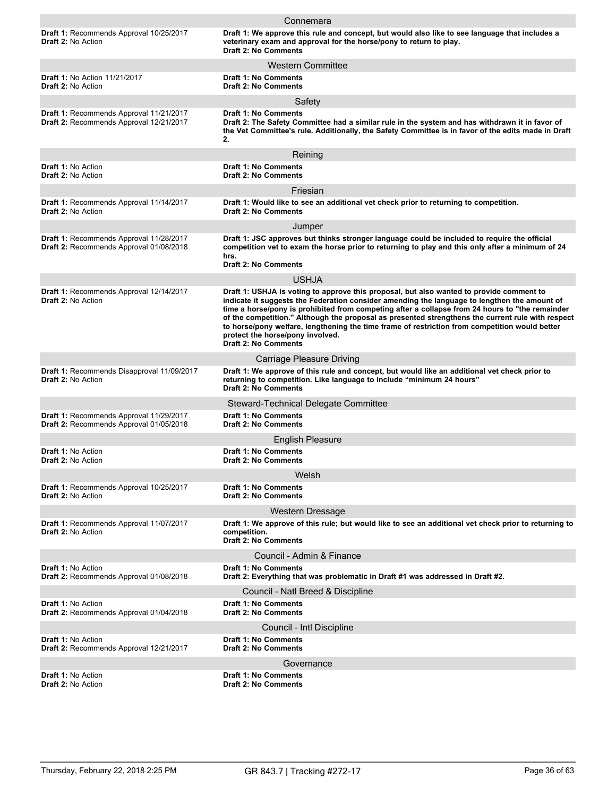|                                                                                                  | Connemara                                                                                                                                                                                                                                                                                                                                                                                                                                                                                                                                                             |
|--------------------------------------------------------------------------------------------------|-----------------------------------------------------------------------------------------------------------------------------------------------------------------------------------------------------------------------------------------------------------------------------------------------------------------------------------------------------------------------------------------------------------------------------------------------------------------------------------------------------------------------------------------------------------------------|
| <b>Draft 1: Recommends Approval 10/25/2017</b><br>Draft 2: No Action                             | Draft 1: We approve this rule and concept, but would also like to see language that includes a<br>veterinary exam and approval for the horse/pony to return to play.<br><b>Draft 2: No Comments</b>                                                                                                                                                                                                                                                                                                                                                                   |
|                                                                                                  | <b>Western Committee</b>                                                                                                                                                                                                                                                                                                                                                                                                                                                                                                                                              |
| <b>Draft 1: No Action 11/21/2017</b><br><b>Draft 2: No Action</b>                                | <b>Draft 1: No Comments</b><br><b>Draft 2: No Comments</b>                                                                                                                                                                                                                                                                                                                                                                                                                                                                                                            |
|                                                                                                  | Safety                                                                                                                                                                                                                                                                                                                                                                                                                                                                                                                                                                |
| Draft 1: Recommends Approval 11/21/2017<br>Draft 2: Recommends Approval 12/21/2017               | <b>Draft 1: No Comments</b><br>Draft 2: The Safety Committee had a similar rule in the system and has withdrawn it in favor of<br>the Vet Committee's rule. Additionally, the Safety Committee is in favor of the edits made in Draft<br>2.                                                                                                                                                                                                                                                                                                                           |
|                                                                                                  | Reining                                                                                                                                                                                                                                                                                                                                                                                                                                                                                                                                                               |
| <b>Draft 1: No Action</b><br><b>Draft 2: No Action</b>                                           | <b>Draft 1: No Comments</b><br><b>Draft 2: No Comments</b>                                                                                                                                                                                                                                                                                                                                                                                                                                                                                                            |
|                                                                                                  | Friesian                                                                                                                                                                                                                                                                                                                                                                                                                                                                                                                                                              |
| <b>Draft 1: Recommends Approval 11/14/2017</b><br>Draft 2: No Action                             | Draft 1: Would like to see an additional vet check prior to returning to competition.<br><b>Draft 2: No Comments</b>                                                                                                                                                                                                                                                                                                                                                                                                                                                  |
|                                                                                                  | Jumper                                                                                                                                                                                                                                                                                                                                                                                                                                                                                                                                                                |
| Draft 1: Recommends Approval 11/28/2017<br>Draft 2: Recommends Approval 01/08/2018               | Draft 1: JSC approves but thinks stronger language could be included to require the official<br>competition vet to exam the horse prior to returning to play and this only after a minimum of 24<br>hrs.<br><b>Draft 2: No Comments</b>                                                                                                                                                                                                                                                                                                                               |
|                                                                                                  | USHJA                                                                                                                                                                                                                                                                                                                                                                                                                                                                                                                                                                 |
| Draft 1: Recommends Approval 12/14/2017<br><b>Draft 2: No Action</b>                             | Draft 1: USHJA is voting to approve this proposal, but also wanted to provide comment to<br>indicate it suggests the Federation consider amending the language to lengthen the amount of<br>time a horse/pony is prohibited from competing after a collapse from 24 hours to "the remainder<br>of the competition." Although the proposal as presented strengthens the current rule with respect<br>to horse/pony welfare, lengthening the time frame of restriction from competition would better<br>protect the horse/pony involved.<br><b>Draft 2: No Comments</b> |
|                                                                                                  | <b>Carriage Pleasure Driving</b>                                                                                                                                                                                                                                                                                                                                                                                                                                                                                                                                      |
| Draft 1: Recommends Disapproval 11/09/2017<br><b>Draft 2: No Action</b>                          | Draft 1: We approve of this rule and concept, but would like an additional vet check prior to<br>returning to competition. Like language to include "minimum 24 hours"<br><b>Draft 2: No Comments</b>                                                                                                                                                                                                                                                                                                                                                                 |
|                                                                                                  | Steward-Technical Delegate Committee                                                                                                                                                                                                                                                                                                                                                                                                                                                                                                                                  |
| <b>Draft 1: Recommends Approval 11/29/2017</b><br><b>Draft 2: Recommends Approval 01/05/2018</b> | <b>Draft 1: No Comments</b><br><b>Draft 2: No Comments</b>                                                                                                                                                                                                                                                                                                                                                                                                                                                                                                            |
|                                                                                                  | <b>English Pleasure</b>                                                                                                                                                                                                                                                                                                                                                                                                                                                                                                                                               |
| <b>Draft 1: No Action</b><br><b>Draft 2: No Action</b>                                           | <b>Draft 1: No Comments</b><br><b>Draft 2: No Comments</b>                                                                                                                                                                                                                                                                                                                                                                                                                                                                                                            |
|                                                                                                  | Welsh                                                                                                                                                                                                                                                                                                                                                                                                                                                                                                                                                                 |
| <b>Draft 1: Recommends Approval 10/25/2017</b><br><b>Draft 2: No Action</b>                      | <b>Draft 1: No Comments</b><br><b>Draft 2: No Comments</b>                                                                                                                                                                                                                                                                                                                                                                                                                                                                                                            |
|                                                                                                  | <b>Western Dressage</b>                                                                                                                                                                                                                                                                                                                                                                                                                                                                                                                                               |
| Draft 1: Recommends Approval 11/07/2017<br>Draft 2: No Action                                    | Draft 1: We approve of this rule; but would like to see an additional vet check prior to returning to<br>competition.<br><b>Draft 2: No Comments</b>                                                                                                                                                                                                                                                                                                                                                                                                                  |
|                                                                                                  | Council - Admin & Finance                                                                                                                                                                                                                                                                                                                                                                                                                                                                                                                                             |
| <b>Draft 1: No Action</b><br>Draft 2: Recommends Approval 01/08/2018                             | <b>Draft 1: No Comments</b><br>Draft 2: Everything that was problematic in Draft #1 was addressed in Draft #2.                                                                                                                                                                                                                                                                                                                                                                                                                                                        |
|                                                                                                  | Council - Natl Breed & Discipline                                                                                                                                                                                                                                                                                                                                                                                                                                                                                                                                     |
| Draft 1: No Action<br>Draft 2: Recommends Approval 01/04/2018                                    | <b>Draft 1: No Comments</b><br><b>Draft 2: No Comments</b>                                                                                                                                                                                                                                                                                                                                                                                                                                                                                                            |
|                                                                                                  | Council - Intl Discipline                                                                                                                                                                                                                                                                                                                                                                                                                                                                                                                                             |
| Draft 1: No Action<br>Draft 2: Recommends Approval 12/21/2017                                    | <b>Draft 1: No Comments</b><br><b>Draft 2: No Comments</b>                                                                                                                                                                                                                                                                                                                                                                                                                                                                                                            |
|                                                                                                  | Governance                                                                                                                                                                                                                                                                                                                                                                                                                                                                                                                                                            |
| Draft 1: No Action<br><b>Draft 2: No Action</b>                                                  | <b>Draft 1: No Comments</b><br><b>Draft 2: No Comments</b>                                                                                                                                                                                                                                                                                                                                                                                                                                                                                                            |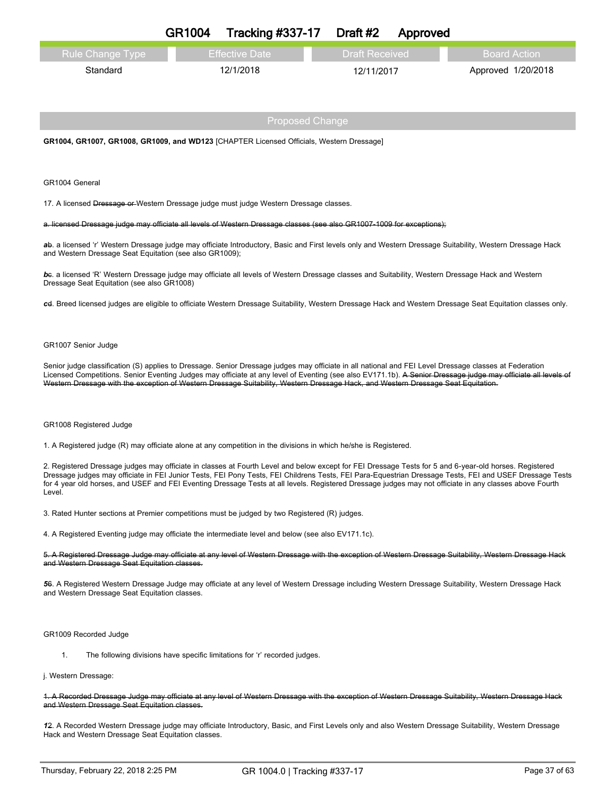|                         | <b>GR1004</b> | Tracking $\#337-17$ Draft $\#2$ |                       | Approved |                    |
|-------------------------|---------------|---------------------------------|-----------------------|----------|--------------------|
| <b>Rule Change Type</b> |               | <b>Effective Date</b>           | <b>Draft Received</b> |          | / Board Action ⊥   |
| Standard                |               | 12/1/2018                       | 12/11/2017            |          | Approved 1/20/2018 |

**GR1004, GR1007, GR1008, GR1009, and WD123** [CHAPTER Licensed Officials, Western Dressage]

GR1004 General

17. A licensed Dressage or Western Dressage judge must judge Western Dressage classes.

#### a. licensed Dressage judge may officiate all levels of Western Dressage classes (see also GR1007-1009 for exceptions);

*a*b. a licensed 'r' Western Dressage judge may officiate Introductory, Basic and First levels only and Western Dressage Suitability, Western Dressage Hack and Western Dressage Seat Equitation (see also GR1009);

*b*c. a licensed 'R' Western Dressage judge may officiate all levels of Western Dressage classes and Suitability, Western Dressage Hack and Western Dressage Seat Equitation (see also GR1008)

*c*d. Breed licensed judges are eligible to officiate Western Dressage Suitability, Western Dressage Hack and Western Dressage Seat Equitation classes only.

#### GR1007 Senior Judge

Senior judge classification (S) applies to Dressage. Senior Dressage judges may officiate in all national and FEI Level Dressage classes at Federation Licensed Competitions. Senior Eventing Judges may officiate at any level of Eventing (see also EV171.1b). A Senior Dressage judge may officiate all levels of Western Dressage with the exception of Western Dressage Suitability, Western Dressage Hack, and Western Dressage Seat Equitation.

#### GR1008 Registered Judge

1. A Registered judge (R) may officiate alone at any competition in the divisions in which he/she is Registered.

2. Registered Dressage judges may officiate in classes at Fourth Level and below except for FEI Dressage Tests for 5 and 6-year-old horses. Registered Dressage judges may officiate in FEI Junior Tests, FEI Pony Tests, FEI Childrens Tests, FEI Para-Equestrian Dressage Tests, FEI and USEF Dressage Tests for 4 year old horses, and USEF and FEI Eventing Dressage Tests at all levels. Registered Dressage judges may not officiate in any classes above Fourth Level.

3. Rated Hunter sections at Premier competitions must be judged by two Registered (R) judges.

4. A Registered Eventing judge may officiate the intermediate level and below (see also EV171.1c).

5. A Registered Dressage Judge may officiate at any level of Western Dressage with the exception of Western Dressage Suitability, Western Dressage Hack and Western Dressage Seat Equitation classes.

*5*6. A Registered Western Dressage Judge may officiate at any level of Western Dressage including Western Dressage Suitability, Western Dressage Hack and Western Dressage Seat Equitation classes.

#### GR1009 Recorded Judge

1. The following divisions have specific limitations for 'r' recorded judges.

#### j. Western Dressage:

1. A Recorded Dressage Judge may officiate at any level of Western Dressage with the exception of Western Dressage Suitability, Western Dressage Hack and Western Dressage Seat Equitation classes.

*1*2. A Recorded Western Dressage judge may officiate Introductory, Basic, and First Levels only and also Western Dressage Suitability, Western Dressage Hack and Western Dressage Seat Equitation classes.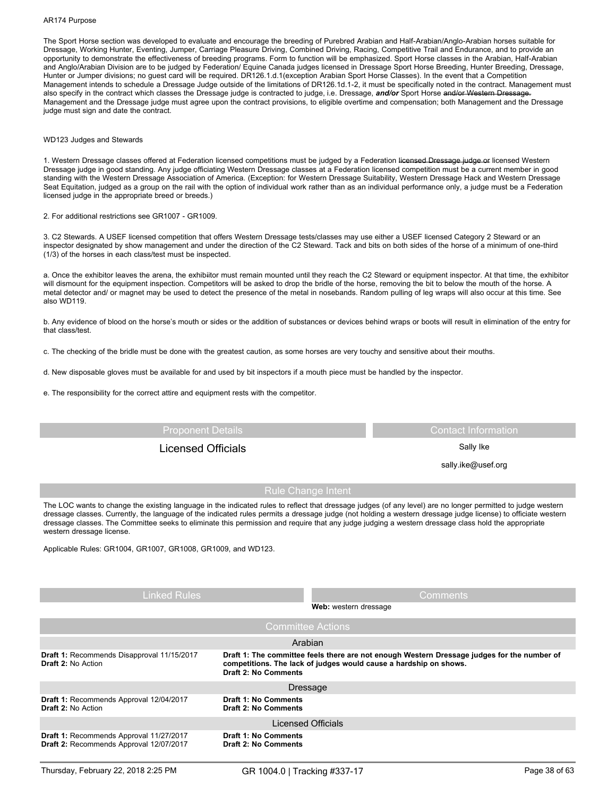#### AR174 Purpose

The Sport Horse section was developed to evaluate and encourage the breeding of Purebred Arabian and Half-Arabian/Anglo-Arabian horses suitable for Dressage, Working Hunter, Eventing, Jumper, Carriage Pleasure Driving, Combined Driving, Racing, Competitive Trail and Endurance, and to provide an opportunity to demonstrate the effectiveness of breeding programs. Form to function will be emphasized. Sport Horse classes in the Arabian, Half-Arabian and Anglo/Arabian Division are to be judged by Federation/ Equine Canada judges licensed in Dressage Sport Horse Breeding, Hunter Breeding, Dressage, Hunter or Jumper divisions; no guest card will be required. DR126.1.d.1(exception Arabian Sport Horse Classes). In the event that a Competition Management intends to schedule a Dressage Judge outside of the limitations of DR126.1d.1-2, it must be specifically noted in the contract. Management must also specify in the contract which classes the Dressage judge is contracted to judge, i.e. Dressage, *and/or* Sport Horse and/or Western Dressage. Management and the Dressage judge must agree upon the contract provisions, to eligible overtime and compensation; both Management and the Dressage judge must sign and date the contract.

#### WD123 Judges and Stewards

1. Western Dressage classes offered at Federation licensed competitions must be judged by a Federation licensed Dressage judge or licensed Western Dressage judge in good standing. Any judge officiating Western Dressage classes at a Federation licensed competition must be a current member in good standing with the Western Dressage Association of America. (Exception: for Western Dressage Suitability, Western Dressage Hack and Western Dressage Seat Equitation, judged as a group on the rail with the option of individual work rather than as an individual performance only, a judge must be a Federation licensed judge in the appropriate breed or breeds.)

2. For additional restrictions see GR1007 - GR1009.

3. C2 Stewards. A USEF licensed competition that offers Western Dressage tests/classes may use either a USEF licensed Category 2 Steward or an inspector designated by show management and under the direction of the C2 Steward. Tack and bits on both sides of the horse of a minimum of one-third (1/3) of the horses in each class/test must be inspected.

a. Once the exhibitor leaves the arena, the exhibiitor must remain mounted until they reach the C2 Steward or equipment inspector. At that time, the exhibitor will dismount for the equipment inspection. Competitors will be asked to drop the bridle of the horse, removing the bit to below the mouth of the horse. A metal detector and/ or magnet may be used to detect the presence of the metal in nosebands. Random pulling of leg wraps will also occur at this time. See also WD119.

b. Any evidence of blood on the horse's mouth or sides or the addition of substances or devices behind wraps or boots will result in elimination of the entry for that class/test.

c. The checking of the bridle must be done with the greatest caution, as some horses are very touchy and sensitive about their mouths.

d. New disposable gloves must be available for and used by bit inspectors if a mouth piece must be handled by the inspector.

e. The responsibility for the correct attire and equipment rests with the competitor.

Proponent Details Contact Information

sally.ike@usef.org

Licensed Officials **Sally Ike** Sally Ike

## Rule Change Intent

The LOC wants to change the existing language in the indicated rules to reflect that dressage judges (of any level) are no longer permitted to judge western dressage classes. Currently, the language of the indicated rules permits a dressage judge (not holding a western dressage judge license) to officiate western dressage classes. The Committee seeks to eliminate this permission and require that any judge judging a western dressage class hold the appropriate western dressage license.

Applicable Rules: GR1004, GR1007, GR1008, GR1009, and WD123.

Linked Rules **Comments** Comments **Web:** western dressage **Draft 1: The committee feels there are not enough Western Dressage judges for the number of competitions. The lack of judges would cause a hardship on shows. Draft 2: No Comments Draft 1:** Recommends Disapproval 11/15/2017 **Draft 2:** No Action Arabian **Draft 1: No Comments Draft 2: No Comments Draft 1:** Recommends Approval 12/04/2017 **Draft 2:** No Action Dressage **Draft 1: No Comments Draft 2: No Comments Draft 1:** Recommends Approval 11/27/2017 **Draft 2:** Recommends Approval 12/07/2017 Licensed Officials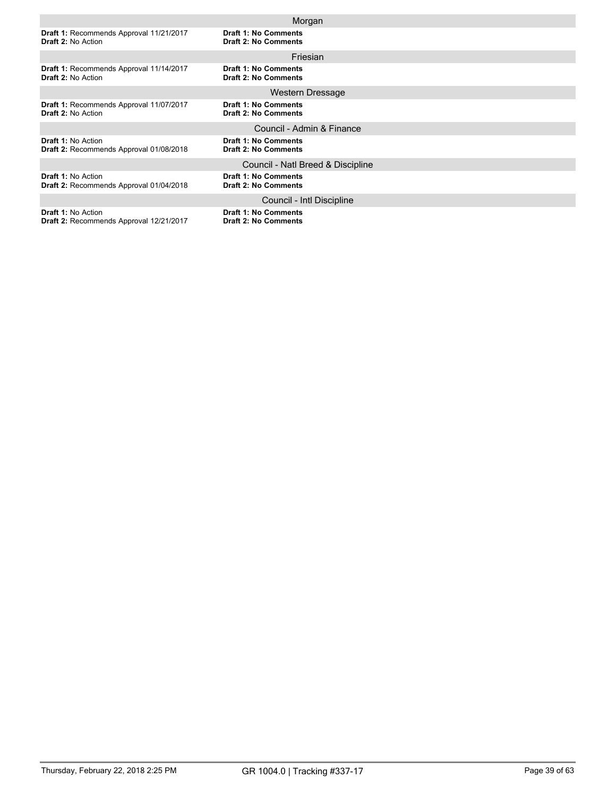|                                                | Morgan                            |
|------------------------------------------------|-----------------------------------|
| Draft 1: Recommends Approval 11/21/2017        | <b>Draft 1: No Comments</b>       |
| <b>Draft 2: No Action</b>                      | <b>Draft 2: No Comments</b>       |
|                                                | Friesian                          |
| Draft 1: Recommends Approval 11/14/2017        | <b>Draft 1: No Comments</b>       |
| <b>Draft 2: No Action</b>                      | <b>Draft 2: No Comments</b>       |
|                                                | Western Dressage                  |
| Draft 1: Recommends Approval 11/07/2017        | <b>Draft 1: No Comments</b>       |
| <b>Draft 2: No Action</b>                      | <b>Draft 2: No Comments</b>       |
|                                                | Council - Admin & Finance         |
| <b>Draft 1: No Action</b>                      | <b>Draft 1: No Comments</b>       |
| Draft 2: Recommends Approval 01/08/2018        | <b>Draft 2: No Comments</b>       |
|                                                | Council - Natl Breed & Discipline |
| <b>Draft 1: No Action</b>                      | <b>Draft 1: No Comments</b>       |
| Draft 2: Recommends Approval 01/04/2018        | <b>Draft 2: No Comments</b>       |
|                                                | Council - Intl Discipline         |
| <b>Draft 1: No Action</b>                      | <b>Draft 1: No Comments</b>       |
| <b>Draft 2: Recommends Approval 12/21/2017</b> | <b>Draft 2: No Comments</b>       |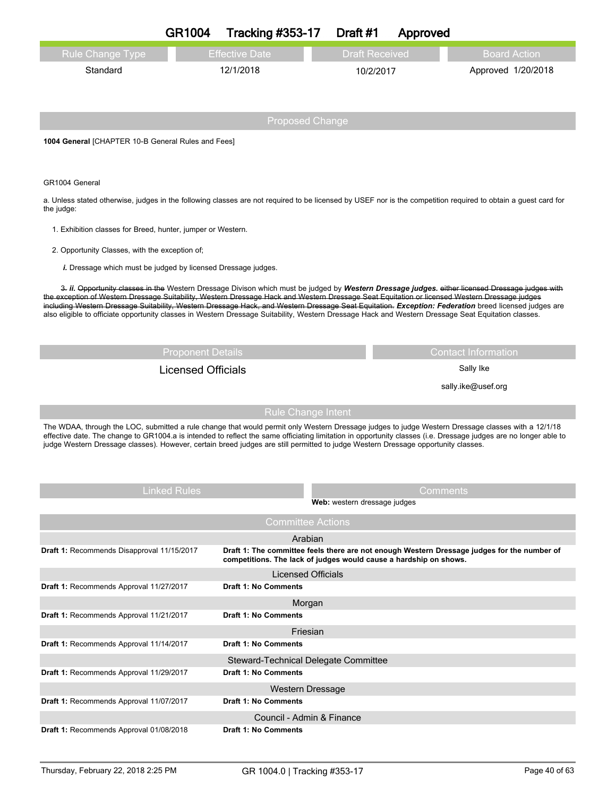| <b>Rule Change Type</b>                                                                                                                                                                                                                                                                                     | <b>Effective Date</b>                                                                                                                                                                                                                                                                                 | <b>Draft Received</b>                                             | <b>Board Action</b>                                                                                                                              |  |  |  |
|-------------------------------------------------------------------------------------------------------------------------------------------------------------------------------------------------------------------------------------------------------------------------------------------------------------|-------------------------------------------------------------------------------------------------------------------------------------------------------------------------------------------------------------------------------------------------------------------------------------------------------|-------------------------------------------------------------------|--------------------------------------------------------------------------------------------------------------------------------------------------|--|--|--|
| Standard                                                                                                                                                                                                                                                                                                    | 12/1/2018                                                                                                                                                                                                                                                                                             | 10/2/2017                                                         | Approved 1/20/2018                                                                                                                               |  |  |  |
|                                                                                                                                                                                                                                                                                                             |                                                                                                                                                                                                                                                                                                       |                                                                   |                                                                                                                                                  |  |  |  |
|                                                                                                                                                                                                                                                                                                             |                                                                                                                                                                                                                                                                                                       |                                                                   |                                                                                                                                                  |  |  |  |
|                                                                                                                                                                                                                                                                                                             |                                                                                                                                                                                                                                                                                                       | <b>Proposed Change</b>                                            |                                                                                                                                                  |  |  |  |
| 1004 General [CHAPTER 10-B General Rules and Fees]                                                                                                                                                                                                                                                          |                                                                                                                                                                                                                                                                                                       |                                                                   |                                                                                                                                                  |  |  |  |
|                                                                                                                                                                                                                                                                                                             |                                                                                                                                                                                                                                                                                                       |                                                                   |                                                                                                                                                  |  |  |  |
| GR1004 General                                                                                                                                                                                                                                                                                              |                                                                                                                                                                                                                                                                                                       |                                                                   |                                                                                                                                                  |  |  |  |
| a. Unless stated otherwise, judges in the following classes are not required to be licensed by USEF nor is the competition required to obtain a guest card for<br>the judge:                                                                                                                                |                                                                                                                                                                                                                                                                                                       |                                                                   |                                                                                                                                                  |  |  |  |
| 1. Exhibition classes for Breed, hunter, jumper or Western.                                                                                                                                                                                                                                                 |                                                                                                                                                                                                                                                                                                       |                                                                   |                                                                                                                                                  |  |  |  |
| 2. Opportunity Classes, with the exception of;                                                                                                                                                                                                                                                              |                                                                                                                                                                                                                                                                                                       |                                                                   |                                                                                                                                                  |  |  |  |
| i. Dressage which must be judged by licensed Dressage judges.                                                                                                                                                                                                                                               |                                                                                                                                                                                                                                                                                                       |                                                                   |                                                                                                                                                  |  |  |  |
| the exception of Western Dressage Suitability, Western Dressage Hack and Western Dressage Seat Equitation or licensed Western Dressage judges                                                                                                                                                               |                                                                                                                                                                                                                                                                                                       |                                                                   | 3. ii. Opportunity classes in the Western Dressage Divison which must be judged by Western Dressage judges. either licensed Dressage judges with |  |  |  |
| including Western Dressage Suitability, Western Dressage Hack, and Western Dressage Seat Equitation. Exception: Federation breed licensed judges are<br>also eligible to officiate opportunity classes in Western Dressage Suitability, Western Dressage Hack and Western Dressage Seat Equitation classes. |                                                                                                                                                                                                                                                                                                       |                                                                   |                                                                                                                                                  |  |  |  |
|                                                                                                                                                                                                                                                                                                             |                                                                                                                                                                                                                                                                                                       |                                                                   |                                                                                                                                                  |  |  |  |
|                                                                                                                                                                                                                                                                                                             | <b>Proponent Details</b>                                                                                                                                                                                                                                                                              |                                                                   | <b>Contact Information</b>                                                                                                                       |  |  |  |
|                                                                                                                                                                                                                                                                                                             | <b>Licensed Officials</b>                                                                                                                                                                                                                                                                             |                                                                   | Sally Ike                                                                                                                                        |  |  |  |
|                                                                                                                                                                                                                                                                                                             |                                                                                                                                                                                                                                                                                                       |                                                                   | sally.ike@usef.org                                                                                                                               |  |  |  |
|                                                                                                                                                                                                                                                                                                             |                                                                                                                                                                                                                                                                                                       |                                                                   |                                                                                                                                                  |  |  |  |
| <b>Rule Change Intent</b><br>The WDAA, through the LOC, submitted a rule change that would permit only Western Dressage judges to judge Western Dressage classes with a 12/1/18                                                                                                                             |                                                                                                                                                                                                                                                                                                       |                                                                   |                                                                                                                                                  |  |  |  |
|                                                                                                                                                                                                                                                                                                             | effective date. The change to GR1004.a is intended to reflect the same officiating limitation in opportunity classes (i.e. Dressage judges are no longer able to<br>judge Western Dressage classes). However, certain breed judges are still permitted to judge Western Dressage opportunity classes. |                                                                   |                                                                                                                                                  |  |  |  |
|                                                                                                                                                                                                                                                                                                             |                                                                                                                                                                                                                                                                                                       |                                                                   |                                                                                                                                                  |  |  |  |
|                                                                                                                                                                                                                                                                                                             |                                                                                                                                                                                                                                                                                                       |                                                                   |                                                                                                                                                  |  |  |  |
| Linked Rules                                                                                                                                                                                                                                                                                                |                                                                                                                                                                                                                                                                                                       | Web: western dressage judges                                      | Comments                                                                                                                                         |  |  |  |
|                                                                                                                                                                                                                                                                                                             | <b>Committee Actions</b>                                                                                                                                                                                                                                                                              |                                                                   |                                                                                                                                                  |  |  |  |
|                                                                                                                                                                                                                                                                                                             | Arabian                                                                                                                                                                                                                                                                                               |                                                                   |                                                                                                                                                  |  |  |  |
| Draft 1: Recommends Disapproval 11/15/2017                                                                                                                                                                                                                                                                  |                                                                                                                                                                                                                                                                                                       | competitions. The lack of judges would cause a hardship on shows. | Draft 1: The committee feels there are not enough Western Dressage judges for the number of                                                      |  |  |  |
|                                                                                                                                                                                                                                                                                                             | Licensed Officials                                                                                                                                                                                                                                                                                    |                                                                   |                                                                                                                                                  |  |  |  |
| Draft 1: Recommends Approval 11/27/2017                                                                                                                                                                                                                                                                     | <b>Draft 1: No Comments</b>                                                                                                                                                                                                                                                                           |                                                                   |                                                                                                                                                  |  |  |  |
| Draft 1: Recommends Approval 11/21/2017                                                                                                                                                                                                                                                                     | Morgan<br><b>Draft 1: No Comments</b>                                                                                                                                                                                                                                                                 |                                                                   |                                                                                                                                                  |  |  |  |
|                                                                                                                                                                                                                                                                                                             |                                                                                                                                                                                                                                                                                                       | Friesian                                                          |                                                                                                                                                  |  |  |  |
| Draft 1: Recommends Approval 11/14/2017                                                                                                                                                                                                                                                                     | <b>Draft 1: No Comments</b>                                                                                                                                                                                                                                                                           |                                                                   |                                                                                                                                                  |  |  |  |
| Draft 1: Recommends Approval 11/29/2017                                                                                                                                                                                                                                                                     | Draft 1: No Comments                                                                                                                                                                                                                                                                                  | Steward-Technical Delegate Committee                              |                                                                                                                                                  |  |  |  |
|                                                                                                                                                                                                                                                                                                             | Western Dressage                                                                                                                                                                                                                                                                                      |                                                                   |                                                                                                                                                  |  |  |  |
| Draft 1: Recommends Approval 11/07/2017                                                                                                                                                                                                                                                                     | <b>Draft 1: No Comments</b>                                                                                                                                                                                                                                                                           |                                                                   |                                                                                                                                                  |  |  |  |
| Draft 1: Recommends Approval 01/08/2018                                                                                                                                                                                                                                                                     | Council - Admin & Finance<br><b>Draft 1: No Comments</b>                                                                                                                                                                                                                                              |                                                                   |                                                                                                                                                  |  |  |  |
|                                                                                                                                                                                                                                                                                                             |                                                                                                                                                                                                                                                                                                       |                                                                   |                                                                                                                                                  |  |  |  |

**GR1004 Tracking #353-17 Draft #1 Approved**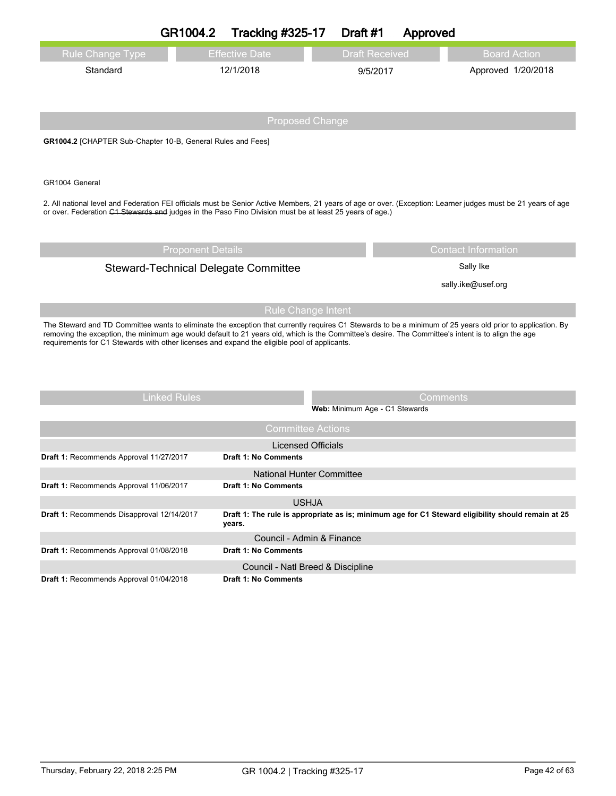|                                                                                                                                                                                                                                                                                                                  | GR1004.2                 | <b>Tracking #325-17</b>              | Draft #1                       | Approved |                                                                                                    |
|------------------------------------------------------------------------------------------------------------------------------------------------------------------------------------------------------------------------------------------------------------------------------------------------------------------|--------------------------|--------------------------------------|--------------------------------|----------|----------------------------------------------------------------------------------------------------|
| <b>Rule Change Type</b>                                                                                                                                                                                                                                                                                          |                          | <b>Effective Date</b>                | <b>Draft Received</b>          |          | <b>Board Action</b>                                                                                |
| Standard                                                                                                                                                                                                                                                                                                         |                          | 12/1/2018                            | 9/5/2017                       |          | Approved 1/20/2018                                                                                 |
|                                                                                                                                                                                                                                                                                                                  |                          |                                      |                                |          |                                                                                                    |
|                                                                                                                                                                                                                                                                                                                  |                          |                                      |                                |          |                                                                                                    |
|                                                                                                                                                                                                                                                                                                                  |                          | <b>Proposed Change</b>               |                                |          |                                                                                                    |
| GR1004.2 [CHAPTER Sub-Chapter 10-B, General Rules and Fees]                                                                                                                                                                                                                                                      |                          |                                      |                                |          |                                                                                                    |
|                                                                                                                                                                                                                                                                                                                  |                          |                                      |                                |          |                                                                                                    |
| GR1004 General                                                                                                                                                                                                                                                                                                   |                          |                                      |                                |          |                                                                                                    |
| 2. All national level and Federation FEI officials must be Senior Active Members, 21 years of age or over. (Exception: Learner judges must be 21 years of age                                                                                                                                                    |                          |                                      |                                |          |                                                                                                    |
| or over. Federation C1 Stewards and judges in the Paso Fino Division must be at least 25 years of age.)                                                                                                                                                                                                          |                          |                                      |                                |          |                                                                                                    |
|                                                                                                                                                                                                                                                                                                                  |                          |                                      |                                |          |                                                                                                    |
|                                                                                                                                                                                                                                                                                                                  | <b>Proponent Details</b> |                                      |                                |          | <b>Contact Information</b>                                                                         |
|                                                                                                                                                                                                                                                                                                                  |                          | Steward-Technical Delegate Committee |                                |          | Sally Ike                                                                                          |
|                                                                                                                                                                                                                                                                                                                  |                          |                                      |                                |          | sally.ike@usef.org                                                                                 |
|                                                                                                                                                                                                                                                                                                                  |                          |                                      |                                |          |                                                                                                    |
|                                                                                                                                                                                                                                                                                                                  |                          | <b>Rule Change Intent</b>            |                                |          |                                                                                                    |
| The Steward and TD Committee wants to eliminate the exception that currently requires C1 Stewards to be a minimum of 25 years old prior to application. By<br>removing the exception, the minimum age would default to 21 years old, which is the Committee's desire. The Committee's intent is to align the age |                          |                                      |                                |          |                                                                                                    |
| requirements for C1 Stewards with other licenses and expand the eligible pool of applicants.                                                                                                                                                                                                                     |                          |                                      |                                |          |                                                                                                    |
|                                                                                                                                                                                                                                                                                                                  |                          |                                      |                                |          |                                                                                                    |
|                                                                                                                                                                                                                                                                                                                  |                          |                                      |                                |          |                                                                                                    |
|                                                                                                                                                                                                                                                                                                                  | <b>Linked Rules</b>      |                                      |                                | Comments |                                                                                                    |
|                                                                                                                                                                                                                                                                                                                  |                          |                                      | Web: Minimum Age - C1 Stewards |          |                                                                                                    |
|                                                                                                                                                                                                                                                                                                                  |                          | <b>Committee Actions</b>             |                                |          |                                                                                                    |
|                                                                                                                                                                                                                                                                                                                  |                          | <b>Licensed Officials</b>            |                                |          |                                                                                                    |
| Draft 1: Recommends Approval 11/27/2017                                                                                                                                                                                                                                                                          |                          | <b>Draft 1: No Comments</b>          |                                |          |                                                                                                    |
|                                                                                                                                                                                                                                                                                                                  |                          | National Hunter Committee            |                                |          |                                                                                                    |
| Draft 1: Recommends Approval 11/06/2017                                                                                                                                                                                                                                                                          |                          | Draft 1: No Comments                 |                                |          |                                                                                                    |
| Draft 1: Recommends Disapproval 12/14/2017                                                                                                                                                                                                                                                                       |                          | <b>USHJA</b>                         |                                |          | Draft 1: The rule is appropriate as is; minimum age for C1 Steward eligibility should remain at 25 |
|                                                                                                                                                                                                                                                                                                                  |                          | years.                               |                                |          |                                                                                                    |
|                                                                                                                                                                                                                                                                                                                  |                          | Council - Admin & Finance            |                                |          |                                                                                                    |
| Draft 1: Recommends Approval 01/08/2018                                                                                                                                                                                                                                                                          |                          | <b>Draft 1: No Comments</b>          |                                |          |                                                                                                    |
|                                                                                                                                                                                                                                                                                                                  |                          | Council - Natl Breed & Discipline    |                                |          |                                                                                                    |
| Draft 1: Recommends Approval 01/04/2018                                                                                                                                                                                                                                                                          |                          | Draft 1: No Comments                 |                                |          |                                                                                                    |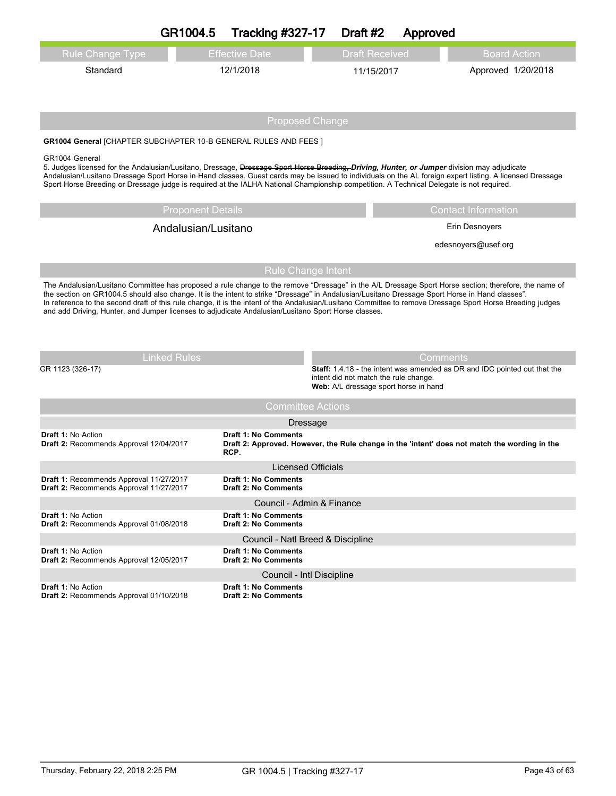|                                                                                                                                                                                                                                                                                                           | GR1004.5                 | <b>Tracking #327-17</b>                                    | Draft #2                                                                       |                       | Approved                                                                                                                                                                                                                                                   |
|-----------------------------------------------------------------------------------------------------------------------------------------------------------------------------------------------------------------------------------------------------------------------------------------------------------|--------------------------|------------------------------------------------------------|--------------------------------------------------------------------------------|-----------------------|------------------------------------------------------------------------------------------------------------------------------------------------------------------------------------------------------------------------------------------------------------|
| <b>Rule Change Type</b>                                                                                                                                                                                                                                                                                   |                          | <b>Effective Date</b>                                      |                                                                                | <b>Draft Received</b> | <b>Board Action</b>                                                                                                                                                                                                                                        |
| Standard                                                                                                                                                                                                                                                                                                  |                          | 12/1/2018                                                  |                                                                                | 11/15/2017            | Approved 1/20/2018                                                                                                                                                                                                                                         |
|                                                                                                                                                                                                                                                                                                           |                          | <b>Proposed Change</b>                                     |                                                                                |                       |                                                                                                                                                                                                                                                            |
| <b>GR1004 General [CHAPTER SUBCHAPTER 10-B GENERAL RULES AND FEES ]</b>                                                                                                                                                                                                                                   |                          |                                                            |                                                                                |                       |                                                                                                                                                                                                                                                            |
| GR1004 General<br>5. Judges licensed for the Andalusian/Lusitano, Dressage, Dressage Sport Horse Breeding, Driving, Hunter, or Jumper division may adjudicate<br>Sport Horse Breeding or Dressage judge is required at the IALHA National Championship competition. A Technical Delegate is not required. |                          |                                                            |                                                                                |                       | Andalusian/Lusitano Dressage Sport Horse in Hand classes. Guest cards may be issued to individuals on the AL foreign expert listing. A licensed Dressage                                                                                                   |
|                                                                                                                                                                                                                                                                                                           | <b>Proponent Details</b> |                                                            |                                                                                |                       | <b>Contact Information</b>                                                                                                                                                                                                                                 |
|                                                                                                                                                                                                                                                                                                           | Andalusian/Lusitano      |                                                            |                                                                                |                       | Erin Desnoyers                                                                                                                                                                                                                                             |
|                                                                                                                                                                                                                                                                                                           |                          |                                                            |                                                                                |                       | edesnoyers@usef.org                                                                                                                                                                                                                                        |
|                                                                                                                                                                                                                                                                                                           |                          | <b>Rule Change Intent</b>                                  |                                                                                |                       |                                                                                                                                                                                                                                                            |
| the section on GR1004.5 should also change. It is the intent to strike "Dressage" in Andalusian/Lusitano Dressage Sport Horse in Hand classes".<br>and add Driving, Hunter, and Jumper licenses to adjudicate Andalusian/Lusitano Sport Horse classes.<br><b>Linked Rules</b><br>GR 1123 (326-17)         |                          |                                                            | intent did not match the rule change.<br>Web: A/L dressage sport horse in hand |                       | In reference to the second draft of this rule change, it is the intent of the Andalusian/Lusitano Committee to remove Dressage Sport Horse Breeding judges<br><b>Comments</b><br>Staff: 1.4.18 - the intent was amended as DR and IDC pointed out that the |
|                                                                                                                                                                                                                                                                                                           |                          | <b>Committee Actions</b>                                   |                                                                                |                       |                                                                                                                                                                                                                                                            |
|                                                                                                                                                                                                                                                                                                           |                          | Dressage                                                   |                                                                                |                       |                                                                                                                                                                                                                                                            |
| <b>Draft 1: No Action</b><br>Draft 2: Recommends Approval 12/04/2017                                                                                                                                                                                                                                      |                          | <b>Draft 1: No Comments</b><br>RCP.                        |                                                                                |                       | Draft 2: Approved. However, the Rule change in the 'intent' does not match the wording in the                                                                                                                                                              |
|                                                                                                                                                                                                                                                                                                           |                          | <b>Licensed Officials</b>                                  |                                                                                |                       |                                                                                                                                                                                                                                                            |
| Draft 1: Recommends Approval 11/27/2017<br>Draft 2: Recommends Approval 11/27/2017                                                                                                                                                                                                                        |                          | <b>Draft 1: No Comments</b><br><b>Draft 2: No Comments</b> |                                                                                |                       |                                                                                                                                                                                                                                                            |
|                                                                                                                                                                                                                                                                                                           |                          | Council - Admin & Finance                                  |                                                                                |                       |                                                                                                                                                                                                                                                            |
| <b>Draft 1: No Action</b><br>Draft 2: Recommends Approval 01/08/2018                                                                                                                                                                                                                                      |                          | <b>Draft 1: No Comments</b><br><b>Draft 2: No Comments</b> |                                                                                |                       |                                                                                                                                                                                                                                                            |
|                                                                                                                                                                                                                                                                                                           |                          | Council - Natl Breed & Discipline                          |                                                                                |                       |                                                                                                                                                                                                                                                            |
| <b>Draft 1: No Action</b><br>Draft 2: Recommends Approval 12/05/2017                                                                                                                                                                                                                                      |                          | <b>Draft 1: No Comments</b><br><b>Draft 2: No Comments</b> |                                                                                |                       |                                                                                                                                                                                                                                                            |
|                                                                                                                                                                                                                                                                                                           |                          | Council - Intl Discipline                                  |                                                                                |                       |                                                                                                                                                                                                                                                            |
| <b>Draft 1: No Action</b><br>Draft 2: Recommends Approval 01/10/2018                                                                                                                                                                                                                                      |                          | <b>Draft 1: No Comments</b><br><b>Draft 2: No Comments</b> |                                                                                |                       |                                                                                                                                                                                                                                                            |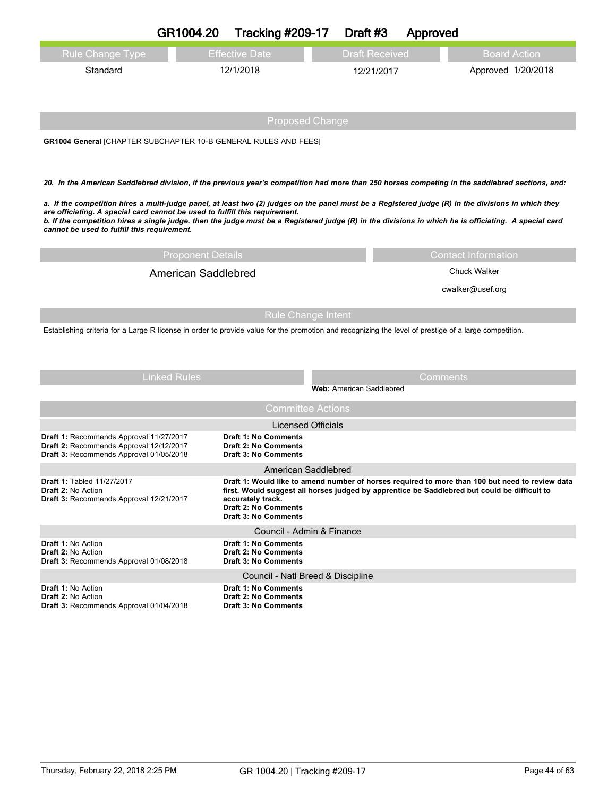|                                                                                                                               | GR1004.20                  | <b>Tracking #209-17</b>                                                                   | Draft #3                        |                       | Approved                                                                                                                                                                                                                                                                                                     |
|-------------------------------------------------------------------------------------------------------------------------------|----------------------------|-------------------------------------------------------------------------------------------|---------------------------------|-----------------------|--------------------------------------------------------------------------------------------------------------------------------------------------------------------------------------------------------------------------------------------------------------------------------------------------------------|
| <b>Rule Change Type</b>                                                                                                       |                            | <b>Effective Date</b>                                                                     |                                 | <b>Draft Received</b> | <b>Board Action</b>                                                                                                                                                                                                                                                                                          |
| Standard                                                                                                                      |                            | 12/1/2018                                                                                 |                                 | 12/21/2017            | Approved 1/20/2018                                                                                                                                                                                                                                                                                           |
|                                                                                                                               |                            | <b>Proposed Change</b>                                                                    |                                 |                       |                                                                                                                                                                                                                                                                                                              |
| <b>GR1004 General [CHAPTER SUBCHAPTER 10-B GENERAL RULES AND FEES]</b>                                                        |                            |                                                                                           |                                 |                       |                                                                                                                                                                                                                                                                                                              |
|                                                                                                                               |                            |                                                                                           |                                 |                       | 20. In the American Saddlebred division, if the previous year's competition had more than 250 horses competing in the saddlebred sections, and:                                                                                                                                                              |
| are officiating. A special card cannot be used to fulfill this requirement.<br>cannot be used to fulfill this requirement.    |                            |                                                                                           |                                 |                       | a. If the competition hires a multi-judge panel, at least two (2) judges on the panel must be a Registered judge (R) in the divisions in which they<br>b. If the competition hires a single judge, then the judge must be a Registered judge (R) in the divisions in which he is officiating. A special card |
|                                                                                                                               | <b>Proponent Details</b>   |                                                                                           |                                 |                       | <b>Contact Information</b>                                                                                                                                                                                                                                                                                   |
|                                                                                                                               | <b>American Saddlebred</b> |                                                                                           |                                 |                       | <b>Chuck Walker</b>                                                                                                                                                                                                                                                                                          |
|                                                                                                                               |                            |                                                                                           |                                 |                       | cwalker@usef.org                                                                                                                                                                                                                                                                                             |
|                                                                                                                               |                            | <b>Rule Change Intent</b>                                                                 |                                 |                       |                                                                                                                                                                                                                                                                                                              |
|                                                                                                                               |                            |                                                                                           |                                 |                       | Establishing criteria for a Large R license in order to provide value for the promotion and recognizing the level of prestige of a large competition.                                                                                                                                                        |
|                                                                                                                               | <b>Linked Rules</b>        |                                                                                           | <b>Web: American Saddlebred</b> |                       | <b>Comments</b>                                                                                                                                                                                                                                                                                              |
|                                                                                                                               |                            | <b>Committee Actions</b>                                                                  |                                 |                       |                                                                                                                                                                                                                                                                                                              |
|                                                                                                                               |                            | <b>Licensed Officials</b>                                                                 |                                 |                       |                                                                                                                                                                                                                                                                                                              |
| Draft 1: Recommends Approval 11/27/2017<br>Draft 2: Recommends Approval 12/12/2017<br>Draft 3: Recommends Approval 01/05/2018 |                            | <b>Draft 1: No Comments</b><br>Draft 2: No Comments<br><b>Draft 3: No Comments</b>        |                                 |                       |                                                                                                                                                                                                                                                                                                              |
|                                                                                                                               |                            | American Saddlebred                                                                       |                                 |                       |                                                                                                                                                                                                                                                                                                              |
| Draft 1: Tabled 11/27/2017<br>Draft 2: No Action<br><b>Draft 3: Recommends Approval 12/21/2017</b>                            |                            | accurately track.<br><b>Draft 2: No Comments</b><br><b>Draft 3: No Comments</b>           |                                 |                       | Draft 1: Would like to amend number of horses required to more than 100 but need to review data<br>first. Would suggest all horses judged by apprentice be Saddlebred but could be difficult to                                                                                                              |
|                                                                                                                               |                            | Council - Admin & Finance                                                                 |                                 |                       |                                                                                                                                                                                                                                                                                                              |
| Draft 1: No Action<br><b>Draft 2: No Action</b><br><b>Draft 3: Recommends Approval 01/08/2018</b>                             |                            | Draft 1: No Comments<br><b>Draft 2: No Comments</b><br><b>Draft 3: No Comments</b>        |                                 |                       |                                                                                                                                                                                                                                                                                                              |
|                                                                                                                               |                            | Council - Natl Breed & Discipline                                                         |                                 |                       |                                                                                                                                                                                                                                                                                                              |
| Draft 1: No Action<br><b>Draft 2: No Action</b><br>Draft 3: Recommends Approval 01/04/2018                                    |                            | <b>Draft 1: No Comments</b><br><b>Draft 2: No Comments</b><br><b>Draft 3: No Comments</b> |                                 |                       |                                                                                                                                                                                                                                                                                                              |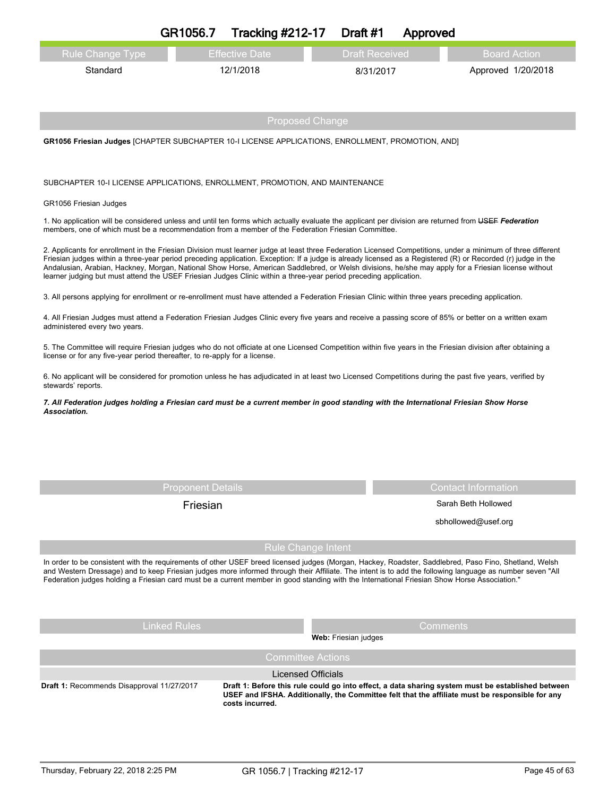| <b>Rule Change Type</b>                                                    | <b>Effective Date</b>                                                                                                                                                                                                                                                                                                                                                                                                                                                                                                                                                                                    | <b>Draft Received</b>  | <b>Board Action</b>        |
|----------------------------------------------------------------------------|----------------------------------------------------------------------------------------------------------------------------------------------------------------------------------------------------------------------------------------------------------------------------------------------------------------------------------------------------------------------------------------------------------------------------------------------------------------------------------------------------------------------------------------------------------------------------------------------------------|------------------------|----------------------------|
| Standard                                                                   | 12/1/2018                                                                                                                                                                                                                                                                                                                                                                                                                                                                                                                                                                                                | 8/31/2017              | Approved 1/20/2018         |
|                                                                            |                                                                                                                                                                                                                                                                                                                                                                                                                                                                                                                                                                                                          |                        |                            |
|                                                                            |                                                                                                                                                                                                                                                                                                                                                                                                                                                                                                                                                                                                          | <b>Proposed Change</b> |                            |
|                                                                            | GR1056 Friesian Judges [CHAPTER SUBCHAPTER 10-I LICENSE APPLICATIONS, ENROLLMENT, PROMOTION, AND]                                                                                                                                                                                                                                                                                                                                                                                                                                                                                                        |                        |                            |
|                                                                            | SUBCHAPTER 10-I LICENSE APPLICATIONS, ENROLLMENT, PROMOTION, AND MAINTENANCE                                                                                                                                                                                                                                                                                                                                                                                                                                                                                                                             |                        |                            |
| GR1056 Friesian Judges                                                     |                                                                                                                                                                                                                                                                                                                                                                                                                                                                                                                                                                                                          |                        |                            |
|                                                                            | 1. No application will be considered unless and until ten forms which actually evaluate the applicant per division are returned from USEF Federation<br>members, one of which must be a recommendation from a member of the Federation Friesian Committee.                                                                                                                                                                                                                                                                                                                                               |                        |                            |
|                                                                            | 2. Applicants for enrollment in the Friesian Division must learner judge at least three Federation Licensed Competitions, under a minimum of three different<br>Friesian judges within a three-year period preceding application. Exception: If a judge is already licensed as a Registered (R) or Recorded (r) judge in the<br>Andalusian, Arabian, Hackney, Morgan, National Show Horse, American Saddlebred, or Welsh divisions, he/she may apply for a Friesian license without<br>learner judging but must attend the USEF Friesian Judges Clinic within a three-year period preceding application. |                        |                            |
|                                                                            | 3. All persons applying for enrollment or re-enrollment must have attended a Federation Friesian Clinic within three years preceding application.                                                                                                                                                                                                                                                                                                                                                                                                                                                        |                        |                            |
| administered every two years.                                              | 4. All Friesian Judges must attend a Federation Friesian Judges Clinic every five years and receive a passing score of 85% or better on a written exam                                                                                                                                                                                                                                                                                                                                                                                                                                                   |                        |                            |
| license or for any five-year period thereafter, to re-apply for a license. | 5. The Committee will require Friesian judges who do not officiate at one Licensed Competition within five years in the Friesian division after obtaining a                                                                                                                                                                                                                                                                                                                                                                                                                                              |                        |                            |
| stewards' reports.                                                         | 6. No applicant will be considered for promotion unless he has adjudicated in at least two Licensed Competitions during the past five years, verified by                                                                                                                                                                                                                                                                                                                                                                                                                                                 |                        |                            |
| Association.                                                               | 7. All Federation judges holding a Friesian card must be a current member in good standing with the International Friesian Show Horse                                                                                                                                                                                                                                                                                                                                                                                                                                                                    |                        |                            |
|                                                                            |                                                                                                                                                                                                                                                                                                                                                                                                                                                                                                                                                                                                          |                        |                            |
|                                                                            |                                                                                                                                                                                                                                                                                                                                                                                                                                                                                                                                                                                                          |                        |                            |
|                                                                            | <b>Proponent Details</b>                                                                                                                                                                                                                                                                                                                                                                                                                                                                                                                                                                                 |                        | <b>Contact Information</b> |
|                                                                            | Friesian                                                                                                                                                                                                                                                                                                                                                                                                                                                                                                                                                                                                 |                        | Sarah Beth Hollowed        |
|                                                                            |                                                                                                                                                                                                                                                                                                                                                                                                                                                                                                                                                                                                          |                        | sbhollowed@usef.org        |
|                                                                            | <b>Rule Change Intent</b>                                                                                                                                                                                                                                                                                                                                                                                                                                                                                                                                                                                |                        |                            |

Linked Rules **Comments** 

**Web:** Friesian judges

## Licensed Officials

**Draft 1:** Recommends Disapproval 11/27/2017

**Draft 1: Before this rule could go into effect, a data sharing system must be established between USEF and IFSHA. Additionally, the Committee felt that the affiliate must be responsible for any costs incurred.**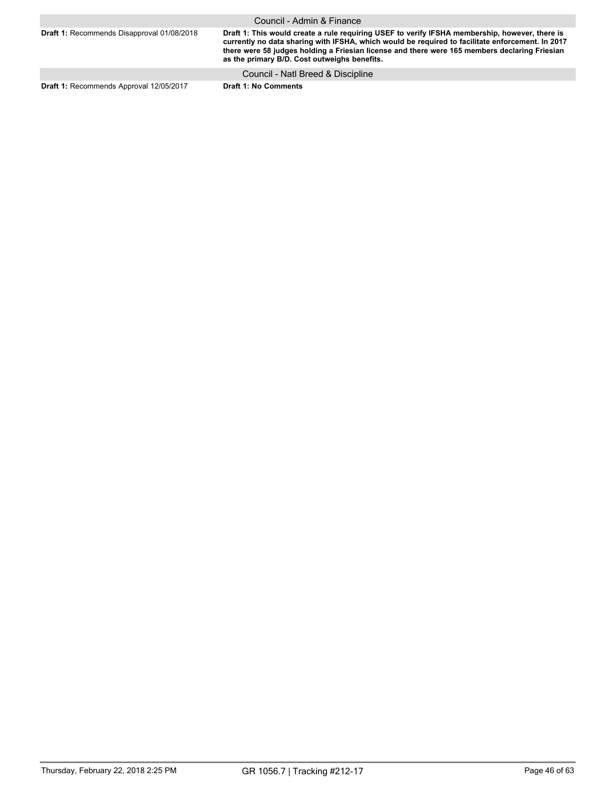|                                                   | Council - Admin & Finance                                                                                                                                                                                                                                                                                                                           |
|---------------------------------------------------|-----------------------------------------------------------------------------------------------------------------------------------------------------------------------------------------------------------------------------------------------------------------------------------------------------------------------------------------------------|
| <b>Draft 1: Recommends Disapproval 01/08/2018</b> | Draft 1: This would create a rule requiring USEF to verify IFSHA membership, however, there is<br>currently no data sharing with IFSHA, which would be required to facilitate enforcement. In 2017<br>there were 58 judges holding a Friesian license and there were 165 members declaring Friesian<br>as the primary B/D. Cost outweighs benefits. |
|                                                   | Council - Natl Breed & Discipline                                                                                                                                                                                                                                                                                                                   |
| Draft 1: Recommends Approval 12/05/2017           | <b>Draft 1: No Comments</b>                                                                                                                                                                                                                                                                                                                         |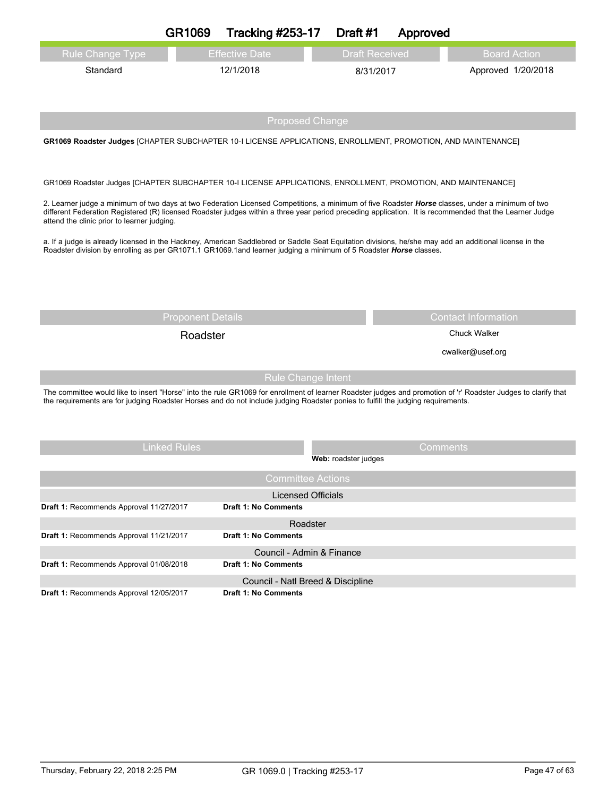|                                                                                                                                                                                                                                                                                                                                                                                                                                                                                                                      | GR1069                                                                                                                                                                                                                                                                                                                          | Tracking #253-17                                  | Draft #1             | Approved              |                            |  |  |
|----------------------------------------------------------------------------------------------------------------------------------------------------------------------------------------------------------------------------------------------------------------------------------------------------------------------------------------------------------------------------------------------------------------------------------------------------------------------------------------------------------------------|---------------------------------------------------------------------------------------------------------------------------------------------------------------------------------------------------------------------------------------------------------------------------------------------------------------------------------|---------------------------------------------------|----------------------|-----------------------|----------------------------|--|--|
| <b>Rule Change Type</b>                                                                                                                                                                                                                                                                                                                                                                                                                                                                                              |                                                                                                                                                                                                                                                                                                                                 | <b>Effective Date</b>                             |                      | <b>Draft Received</b> | <b>Board Action</b>        |  |  |
| Standard                                                                                                                                                                                                                                                                                                                                                                                                                                                                                                             |                                                                                                                                                                                                                                                                                                                                 | 12/1/2018                                         |                      | 8/31/2017             | Approved 1/20/2018         |  |  |
|                                                                                                                                                                                                                                                                                                                                                                                                                                                                                                                      |                                                                                                                                                                                                                                                                                                                                 | <b>Proposed Change</b>                            |                      |                       |                            |  |  |
| GR1069 Roadster Judges [CHAPTER SUBCHAPTER 10-I LICENSE APPLICATIONS, ENROLLMENT, PROMOTION, AND MAINTENANCE]                                                                                                                                                                                                                                                                                                                                                                                                        |                                                                                                                                                                                                                                                                                                                                 |                                                   |                      |                       |                            |  |  |
| GR1069 Roadster Judges [CHAPTER SUBCHAPTER 10-I LICENSE APPLICATIONS, ENROLLMENT, PROMOTION, AND MAINTENANCE]                                                                                                                                                                                                                                                                                                                                                                                                        |                                                                                                                                                                                                                                                                                                                                 |                                                   |                      |                       |                            |  |  |
| 2. Learner judge a minimum of two days at two Federation Licensed Competitions, a minimum of five Roadster Horse classes, under a minimum of two<br>different Federation Registered (R) licensed Roadster judges within a three year period preceding application. It is recommended that the Learner Judge<br>attend the clinic prior to learner judging.<br>a. If a judge is already licensed in the Hackney, American Saddlebred or Saddle Seat Equitation divisions, he/she may add an additional license in the |                                                                                                                                                                                                                                                                                                                                 |                                                   |                      |                       |                            |  |  |
| Roadster division by enrolling as per GR1071.1 GR1069.1and learner judging a minimum of 5 Roadster <b>Horse</b> classes.                                                                                                                                                                                                                                                                                                                                                                                             |                                                                                                                                                                                                                                                                                                                                 |                                                   |                      |                       |                            |  |  |
|                                                                                                                                                                                                                                                                                                                                                                                                                                                                                                                      |                                                                                                                                                                                                                                                                                                                                 |                                                   |                      |                       |                            |  |  |
|                                                                                                                                                                                                                                                                                                                                                                                                                                                                                                                      |                                                                                                                                                                                                                                                                                                                                 |                                                   |                      |                       |                            |  |  |
|                                                                                                                                                                                                                                                                                                                                                                                                                                                                                                                      | <b>Proponent Details</b>                                                                                                                                                                                                                                                                                                        |                                                   |                      |                       | <b>Contact Information</b> |  |  |
|                                                                                                                                                                                                                                                                                                                                                                                                                                                                                                                      | Roadster                                                                                                                                                                                                                                                                                                                        |                                                   |                      |                       | <b>Chuck Walker</b>        |  |  |
|                                                                                                                                                                                                                                                                                                                                                                                                                                                                                                                      |                                                                                                                                                                                                                                                                                                                                 |                                                   |                      |                       | cwalker@usef.org           |  |  |
|                                                                                                                                                                                                                                                                                                                                                                                                                                                                                                                      |                                                                                                                                                                                                                                                                                                                                 |                                                   |                      |                       |                            |  |  |
|                                                                                                                                                                                                                                                                                                                                                                                                                                                                                                                      | <b>Rule Change Intent</b><br>The committee would like to insert "Horse" into the rule GR1069 for enrollment of learner Roadster judges and promotion of 'r' Roadster Judges to clarify that<br>the requirements are for judging Roadster Horses and do not include judging Roadster ponies to fulfill the judging requirements. |                                                   |                      |                       |                            |  |  |
|                                                                                                                                                                                                                                                                                                                                                                                                                                                                                                                      |                                                                                                                                                                                                                                                                                                                                 |                                                   |                      |                       |                            |  |  |
|                                                                                                                                                                                                                                                                                                                                                                                                                                                                                                                      | <b>Linked Rules</b>                                                                                                                                                                                                                                                                                                             |                                                   | Web: roadster judges | Comments              |                            |  |  |
|                                                                                                                                                                                                                                                                                                                                                                                                                                                                                                                      |                                                                                                                                                                                                                                                                                                                                 | <b>Committee Actions</b>                          |                      |                       |                            |  |  |
|                                                                                                                                                                                                                                                                                                                                                                                                                                                                                                                      |                                                                                                                                                                                                                                                                                                                                 | <b>Licensed Officials</b>                         |                      |                       |                            |  |  |
| Draft 1: Recommends Approval 11/27/2017                                                                                                                                                                                                                                                                                                                                                                                                                                                                              |                                                                                                                                                                                                                                                                                                                                 | <b>Draft 1: No Comments</b>                       |                      |                       |                            |  |  |
|                                                                                                                                                                                                                                                                                                                                                                                                                                                                                                                      |                                                                                                                                                                                                                                                                                                                                 | Roadster                                          |                      |                       |                            |  |  |
| Draft 1: Recommends Approval 11/21/2017                                                                                                                                                                                                                                                                                                                                                                                                                                                                              |                                                                                                                                                                                                                                                                                                                                 | <b>Draft 1: No Comments</b>                       |                      |                       |                            |  |  |
| Draft 1: Recommends Approval 01/08/2018                                                                                                                                                                                                                                                                                                                                                                                                                                                                              |                                                                                                                                                                                                                                                                                                                                 | Council - Admin & Finance<br>Draft 1: No Comments |                      |                       |                            |  |  |
|                                                                                                                                                                                                                                                                                                                                                                                                                                                                                                                      |                                                                                                                                                                                                                                                                                                                                 | Council - Natl Breed & Discipline                 |                      |                       |                            |  |  |
| Draft 1: Recommends Approval 12/05/2017                                                                                                                                                                                                                                                                                                                                                                                                                                                                              |                                                                                                                                                                                                                                                                                                                                 | <b>Draft 1: No Comments</b>                       |                      |                       |                            |  |  |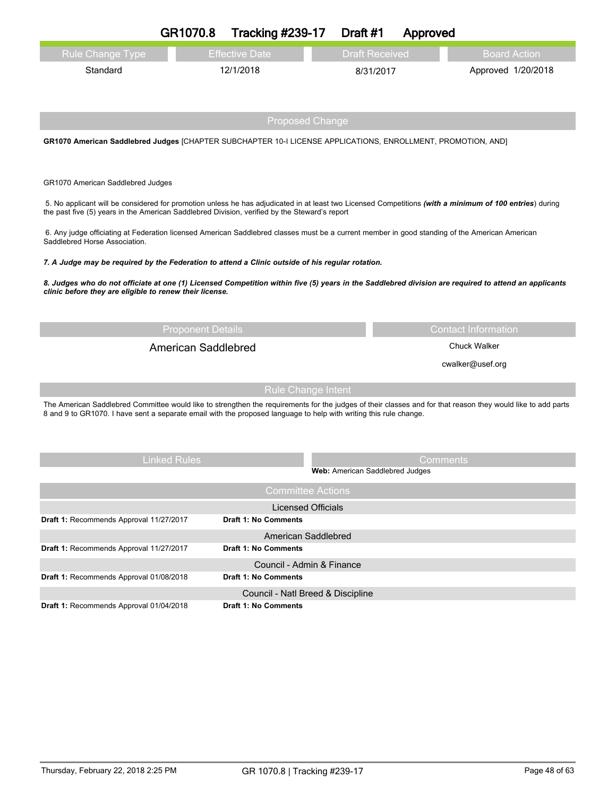|                                                                                                                                                                                 | GR1070.8                   | <b>Tracking #239-17</b>                            | Draft #1                        | Approved |                            |
|---------------------------------------------------------------------------------------------------------------------------------------------------------------------------------|----------------------------|----------------------------------------------------|---------------------------------|----------|----------------------------|
| <b>Rule Change Type</b>                                                                                                                                                         |                            | <b>Effective Date</b>                              | <b>Draft Received</b>           |          | <b>Board Action</b>        |
| Standard                                                                                                                                                                        |                            | 12/1/2018                                          | 8/31/2017                       |          | Approved 1/20/2018         |
|                                                                                                                                                                                 |                            |                                                    |                                 |          |                            |
|                                                                                                                                                                                 |                            |                                                    |                                 |          |                            |
|                                                                                                                                                                                 |                            | <b>Proposed Change</b>                             |                                 |          |                            |
| GR1070 American Saddlebred Judges [CHAPTER SUBCHAPTER 10-I LICENSE APPLICATIONS, ENROLLMENT, PROMOTION, AND]                                                                    |                            |                                                    |                                 |          |                            |
|                                                                                                                                                                                 |                            |                                                    |                                 |          |                            |
| GR1070 American Saddlebred Judges                                                                                                                                               |                            |                                                    |                                 |          |                            |
| 5. No applicant will be considered for promotion unless he has adjudicated in at least two Licensed Competitions (with a minimum of 100 entries) during                         |                            |                                                    |                                 |          |                            |
| the past five (5) years in the American Saddlebred Division, verified by the Steward's report                                                                                   |                            |                                                    |                                 |          |                            |
| 6. Any judge officiating at Federation licensed American Saddlebred classes must be a current member in good standing of the American American<br>Saddlebred Horse Association. |                            |                                                    |                                 |          |                            |
| 7. A Judge may be required by the Federation to attend a Clinic outside of his regular rotation.                                                                                |                            |                                                    |                                 |          |                            |
| 8. Judges who do not officiate at one (1) Licensed Competition within five (5) years in the Saddlebred division are required to attend an applicants                            |                            |                                                    |                                 |          |                            |
| clinic before they are eligible to renew their license.                                                                                                                         |                            |                                                    |                                 |          |                            |
|                                                                                                                                                                                 |                            |                                                    |                                 |          |                            |
|                                                                                                                                                                                 | <b>Proponent Details</b>   |                                                    |                                 |          | <b>Contact Information</b> |
|                                                                                                                                                                                 | <b>American Saddlebred</b> |                                                    |                                 |          | <b>Chuck Walker</b>        |
|                                                                                                                                                                                 |                            |                                                    |                                 |          | cwalker@usef.org           |
|                                                                                                                                                                                 |                            | <b>Rule Change Intent</b>                          |                                 |          |                            |
| The American Saddlebred Committee would like to strengthen the requirements for the judges of their classes and for that reason they would like to add parts                    |                            |                                                    |                                 |          |                            |
| 8 and 9 to GR1070. I have sent a separate email with the proposed language to help with writing this rule change.                                                               |                            |                                                    |                                 |          |                            |
|                                                                                                                                                                                 |                            |                                                    |                                 |          |                            |
|                                                                                                                                                                                 | <b>Linked Rules</b>        |                                                    |                                 | Comments |                            |
|                                                                                                                                                                                 |                            |                                                    |                                 |          |                            |
|                                                                                                                                                                                 |                            |                                                    | Web: American Saddlebred Judges |          |                            |
|                                                                                                                                                                                 |                            | <b>Committee Actions</b>                           |                                 |          |                            |
|                                                                                                                                                                                 |                            | <b>Licensed Officials</b>                          |                                 |          |                            |
| Draft 1: Recommends Approval 11/27/2017                                                                                                                                         |                            | <b>Draft 1: No Comments</b>                        |                                 |          |                            |
| Draft 1: Recommends Approval 11/27/2017                                                                                                                                         |                            | American Saddlebred<br><b>Draft 1: No Comments</b> |                                 |          |                            |
|                                                                                                                                                                                 |                            | Council - Admin & Finance                          |                                 |          |                            |
| Draft 1: Recommends Approval 01/08/2018                                                                                                                                         |                            | <b>Draft 1: No Comments</b>                        |                                 |          |                            |

**Draft 1:** Recommends Approval 01/04/2018 **Draft 1: No Comments**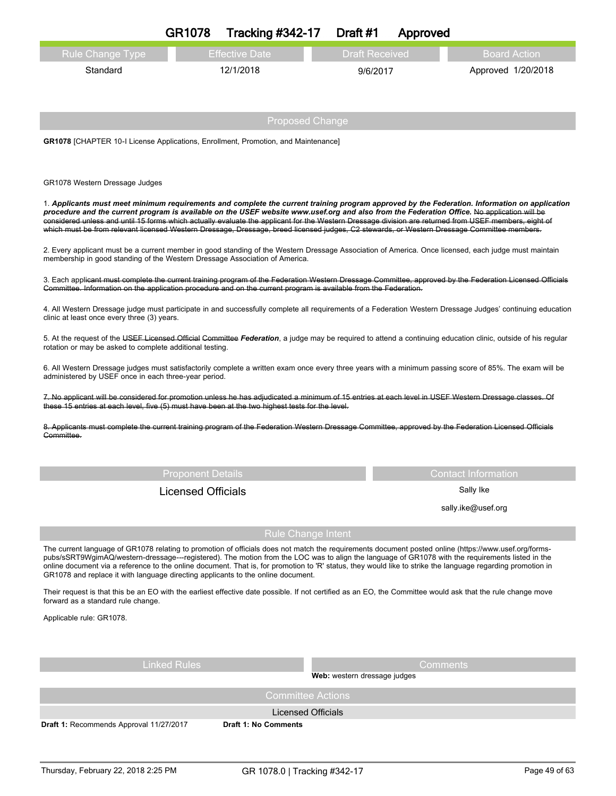|                                                                                                                                                                                                                                                                                                                                                                                                                                                                                                                                                                                                      | <b>GR1078</b>             | <b>Tracking #342-17</b> |                           | Draft #1                     | Approved  |                            |  |
|------------------------------------------------------------------------------------------------------------------------------------------------------------------------------------------------------------------------------------------------------------------------------------------------------------------------------------------------------------------------------------------------------------------------------------------------------------------------------------------------------------------------------------------------------------------------------------------------------|---------------------------|-------------------------|---------------------------|------------------------------|-----------|----------------------------|--|
| Rule Change Type                                                                                                                                                                                                                                                                                                                                                                                                                                                                                                                                                                                     |                           | <b>Effective Date</b>   |                           | <b>Draft Received</b>        |           | <b>Board Action</b>        |  |
| Standard                                                                                                                                                                                                                                                                                                                                                                                                                                                                                                                                                                                             |                           | 12/1/2018               |                           | 9/6/2017                     |           | Approved 1/20/2018         |  |
|                                                                                                                                                                                                                                                                                                                                                                                                                                                                                                                                                                                                      |                           |                         |                           |                              |           |                            |  |
|                                                                                                                                                                                                                                                                                                                                                                                                                                                                                                                                                                                                      |                           |                         | <b>Proposed Change</b>    |                              |           |                            |  |
| <b>GR1078</b> [CHAPTER 10-I License Applications, Enrollment, Promotion, and Maintenance]                                                                                                                                                                                                                                                                                                                                                                                                                                                                                                            |                           |                         |                           |                              |           |                            |  |
|                                                                                                                                                                                                                                                                                                                                                                                                                                                                                                                                                                                                      |                           |                         |                           |                              |           |                            |  |
| GR1078 Western Dressage Judges                                                                                                                                                                                                                                                                                                                                                                                                                                                                                                                                                                       |                           |                         |                           |                              |           |                            |  |
| 1. Applicants must meet minimum requirements and complete the current training program approved by the Federation. Information on application<br>procedure and the current program is available on the USEF website www.usef.org and also from the Federation Office. No application will be<br>considered unless and until 15 forms which actually evaluate the applicant for the Western Dressage division are returned from USEF members, eight of<br>which must be from relevant licensed Western Dressage, Dressage, breed licensed judges, C2 stewards, or Western Dressage Committee members. |                           |                         |                           |                              |           |                            |  |
| 2. Every applicant must be a current member in good standing of the Western Dressage Association of America. Once licensed, each judge must maintain<br>membership in good standing of the Western Dressage Association of America.                                                                                                                                                                                                                                                                                                                                                                  |                           |                         |                           |                              |           |                            |  |
| 3. Each applicant must complete the current training program of the Federation Western Dressage Committee, approved by the Federation Licensed Officials<br>Committee. Information on the application procedure and on the current program is available from the Federation.                                                                                                                                                                                                                                                                                                                         |                           |                         |                           |                              |           |                            |  |
| 4. All Western Dressage judge must participate in and successfully complete all requirements of a Federation Western Dressage Judges' continuing education<br>clinic at least once every three (3) years.                                                                                                                                                                                                                                                                                                                                                                                            |                           |                         |                           |                              |           |                            |  |
| 5. At the request of the USEF Licensed Official Committee Federation, a judge may be required to attend a continuing education clinic, outside of his regular<br>rotation or may be asked to complete additional testing.                                                                                                                                                                                                                                                                                                                                                                            |                           |                         |                           |                              |           |                            |  |
| 6. All Western Dressage judges must satisfactorily complete a written exam once every three years with a minimum passing score of 85%. The exam will be<br>administered by USEF once in each three-year period.                                                                                                                                                                                                                                                                                                                                                                                      |                           |                         |                           |                              |           |                            |  |
| 7. No applicant will be considered for promotion unless he has adjudicated a minimum of 15 entries at each level in USEF Western Dressage classes. Of<br>these 15 entries at each level, five (5) must have been at the two highest tests for the level.                                                                                                                                                                                                                                                                                                                                             |                           |                         |                           |                              |           |                            |  |
| 8. Applicants must complete the current training program of the Federation Western Dressage Committee, approved by the Federation Licensed Officials<br>Committee.                                                                                                                                                                                                                                                                                                                                                                                                                                   |                           |                         |                           |                              |           |                            |  |
|                                                                                                                                                                                                                                                                                                                                                                                                                                                                                                                                                                                                      |                           |                         |                           |                              |           |                            |  |
|                                                                                                                                                                                                                                                                                                                                                                                                                                                                                                                                                                                                      | <b>Proponent Details</b>  |                         |                           |                              |           | <b>Contact Information</b> |  |
|                                                                                                                                                                                                                                                                                                                                                                                                                                                                                                                                                                                                      | <b>Licensed Officials</b> |                         |                           |                              | Sally Ike |                            |  |
|                                                                                                                                                                                                                                                                                                                                                                                                                                                                                                                                                                                                      |                           |                         |                           |                              |           | sally.ike@usef.org         |  |
|                                                                                                                                                                                                                                                                                                                                                                                                                                                                                                                                                                                                      |                           |                         | <b>Rule Change Intent</b> |                              |           |                            |  |
| The current language of GR1078 relating to promotion of officials does not match the requirements document posted online (https://www.usef.org/forms-<br>pubs/sSRT9WgimAQ/western-dressage---registered). The motion from the LOC was to align the language of GR1078 with the requirements listed in the<br>online document via a reference to the online document. That is, for promotion to 'R' status, they would like to strike the language regarding promotion in<br>GR1078 and replace it with language directing applicants to the online document.                                         |                           |                         |                           |                              |           |                            |  |
| Their request is that this be an EO with the earliest effective date possible. If not certified as an EO, the Committee would ask that the rule change move<br>forward as a standard rule change.                                                                                                                                                                                                                                                                                                                                                                                                    |                           |                         |                           |                              |           |                            |  |
| Applicable rule: GR1078.                                                                                                                                                                                                                                                                                                                                                                                                                                                                                                                                                                             |                           |                         |                           |                              |           |                            |  |
|                                                                                                                                                                                                                                                                                                                                                                                                                                                                                                                                                                                                      |                           |                         |                           |                              |           |                            |  |
|                                                                                                                                                                                                                                                                                                                                                                                                                                                                                                                                                                                                      | <b>Linked Rules</b>       |                         |                           |                              | Comments  |                            |  |
|                                                                                                                                                                                                                                                                                                                                                                                                                                                                                                                                                                                                      |                           |                         | <b>Committee Actions</b>  | Web: western dressage judges |           |                            |  |
|                                                                                                                                                                                                                                                                                                                                                                                                                                                                                                                                                                                                      |                           |                         | <b>Licensed Officials</b> |                              |           |                            |  |
| Draft 1: Recommends Approval 11/27/2017                                                                                                                                                                                                                                                                                                                                                                                                                                                                                                                                                              |                           | Draft 1: No Comments    |                           |                              |           |                            |  |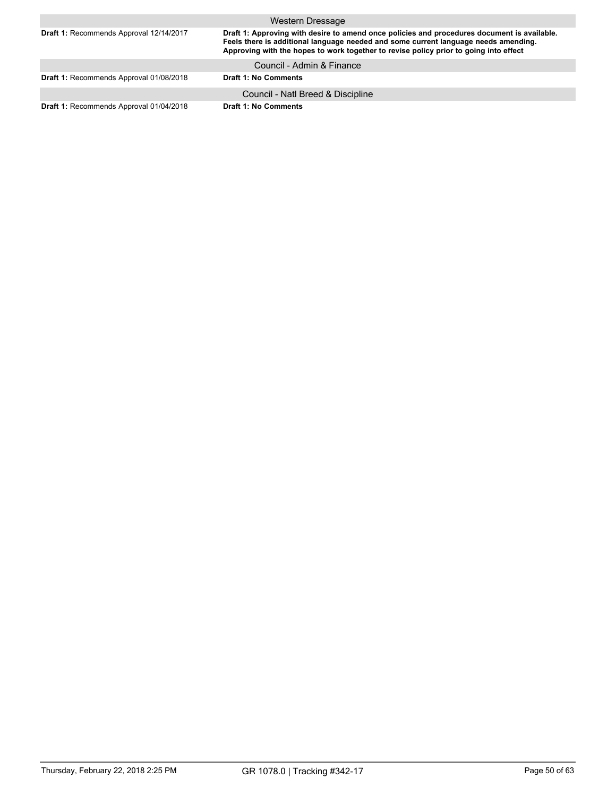|                                                | Western Dressage                                                                                                                                                                                                                                                            |
|------------------------------------------------|-----------------------------------------------------------------------------------------------------------------------------------------------------------------------------------------------------------------------------------------------------------------------------|
| Draft 1: Recommends Approval 12/14/2017        | Draft 1: Approving with desire to amend once policies and procedures document is available.<br>Feels there is additional language needed and some current language needs amending.<br>Approving with the hopes to work together to revise policy prior to going into effect |
|                                                | Council - Admin & Finance                                                                                                                                                                                                                                                   |
| Draft 1: Recommends Approval 01/08/2018        | <b>Draft 1: No Comments</b>                                                                                                                                                                                                                                                 |
|                                                | Council - Natl Breed & Discipline                                                                                                                                                                                                                                           |
| <b>Draft 1: Recommends Approval 01/04/2018</b> | <b>Draft 1: No Comments</b>                                                                                                                                                                                                                                                 |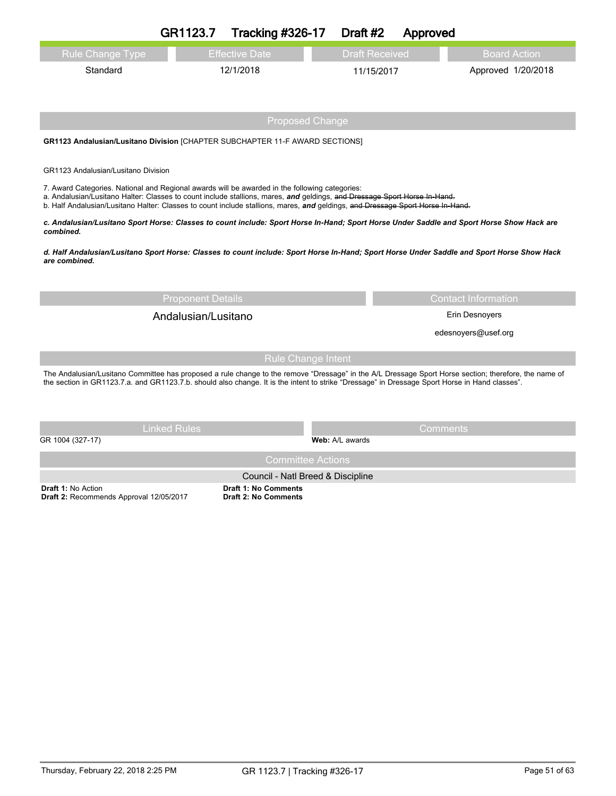|                                                                                                                                                                                                                                                                                                                                                               | GR1123.7                 | <b>Tracking #326-17</b>                                          | Draft #2        | Approved              |                            |  |
|---------------------------------------------------------------------------------------------------------------------------------------------------------------------------------------------------------------------------------------------------------------------------------------------------------------------------------------------------------------|--------------------------|------------------------------------------------------------------|-----------------|-----------------------|----------------------------|--|
| <b>Rule Change Type</b>                                                                                                                                                                                                                                                                                                                                       |                          | <b>Effective Date</b>                                            |                 | <b>Draft Received</b> | <b>Board Action</b>        |  |
| Standard                                                                                                                                                                                                                                                                                                                                                      |                          | 12/1/2018                                                        |                 | 11/15/2017            | Approved 1/20/2018         |  |
|                                                                                                                                                                                                                                                                                                                                                               |                          |                                                                  |                 |                       |                            |  |
|                                                                                                                                                                                                                                                                                                                                                               |                          | <b>Proposed Change</b>                                           |                 |                       |                            |  |
| GR1123 Andalusian/Lusitano Division [CHAPTER SUBCHAPTER 11-F AWARD SECTIONS]                                                                                                                                                                                                                                                                                  |                          |                                                                  |                 |                       |                            |  |
| GR1123 Andalusian/Lusitano Division                                                                                                                                                                                                                                                                                                                           |                          |                                                                  |                 |                       |                            |  |
| 7. Award Categories. National and Regional awards will be awarded in the following categories:<br>a. Andalusian/Lusitano Halter: Classes to count include stallions, mares, and geldings, and Dressage Sport Horse In-Hand.<br>b. Half Andalusian/Lusitano Halter: Classes to count include stallions, mares, and geldings, and Dressage Sport Horse In-Hand. |                          |                                                                  |                 |                       |                            |  |
| c. Andalusian/Lusitano Sport Horse: Classes to count include: Sport Horse In-Hand; Sport Horse Under Saddle and Sport Horse Show Hack are<br>combined.                                                                                                                                                                                                        |                          |                                                                  |                 |                       |                            |  |
| d. Half Andalusian/Lusitano Sport Horse: Classes to count include: Sport Horse In-Hand; Sport Horse Under Saddle and Sport Horse Show Hack<br>are combined.                                                                                                                                                                                                   |                          |                                                                  |                 |                       |                            |  |
|                                                                                                                                                                                                                                                                                                                                                               | <b>Proponent Details</b> |                                                                  |                 |                       | <b>Contact Information</b> |  |
|                                                                                                                                                                                                                                                                                                                                                               | Andalusian/Lusitano      |                                                                  |                 | Erin Desnoyers        |                            |  |
|                                                                                                                                                                                                                                                                                                                                                               |                          |                                                                  |                 |                       | edesnoyers@usef.org        |  |
|                                                                                                                                                                                                                                                                                                                                                               |                          | <b>Rule Change Intent</b>                                        |                 |                       |                            |  |
| The Andalusian/Lusitano Committee has proposed a rule change to the remove "Dressage" in the A/L Dressage Sport Horse section; therefore, the name of<br>the section in GR1123.7.a. and GR1123.7.b. should also change. It is the intent to strike "Dressage" in Dressage Sport Horse in Hand classes".                                                       |                          |                                                                  |                 |                       |                            |  |
|                                                                                                                                                                                                                                                                                                                                                               | <b>Linked Rules</b>      |                                                                  |                 | Comments              |                            |  |
| GR 1004 (327-17)                                                                                                                                                                                                                                                                                                                                              |                          |                                                                  | Web: A/L awards |                       |                            |  |
|                                                                                                                                                                                                                                                                                                                                                               |                          | <b>Committee Actions</b>                                         |                 |                       |                            |  |
| <b>Draft 1: No Action</b>                                                                                                                                                                                                                                                                                                                                     |                          | Council - Natl Breed & Discipline<br><b>Draft 1: No Comments</b> |                 |                       |                            |  |

**Draft 1:** No Action **Draft 2:** Recommends Approval 12/05/2017

**Draft 2: No Comments**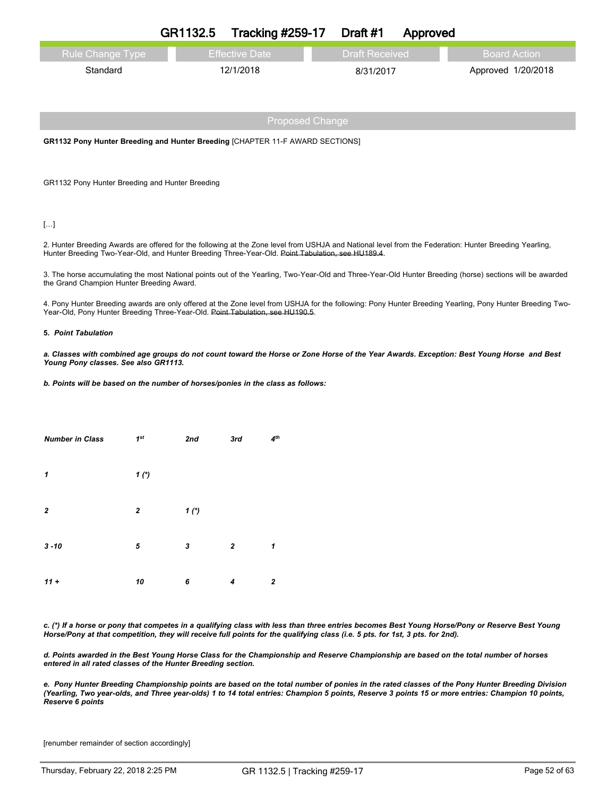|                                                                                      | GR1132.5               | <b>Tracking #259-17</b> | Draft #1              | Approved |                     |  |  |
|--------------------------------------------------------------------------------------|------------------------|-------------------------|-----------------------|----------|---------------------|--|--|
| <b>Rule Change Type</b>                                                              |                        | <b>Effective Date</b>   | <b>Draft Received</b> |          | <b>Board Action</b> |  |  |
| Standard                                                                             |                        | 12/1/2018               | 8/31/2017             |          | Approved 1/20/2018  |  |  |
|                                                                                      |                        |                         |                       |          |                     |  |  |
|                                                                                      |                        |                         |                       |          |                     |  |  |
|                                                                                      | <b>Proposed Change</b> |                         |                       |          |                     |  |  |
| <b>GR1132 Pony Hunter Breeding and Hunter Breeding [CHAPTER 11-F AWARD SECTIONS]</b> |                        |                         |                       |          |                     |  |  |
|                                                                                      |                        |                         |                       |          |                     |  |  |
| GR1132 Pony Hunter Breeding and Hunter Breeding                                      |                        |                         |                       |          |                     |  |  |

## […]

2. Hunter Breeding Awards are offered for the following at the Zone level from USHJA and National level from the Federation: Hunter Breeding Yearling, Hunter Breeding Two-Year-Old, and Hunter Breeding Three-Year-Old. Point Tabulation, see HU189.4.

3. The horse accumulating the most National points out of the Yearling, Two-Year-Old and Three-Year-Old Hunter Breeding (horse) sections will be awarded the Grand Champion Hunter Breeding Award.

4. Pony Hunter Breeding awards are only offered at the Zone level from USHJA for the following: Pony Hunter Breeding Yearling, Pony Hunter Breeding Two-Year-Old, Pony Hunter Breeding Three-Year-Old. Point Tabulation, see HU190.5.

## **5.** *Point Tabulation*

a. Classes with combined age groups do not count toward the Horse or Zone Horse of the Year Awards. Exception: Best Young Horse and Best *Young Pony classes. See also GR1113.*

*b. Points will be based on the number of horses/ponies in the class as follows:*

| <b>Number in Class</b> | 1 <sup>st</sup>  | 2nd  | 3rd              | 4 <sup>th</sup> |
|------------------------|------------------|------|------------------|-----------------|
| $\mathbf{1}$           | $1*$             |      |                  |                 |
| $\overline{2}$         | $\boldsymbol{2}$ | $1*$ |                  |                 |
| $3 - 10$               | 5                | 3    | $\boldsymbol{2}$ | 1               |
| $11 +$                 | 10               | 6    | 4                | $\mathbf{z}$    |

c. (\*) If a horse or pony that competes in a qualifying class with less than three entries becomes Best Young Horse/Pony or Reserve Best Young Horse/Pony at that competition, they will receive full points for the qualifying class (i.e. 5 pts. for 1st, 3 pts. for 2nd).

d. Points awarded in the Best Young Horse Class for the Championship and Reserve Championship are based on the total number of horses *entered in all rated classes of the Hunter Breeding section.*

e. Pony Hunter Breeding Championship points are based on the total number of ponies in the rated classes of the Pony Hunter Breeding Division (Yearling, Two year-olds, and Three year-olds) 1 to 14 total entries: Champion 5 points, Reserve 3 points 15 or more entries: Champion 10 points, *Reserve 6 points*

[renumber remainder of section accordingly]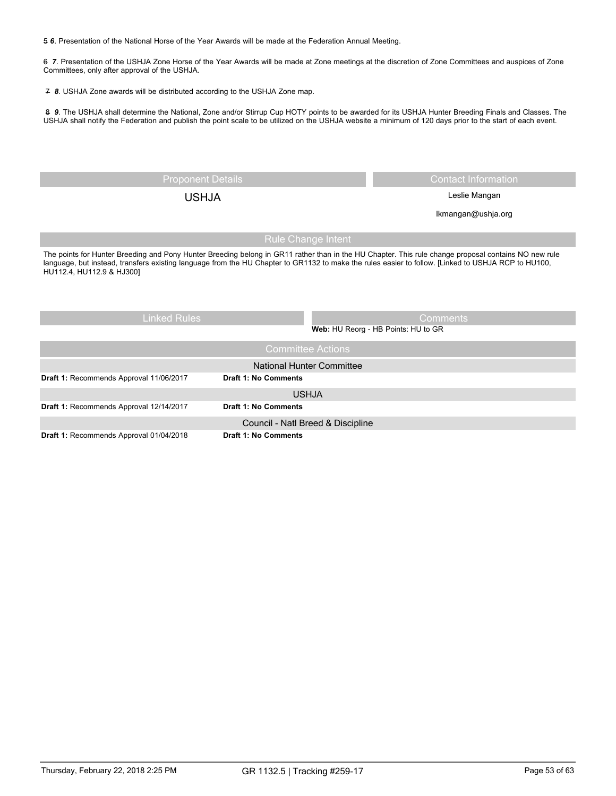5 *6*. Presentation of the National Horse of the Year Awards will be made at the Federation Annual Meeting.

6 *7*. Presentation of the USHJA Zone Horse of the Year Awards will be made at Zone meetings at the discretion of Zone Committees and auspices of Zone Committees, only after approval of the USHJA.

7 *8*. USHJA Zone awards will be distributed according to the USHJA Zone map.

8 *9*. The USHJA shall determine the National, Zone and/or Stirrup Cup HOTY points to be awarded for its USHJA Hunter Breeding Finals and Classes. The USHJA shall notify the Federation and publish the point scale to be utilized on the USHJA website a minimum of 120 days prior to the start of each event.

| <b>Proponent Details</b>                                                                                                                                                                                                                                                                                                                 |                             | <b>Contact Information</b> |  |  |  |
|------------------------------------------------------------------------------------------------------------------------------------------------------------------------------------------------------------------------------------------------------------------------------------------------------------------------------------------|-----------------------------|----------------------------|--|--|--|
| Leslie Mangan<br><b>USHJA</b>                                                                                                                                                                                                                                                                                                            |                             |                            |  |  |  |
| Ikmangan@ushja.org                                                                                                                                                                                                                                                                                                                       |                             |                            |  |  |  |
| <b>Rule Change Intent</b>                                                                                                                                                                                                                                                                                                                |                             |                            |  |  |  |
| The points for Hunter Breeding and Pony Hunter Breeding belong in GR11 rather than in the HU Chapter. This rule change proposal contains NO new rule<br>language, but instead, transfers existing language from the HU Chapter to GR1132 to make the rules easier to follow. [Linked to USHJA RCP to HU100,<br>HU112.4, HU112.9 & HJ300] |                             |                            |  |  |  |
| <b>Linked Rules</b><br><b>Comments</b>                                                                                                                                                                                                                                                                                                   |                             |                            |  |  |  |
| Web: HU Reorg - HB Points: HU to GR                                                                                                                                                                                                                                                                                                      |                             |                            |  |  |  |
| <b>Committee Actions</b>                                                                                                                                                                                                                                                                                                                 |                             |                            |  |  |  |
| National Hunter Committee                                                                                                                                                                                                                                                                                                                |                             |                            |  |  |  |
| Draft 1: Recommends Approval 11/06/2017                                                                                                                                                                                                                                                                                                  | <b>Draft 1: No Comments</b> |                            |  |  |  |
|                                                                                                                                                                                                                                                                                                                                          | <b>USHJA</b>                |                            |  |  |  |
| Draft 1: Recommends Approval 12/14/2017                                                                                                                                                                                                                                                                                                  | Draft 1: No Comments        |                            |  |  |  |

| <b>PIGHT</b> 1. INCOURTED TOO TIPPI OVAL TELEVIT | <b>PIGIL IIIV VUIIIIVIILD</b>     |  |
|--------------------------------------------------|-----------------------------------|--|
|                                                  | Council - Natl Breed & Discipline |  |
| <b>Draft 1: Recommends Approval 01/04/2018</b>   | <b>Draft 1: No Comments</b>       |  |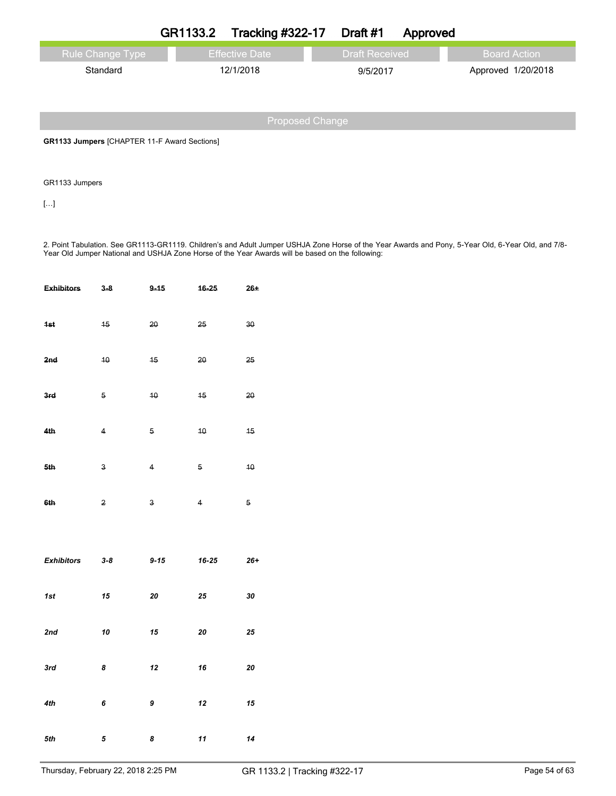|                         | GR1133.2 | Tracking $\#322-17$ Draft $\#1$ |                       | Approved |                    |
|-------------------------|----------|---------------------------------|-----------------------|----------|--------------------|
| <b>Rule Change Type</b> |          | <b>Effective Date</b>           | <b>Draft Received</b> |          | Board Action       |
| Standard                |          | 12/1/2018                       | 9/5/2017              |          | Approved 1/20/2018 |
|                         |          |                                 |                       |          |                    |

**GR1133 Jumpers** [CHAPTER 11-F Award Sections]

GR1133 Jumpers

[…]

2. Point Tabulation. See GR1113-GR1119. Children's and Adult Jumper USHJA Zone Horse of the Year Awards and Pony, 5-Year Old, 6-Year Old, and 7/8- Year Old Jumper National and USHJA Zone Horse of the Year Awards will be based on the following:

| <b>Exhibitors</b> | $3 - 8$                 | $9 - 15$                | 16-25          | $26+$      |
|-------------------|-------------------------|-------------------------|----------------|------------|
| 4st               | 15                      | 20                      | $25 -$         | $30 -$     |
| 2nd               | $40$                    | 15                      | 20             | 25         |
| 3rd               | 5                       | $40$                    | 15             | 20         |
| 4th               | $\overline{4}$          | $5^{\circ}$             | $40 -$         | 45         |
| 5th               | $\overline{\mathbf{3}}$ | $\overline{4}$          | 5              | 10         |
| 6th               | $\overline{2}$          | $\overline{\mathbf{3}}$ | $\overline{4}$ | 5          |
|                   |                         |                         |                |            |
|                   |                         |                         |                |            |
| <b>Exhibitors</b> | $3 - 8$                 | $9 - 15$                | $16 - 25$      | $26+$      |
| 1st               | 15                      | 20                      | $25\,$         | ${\bf 30}$ |
| 2nd               | ${\bf 10}$              | 15                      | 20             | 25         |
| 3rd               | 8                       | 12                      | 16             | ${\bf 20}$ |
| 4th               | 6                       | 9                       | 12             | 15         |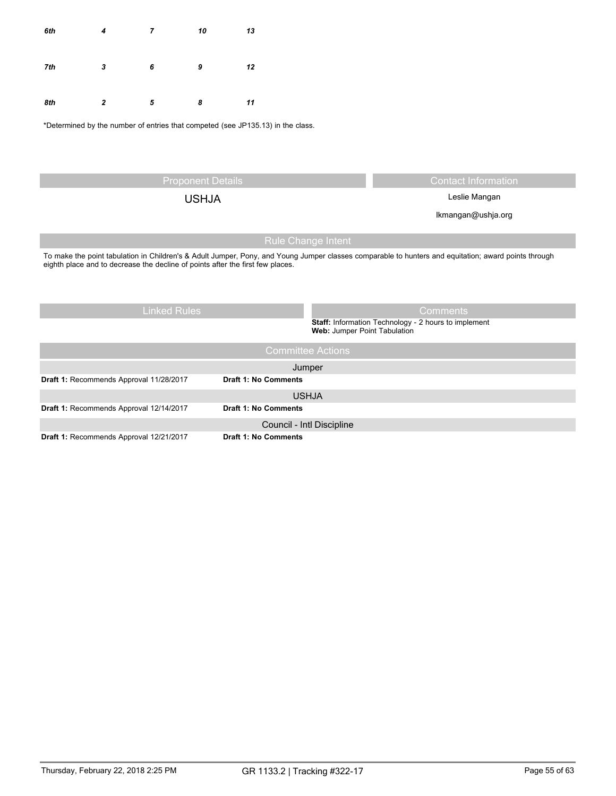| 6th | 4 | 7 | 10 | 13 |
|-----|---|---|----|----|
| 7th | 3 | 6 | 9  | 12 |
| 8th | 2 | 5 | 8  | 11 |

\*Determined by the number of entries that competed (see JP135.13) in the class.

Proponent Details Contact Information

USHJA Leslie Mangan

lkmangan@ushja.org

# Rule Change Intent

To make the point tabulation in Children's & Adult Jumper, Pony, and Young Jumper classes comparable to hunters and equitation; award points through eighth place and to decrease the decline of points after the first few places.

| <b>Linked Rules</b>                     | <b>Comments</b>                                                                             |
|-----------------------------------------|---------------------------------------------------------------------------------------------|
|                                         | <b>Staff:</b> Information Technology - 2 hours to implement<br>Web: Jumper Point Tabulation |
|                                         | <b>Committee Actions</b>                                                                    |
|                                         | Jumper                                                                                      |
| Draft 1: Recommends Approval 11/28/2017 | <b>Draft 1: No Comments</b>                                                                 |
|                                         | <b>USHJA</b>                                                                                |
| Draft 1: Recommends Approval 12/14/2017 | <b>Draft 1: No Comments</b>                                                                 |
|                                         | Council - Intl Discipline                                                                   |
| Draft 1: Recommends Approval 12/21/2017 | <b>Draft 1: No Comments</b>                                                                 |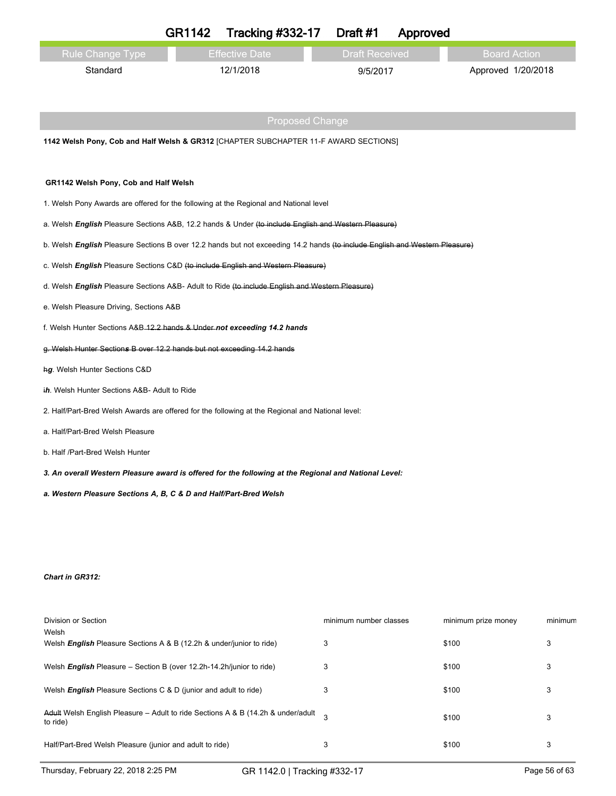|                                                                                                                             | <b>GR1142</b> | <b>Tracking #332-17</b> | Draft #1               | Approved |                     |         |
|-----------------------------------------------------------------------------------------------------------------------------|---------------|-------------------------|------------------------|----------|---------------------|---------|
| Rule Change Type                                                                                                            |               | <b>Effective Date</b>   | <b>Draft Received</b>  |          | <b>Board Action</b> |         |
| Standard                                                                                                                    |               | 12/1/2018               | 9/5/2017               |          | Approved 1/20/2018  |         |
|                                                                                                                             |               |                         |                        |          |                     |         |
|                                                                                                                             |               | <b>Proposed Change</b>  |                        |          |                     |         |
| 1142 Welsh Pony, Cob and Half Welsh & GR312 [CHAPTER SUBCHAPTER 11-F AWARD SECTIONS]                                        |               |                         |                        |          |                     |         |
|                                                                                                                             |               |                         |                        |          |                     |         |
| GR1142 Welsh Pony, Cob and Half Welsh                                                                                       |               |                         |                        |          |                     |         |
| 1. Welsh Pony Awards are offered for the following at the Regional and National level                                       |               |                         |                        |          |                     |         |
| a. Welsh English Pleasure Sections A&B, 12.2 hands & Under (to include English and Western Pleasure)                        |               |                         |                        |          |                     |         |
| b. Welsh English Pleasure Sections B over 12.2 hands but not exceeding 14.2 hands (to include English and Western Pleasure) |               |                         |                        |          |                     |         |
| c. Welsh English Pleasure Sections C&D (to include English and Western Pleasure)                                            |               |                         |                        |          |                     |         |
| d. Welsh English Pleasure Sections A&B- Adult to Ride (to include English and Western Pleasure)                             |               |                         |                        |          |                     |         |
| e. Welsh Pleasure Driving, Sections A&B                                                                                     |               |                         |                        |          |                     |         |
| f. Welsh Hunter Sections A&B-12.2 hands & Under not exceeding 14.2 hands                                                    |               |                         |                        |          |                     |         |
| g. Welsh Hunter Sections B over 12.2 hands but not exceeding 14.2 hands                                                     |               |                         |                        |          |                     |         |
| hg. Welsh Hunter Sections C&D                                                                                               |               |                         |                        |          |                     |         |
| ih. Welsh Hunter Sections A&B- Adult to Ride                                                                                |               |                         |                        |          |                     |         |
| 2. Half/Part-Bred Welsh Awards are offered for the following at the Regional and National level:                            |               |                         |                        |          |                     |         |
| a. Half/Part-Bred Welsh Pleasure                                                                                            |               |                         |                        |          |                     |         |
| b. Half /Part-Bred Welsh Hunter                                                                                             |               |                         |                        |          |                     |         |
| 3. An overall Western Pleasure award is offered for the following at the Regional and National Level:                       |               |                         |                        |          |                     |         |
| a. Western Pleasure Sections A, B, C & D and Half/Part-Bred Welsh                                                           |               |                         |                        |          |                     |         |
|                                                                                                                             |               |                         |                        |          |                     |         |
|                                                                                                                             |               |                         |                        |          |                     |         |
|                                                                                                                             |               |                         |                        |          |                     |         |
| <b>Chart in GR312:</b>                                                                                                      |               |                         |                        |          |                     |         |
|                                                                                                                             |               |                         |                        |          |                     |         |
| Division or Section                                                                                                         |               |                         | minimum number classes |          | minimum prize money | minimum |
| Welsh<br>Welsh English Pleasure Sections A & B (12.2h & under/junior to ride)                                               |               |                         | 3                      |          | \$100               | 3       |
| Welsh English Pleasure - Section B (over 12.2h-14.2h/junior to ride)                                                        |               |                         | 3                      |          | \$100               | 3       |
| Welsh <i>English</i> Pleasure Sections C & D (junior and adult to ride)                                                     |               |                         | 3                      |          | \$100               | 3       |

A<del>dult</del> Welsh English Pleasure – Adult to ride Sections A & B (14.2h & under/adult  $\quad \ \, 3$   $\quad \ \ \,$  \$100  $\quad \ \ \,$  3

Half/Part-Bred Welsh Pleasure (junior and adult to ride) 3 \$100 3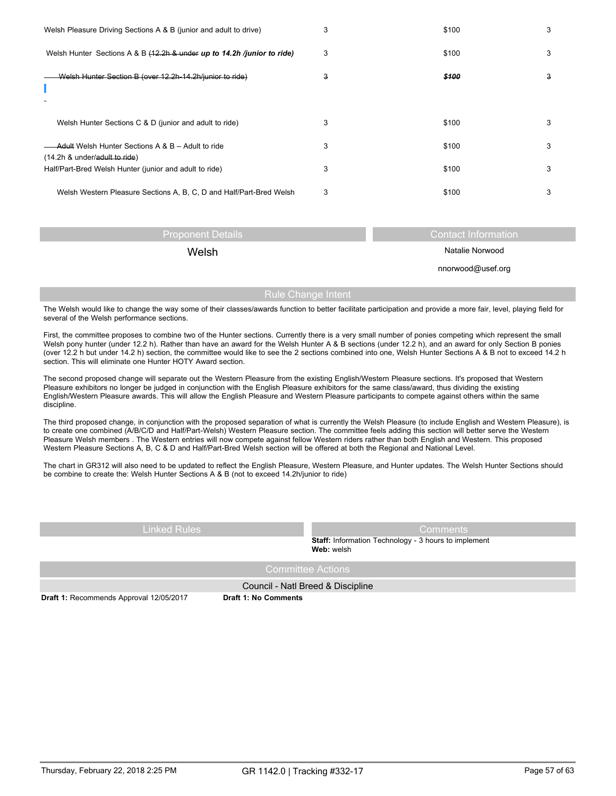| Welsh Pleasure Driving Sections A & B (junior and adult to drive)                             | 3 | \$100 | 3 |
|-----------------------------------------------------------------------------------------------|---|-------|---|
| Welsh Hunter Sections A & B (12.2h & under up to 14.2h /junior to ride)                       | 3 | \$100 | 3 |
| Welsh Hunter Section B (over 12.2h-14.2h/junior to ride)                                      | з | \$100 | з |
| Welsh Hunter Sections C & D (junior and adult to ride)                                        | 3 | \$100 | 3 |
| <b>Adult Welsh Hunter Sections A &amp; B - Adult to ride</b><br>(14.2h & under/adult to ride) | 3 | \$100 | 3 |
| Half/Part-Bred Welsh Hunter (junior and adult to ride)                                        | 3 | \$100 | 3 |
| Welsh Western Pleasure Sections A, B, C, D and Half/Part-Bred Welsh                           | 3 | \$100 | 3 |

| <b>Proponent Details</b> | Contact Information |
|--------------------------|---------------------|
| Welsh                    | Natalie Norwood     |
|                          | nnorwood@usef.org   |
|                          |                     |

Rule Change Intent

The Welsh would like to change the way some of their classes/awards function to better facilitate participation and provide a more fair, level, playing field for several of the Welsh performance sections.

First, the committee proposes to combine two of the Hunter sections. Currently there is a very small number of ponies competing which represent the small Welsh pony hunter (under 12.2 h). Rather than have an award for the Welsh Hunter A & B sections (under 12.2 h), and an award for only Section B ponies (over 12.2 h but under 14.2 h) section, the committee would like to see the 2 sections combined into one, Welsh Hunter Sections A & B not to exceed 14.2 h section. This will eliminate one Hunter HOTY Award section.

The second proposed change will separate out the Western Pleasure from the existing English/Western Pleasure sections. It's proposed that Western Pleasure exhibitors no longer be judged in conjunction with the English Pleasure exhibitors for the same class/award, thus dividing the existing English/Western Pleasure awards. This will allow the English Pleasure and Western Pleasure participants to compete against others within the same discipline.

The third proposed change, in conjunction with the proposed separation of what is currently the Welsh Pleasure (to include English and Western Pleasure), is to create one combined (A/B/C/D and Half/Part-Welsh) Western Pleasure section. The committee feels adding this section will better serve the Western Pleasure Welsh members . The Western entries will now compete against fellow Western riders rather than both English and Western. This proposed Western Pleasure Sections A, B, C & D and Half/Part-Bred Welsh section will be offered at both the Regional and National Level.

The chart in GR312 will also need to be updated to reflect the English Pleasure, Western Pleasure, and Hunter updates. The Welsh Hunter Sections should be combine to create the: Welsh Hunter Sections A & B (not to exceed 14.2h/junior to ride)

| <b>Staff:</b> Information Technology - 3 hours to implement<br>Web: welsh | <b>Linked Rules</b> | Comments |
|---------------------------------------------------------------------------|---------------------|----------|
|                                                                           |                     |          |
| Committee Actions                                                         |                     |          |

Council - Natl Breed & Discipline

**Draft 1:** Recommends Approval 12/05/2017 **Draft 1: No Comments**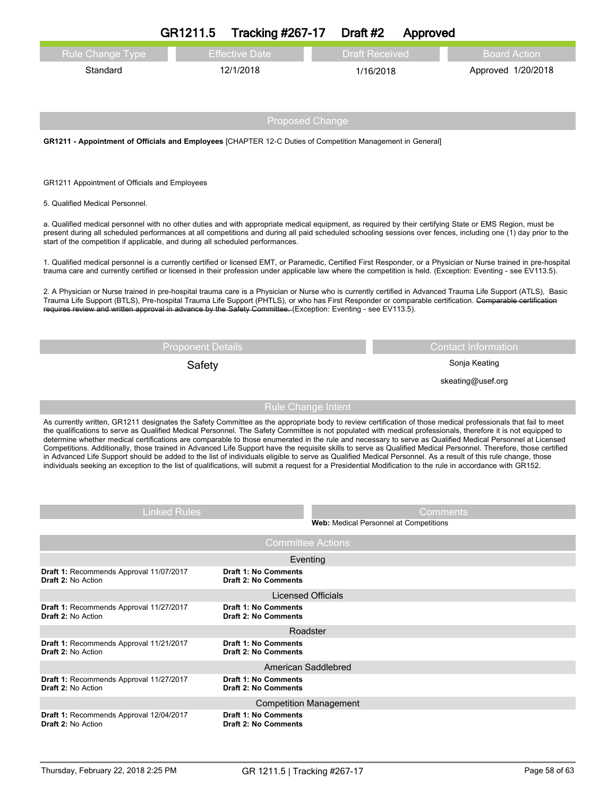|                                                                                                                                                                                                                                                                                                                                                                                                                                                                                                                                                                                                                                                                                                                                                                                                                            | GR1211.5                 | <b>Tracking #267-17</b>     |                                        | Draft #2              | Approved        |                                                                                                                                                                   |
|----------------------------------------------------------------------------------------------------------------------------------------------------------------------------------------------------------------------------------------------------------------------------------------------------------------------------------------------------------------------------------------------------------------------------------------------------------------------------------------------------------------------------------------------------------------------------------------------------------------------------------------------------------------------------------------------------------------------------------------------------------------------------------------------------------------------------|--------------------------|-----------------------------|----------------------------------------|-----------------------|-----------------|-------------------------------------------------------------------------------------------------------------------------------------------------------------------|
| <b>Rule Change Type</b>                                                                                                                                                                                                                                                                                                                                                                                                                                                                                                                                                                                                                                                                                                                                                                                                    |                          | <b>Effective Date</b>       |                                        | <b>Draft Received</b> |                 | <b>Board Action</b>                                                                                                                                               |
| Standard                                                                                                                                                                                                                                                                                                                                                                                                                                                                                                                                                                                                                                                                                                                                                                                                                   |                          | 12/1/2018                   |                                        | 1/16/2018             |                 | Approved 1/20/2018                                                                                                                                                |
|                                                                                                                                                                                                                                                                                                                                                                                                                                                                                                                                                                                                                                                                                                                                                                                                                            |                          |                             |                                        |                       |                 |                                                                                                                                                                   |
|                                                                                                                                                                                                                                                                                                                                                                                                                                                                                                                                                                                                                                                                                                                                                                                                                            |                          |                             |                                        |                       |                 |                                                                                                                                                                   |
|                                                                                                                                                                                                                                                                                                                                                                                                                                                                                                                                                                                                                                                                                                                                                                                                                            |                          |                             | <b>Proposed Change</b>                 |                       |                 |                                                                                                                                                                   |
| GR1211 - Appointment of Officials and Employees [CHAPTER 12-C Duties of Competition Management in General]                                                                                                                                                                                                                                                                                                                                                                                                                                                                                                                                                                                                                                                                                                                 |                          |                             |                                        |                       |                 |                                                                                                                                                                   |
|                                                                                                                                                                                                                                                                                                                                                                                                                                                                                                                                                                                                                                                                                                                                                                                                                            |                          |                             |                                        |                       |                 |                                                                                                                                                                   |
| GR1211 Appointment of Officials and Employees                                                                                                                                                                                                                                                                                                                                                                                                                                                                                                                                                                                                                                                                                                                                                                              |                          |                             |                                        |                       |                 |                                                                                                                                                                   |
| 5. Qualified Medical Personnel.                                                                                                                                                                                                                                                                                                                                                                                                                                                                                                                                                                                                                                                                                                                                                                                            |                          |                             |                                        |                       |                 |                                                                                                                                                                   |
| a. Qualified medical personnel with no other duties and with appropriate medical equipment, as required by their certifying State or EMS Region, must be                                                                                                                                                                                                                                                                                                                                                                                                                                                                                                                                                                                                                                                                   |                          |                             |                                        |                       |                 |                                                                                                                                                                   |
| start of the competition if applicable, and during all scheduled performances.                                                                                                                                                                                                                                                                                                                                                                                                                                                                                                                                                                                                                                                                                                                                             |                          |                             |                                        |                       |                 | present during all scheduled performances at all competitions and during all paid scheduled schooling sessions over fences, including one (1) day prior to the    |
| trauma care and currently certified or licensed in their profession under applicable law where the competition is held. (Exception: Eventing - see EV113.5).                                                                                                                                                                                                                                                                                                                                                                                                                                                                                                                                                                                                                                                               |                          |                             |                                        |                       |                 | 1. Qualified medical personnel is a currently certified or licensed EMT, or Paramedic, Certified First Responder, or a Physician or Nurse trained in pre-hospital |
| Trauma Life Support (BTLS), Pre-hospital Trauma Life Support (PHTLS), or who has First Responder or comparable certification. Comparable certification                                                                                                                                                                                                                                                                                                                                                                                                                                                                                                                                                                                                                                                                     |                          |                             |                                        |                       |                 | 2. A Physician or Nurse trained in pre-hospital trauma care is a Physician or Nurse who is currently certified in Advanced Trauma Life Support (ATLS), Basic      |
| requires review and written approval in advance by the Safety Committee. (Exception: Eventing - see EV113.5).                                                                                                                                                                                                                                                                                                                                                                                                                                                                                                                                                                                                                                                                                                              |                          |                             |                                        |                       |                 |                                                                                                                                                                   |
|                                                                                                                                                                                                                                                                                                                                                                                                                                                                                                                                                                                                                                                                                                                                                                                                                            |                          |                             |                                        |                       |                 |                                                                                                                                                                   |
|                                                                                                                                                                                                                                                                                                                                                                                                                                                                                                                                                                                                                                                                                                                                                                                                                            | <b>Proponent Details</b> |                             |                                        |                       |                 | <b>Contact Information</b><br>Sonja Keating                                                                                                                       |
|                                                                                                                                                                                                                                                                                                                                                                                                                                                                                                                                                                                                                                                                                                                                                                                                                            | Safety                   |                             |                                        |                       |                 | skeating@usef.org                                                                                                                                                 |
|                                                                                                                                                                                                                                                                                                                                                                                                                                                                                                                                                                                                                                                                                                                                                                                                                            |                          |                             |                                        |                       |                 |                                                                                                                                                                   |
|                                                                                                                                                                                                                                                                                                                                                                                                                                                                                                                                                                                                                                                                                                                                                                                                                            |                          |                             | <b>Rule Change Intent</b>              |                       |                 |                                                                                                                                                                   |
| As currently written, GR1211 designates the Safety Committee as the appropriate body to review certification of those medical professionals that fail to meet<br>the qualifications to serve as Qualified Medical Personnel. The Safety Committee is not populated with medical professionals, therefore it is not equipped to<br>determine whether medical certifications are comparable to those enumerated in the rule and necessary to serve as Qualified Medical Personnel at Licensed<br>in Advanced Life Support should be added to the list of individuals eligible to serve as Qualified Medical Personnel. As a result of this rule change, those<br>individuals seeking an exception to the list of qualifications, will submit a request for a Presidential Modification to the rule in accordance with GR152. |                          |                             |                                        |                       |                 | Competitions. Additionally, those trained in Advanced Life Support have the requisite skills to serve as Qualified Medical Personnel. Therefore, those certified  |
|                                                                                                                                                                                                                                                                                                                                                                                                                                                                                                                                                                                                                                                                                                                                                                                                                            |                          |                             |                                        |                       |                 |                                                                                                                                                                   |
|                                                                                                                                                                                                                                                                                                                                                                                                                                                                                                                                                                                                                                                                                                                                                                                                                            | <b>Linked Rules</b>      |                             |                                        |                       | <b>Comments</b> |                                                                                                                                                                   |
|                                                                                                                                                                                                                                                                                                                                                                                                                                                                                                                                                                                                                                                                                                                                                                                                                            |                          |                             | Web: Medical Personnel at Competitions |                       |                 |                                                                                                                                                                   |
|                                                                                                                                                                                                                                                                                                                                                                                                                                                                                                                                                                                                                                                                                                                                                                                                                            |                          |                             | <b>Committee Actions</b>               |                       |                 |                                                                                                                                                                   |
| Draft 1: Recommends Approval 11/07/2017                                                                                                                                                                                                                                                                                                                                                                                                                                                                                                                                                                                                                                                                                                                                                                                    |                          | <b>Draft 1: No Comments</b> | Eventing                               |                       |                 |                                                                                                                                                                   |
| Draft 2: No Action                                                                                                                                                                                                                                                                                                                                                                                                                                                                                                                                                                                                                                                                                                                                                                                                         |                          | <b>Draft 2: No Comments</b> |                                        |                       |                 |                                                                                                                                                                   |
| Draft 1: Recommends Approval 11/27/2017                                                                                                                                                                                                                                                                                                                                                                                                                                                                                                                                                                                                                                                                                                                                                                                    |                          | <b>Draft 1: No Comments</b> | <b>Licensed Officials</b>              |                       |                 |                                                                                                                                                                   |
| Draft 2: No Action                                                                                                                                                                                                                                                                                                                                                                                                                                                                                                                                                                                                                                                                                                                                                                                                         |                          | <b>Draft 2: No Comments</b> |                                        |                       |                 |                                                                                                                                                                   |
| Draft 1: Recommends Approval 11/21/2017                                                                                                                                                                                                                                                                                                                                                                                                                                                                                                                                                                                                                                                                                                                                                                                    |                          | <b>Draft 1: No Comments</b> | Roadster                               |                       |                 |                                                                                                                                                                   |
| Draft 2: No Action                                                                                                                                                                                                                                                                                                                                                                                                                                                                                                                                                                                                                                                                                                                                                                                                         |                          | <b>Draft 2: No Comments</b> |                                        |                       |                 |                                                                                                                                                                   |
| Draft 1: Recommends Approval 11/27/2017                                                                                                                                                                                                                                                                                                                                                                                                                                                                                                                                                                                                                                                                                                                                                                                    |                          | <b>Draft 1: No Comments</b> | American Saddlebred                    |                       |                 |                                                                                                                                                                   |
| <b>Draft 2: No Action</b>                                                                                                                                                                                                                                                                                                                                                                                                                                                                                                                                                                                                                                                                                                                                                                                                  |                          | <b>Draft 2: No Comments</b> |                                        |                       |                 |                                                                                                                                                                   |
| Draft 1: Recommends Approval 12/04/2017                                                                                                                                                                                                                                                                                                                                                                                                                                                                                                                                                                                                                                                                                                                                                                                    |                          | <b>Draft 1: No Comments</b> | <b>Competition Management</b>          |                       |                 |                                                                                                                                                                   |
| <b>Draft 2: No Action</b>                                                                                                                                                                                                                                                                                                                                                                                                                                                                                                                                                                                                                                                                                                                                                                                                  |                          | <b>Draft 2: No Comments</b> |                                        |                       |                 |                                                                                                                                                                   |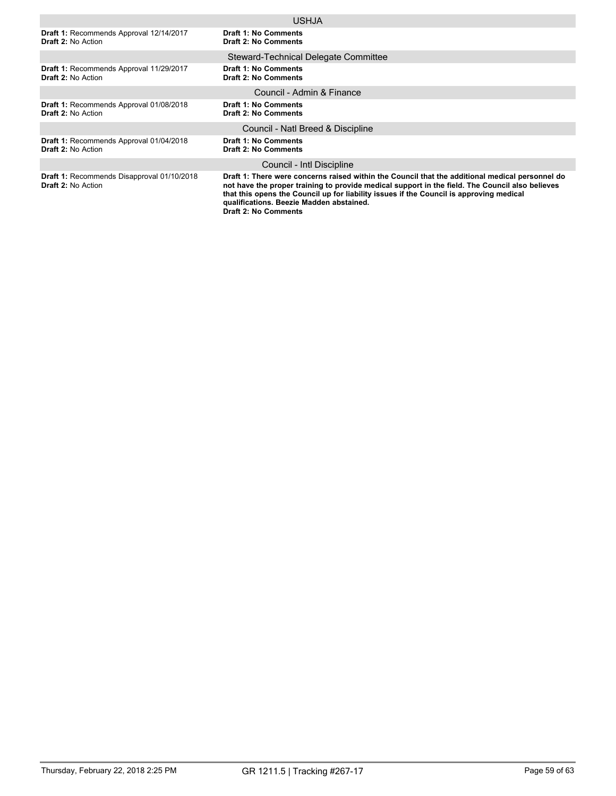|                                                                             | <b>USHJA</b>                                                                                                                                                                                                                                                                                                                                                             |
|-----------------------------------------------------------------------------|--------------------------------------------------------------------------------------------------------------------------------------------------------------------------------------------------------------------------------------------------------------------------------------------------------------------------------------------------------------------------|
| Draft 1: Recommends Approval 12/14/2017<br><b>Draft 2: No Action</b>        | <b>Draft 1: No Comments</b><br><b>Draft 2: No Comments</b>                                                                                                                                                                                                                                                                                                               |
|                                                                             | Steward-Technical Delegate Committee                                                                                                                                                                                                                                                                                                                                     |
| Draft 1: Recommends Approval 11/29/2017<br><b>Draft 2: No Action</b>        | <b>Draft 1: No Comments</b><br><b>Draft 2: No Comments</b>                                                                                                                                                                                                                                                                                                               |
|                                                                             | Council - Admin & Finance                                                                                                                                                                                                                                                                                                                                                |
| Draft 1: Recommends Approval 01/08/2018<br><b>Draft 2: No Action</b>        | <b>Draft 1: No Comments</b><br><b>Draft 2: No Comments</b>                                                                                                                                                                                                                                                                                                               |
|                                                                             | Council - Natl Breed & Discipline                                                                                                                                                                                                                                                                                                                                        |
| <b>Draft 1: Recommends Approval 01/04/2018</b><br><b>Draft 2: No Action</b> | <b>Draft 1: No Comments</b><br><b>Draft 2: No Comments</b>                                                                                                                                                                                                                                                                                                               |
|                                                                             | Council - Intl Discipline                                                                                                                                                                                                                                                                                                                                                |
| Draft 1: Recommends Disapproval 01/10/2018<br><b>Draft 2: No Action</b>     | Draft 1: There were concerns raised within the Council that the additional medical personnel do<br>not have the proper training to provide medical support in the field. The Council also believes<br>that this opens the Council up for liability issues if the Council is approving medical<br>qualifications. Beezie Madden abstained.<br><b>Draft 2: No Comments</b> |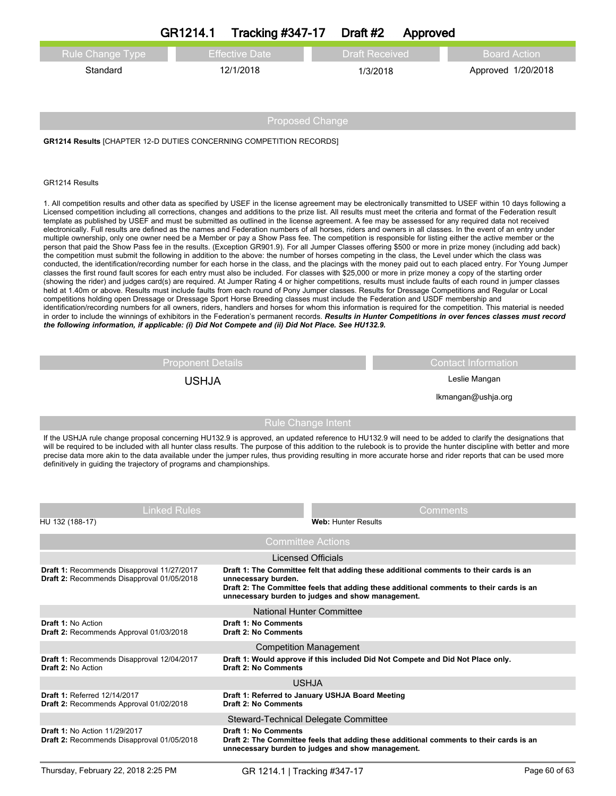|                                                                                                                                                                                                                                                                                                                                                                                                                                                                                       | <b>Tracking #347-17</b><br>GR1214.1 | Draft #2              | Approved |                     |
|---------------------------------------------------------------------------------------------------------------------------------------------------------------------------------------------------------------------------------------------------------------------------------------------------------------------------------------------------------------------------------------------------------------------------------------------------------------------------------------|-------------------------------------|-----------------------|----------|---------------------|
| <b>Rule Change Type</b>                                                                                                                                                                                                                                                                                                                                                                                                                                                               | <b>Effective Date</b>               | <b>Draft Received</b> |          | <b>Board Action</b> |
| Standard                                                                                                                                                                                                                                                                                                                                                                                                                                                                              | 12/1/2018                           | 1/3/2018              |          | Approved 1/20/2018  |
|                                                                                                                                                                                                                                                                                                                                                                                                                                                                                       |                                     |                       |          |                     |
|                                                                                                                                                                                                                                                                                                                                                                                                                                                                                       |                                     |                       |          |                     |
| <b>Proposed Change</b>                                                                                                                                                                                                                                                                                                                                                                                                                                                                |                                     |                       |          |                     |
| <b>GR1214 Results [CHAPTER 12-D DUTIES CONCERNING COMPETITION RECORDS]</b>                                                                                                                                                                                                                                                                                                                                                                                                            |                                     |                       |          |                     |
|                                                                                                                                                                                                                                                                                                                                                                                                                                                                                       |                                     |                       |          |                     |
|                                                                                                                                                                                                                                                                                                                                                                                                                                                                                       |                                     |                       |          |                     |
| GR1214 Results                                                                                                                                                                                                                                                                                                                                                                                                                                                                        |                                     |                       |          |                     |
| 1. All competition results and other data as specified by USEF in the license agreement may be electronically transmitted to USEF within 10 days following a<br>Licensed competition including all corrections, changes and additions to the prize list. All results must meet the criteria and format of the Federation result<br>template as published by USEF and must be submitted as outlined in the license agreement. A fee may be assessed for any required data not received |                                     |                       |          |                     |

electronically. Full results are defined as the names and Federation numbers of all horses, riders and owners in all classes. In the event of an entry under multiple ownership, only one owner need be a Member or pay a Show Pass fee. The competition is responsible for listing either the active member or the person that paid the Show Pass fee in the results. (Exception GR901.9). For all Jumper Classes offering \$500 or more in prize money (including add back) the competition must submit the following in addition to the above: the number of horses competing in the class, the Level under which the class was conducted, the identification/recording number for each horse in the class, and the placings with the money paid out to each placed entry. For Young Jumper classes the first round fault scores for each entry must also be included. For classes with \$25,000 or more in prize money a copy of the starting order (showing the rider) and judges card(s) are required. At Jumper Rating 4 or higher competitions, results must include faults of each round in jumper classes held at 1.40m or above. Results must include faults from each round of Pony Jumper classes. Results for Dressage Competitions and Regular or Local competitions holding open Dressage or Dressage Sport Horse Breeding classes must include the Federation and USDF membership and identification/recording numbers for all owners, riders, handlers and horses for whom this information is required for the competition. This material is needed in order to include the winnings of exhibitors in the Federation's permanent records. *Results in Hunter Competitions in over fences classes must record the following information, if applicable: (i) Did Not Compete and (ii) Did Not Place. See HU132.9.* 

Proponent Details **Contact Information** USHJA Leslie Mangan

lkmangan@ushja.org

Rule Change Intent

If the USHJA rule change proposal concerning HU132.9 is approved, an updated reference to HU132.9 will need to be added to clarify the designations that will be required to be included with all hunter class results. The purpose of this addition to the rulebook is to provide the hunter discipline with better and more precise data more akin to the data available under the jumper rules, thus providing resulting in more accurate horse and rider reports that can be used more definitively in guiding the trajectory of programs and championships.

| <b>Linked Rules</b>                                                                      | Comments                                                                                                                                                                                                                                                      |
|------------------------------------------------------------------------------------------|---------------------------------------------------------------------------------------------------------------------------------------------------------------------------------------------------------------------------------------------------------------|
| HU 132 (188-17)                                                                          | <b>Web: Hunter Results</b>                                                                                                                                                                                                                                    |
|                                                                                          | <b>Committee Actions</b>                                                                                                                                                                                                                                      |
|                                                                                          | Licensed Officials                                                                                                                                                                                                                                            |
| Draft 1: Recommends Disapproval 11/27/2017<br>Draft 2: Recommends Disapproval 01/05/2018 | Draft 1: The Committee felt that adding these additional comments to their cards is an<br>unnecessary burden.<br>Draft 2: The Committee feels that adding these additional comments to their cards is an<br>unnecessary burden to judges and show management. |
|                                                                                          | National Hunter Committee                                                                                                                                                                                                                                     |
| Draft 1: No Action<br>Draft 2: Recommends Approval 01/03/2018                            | <b>Draft 1: No Comments</b><br><b>Draft 2: No Comments</b>                                                                                                                                                                                                    |
|                                                                                          | <b>Competition Management</b>                                                                                                                                                                                                                                 |
| Draft 1: Recommends Disapproval 12/04/2017<br><b>Draft 2: No Action</b>                  | Draft 1: Would approve if this included Did Not Compete and Did Not Place only.<br><b>Draft 2: No Comments</b>                                                                                                                                                |
|                                                                                          | <b>USHJA</b>                                                                                                                                                                                                                                                  |
| <b>Draft 1: Referred 12/14/2017</b><br>Draft 2: Recommends Approval 01/02/2018           | Draft 1: Referred to January USHJA Board Meeting<br>Draft 2: No Comments                                                                                                                                                                                      |
|                                                                                          | Steward-Technical Delegate Committee                                                                                                                                                                                                                          |
| <b>Draft 1: No Action 11/29/2017</b><br>Draft 2: Recommends Disapproval 01/05/2018       | <b>Draft 1: No Comments</b><br>Draft 2: The Committee feels that adding these additional comments to their cards is an<br>unnecessary burden to judges and show management.                                                                                   |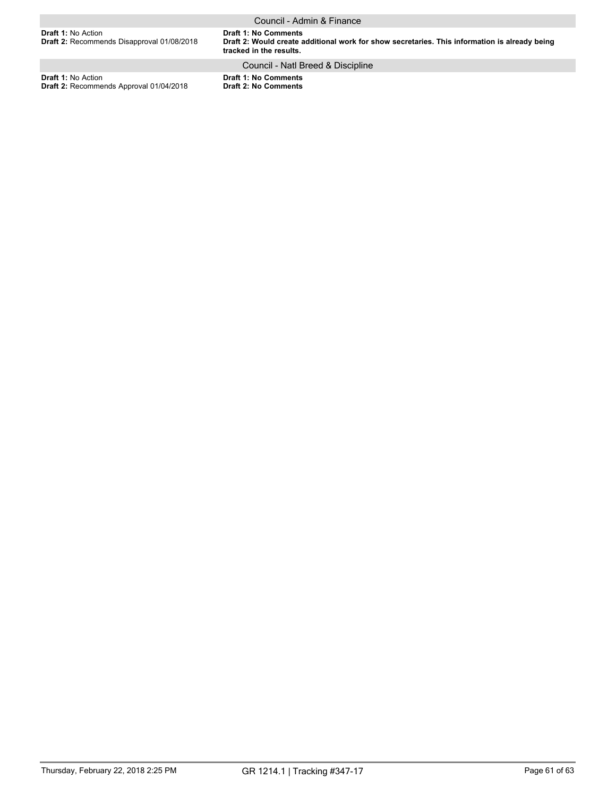**Draft 1: No Comments Draft 2: Would create additional work for show secretaries. This information is already being tracked in the results. Draft 1:** No Action **Draft 2:** Recommends Disapproval 01/08/2018 Council - Admin & Finance

# Council - Natl Breed & Discipline

**Draft 1:** No Action **Draft 2:** Recommends Approval 01/04/2018 **Draft 1: No Comments Draft 2: No Comments**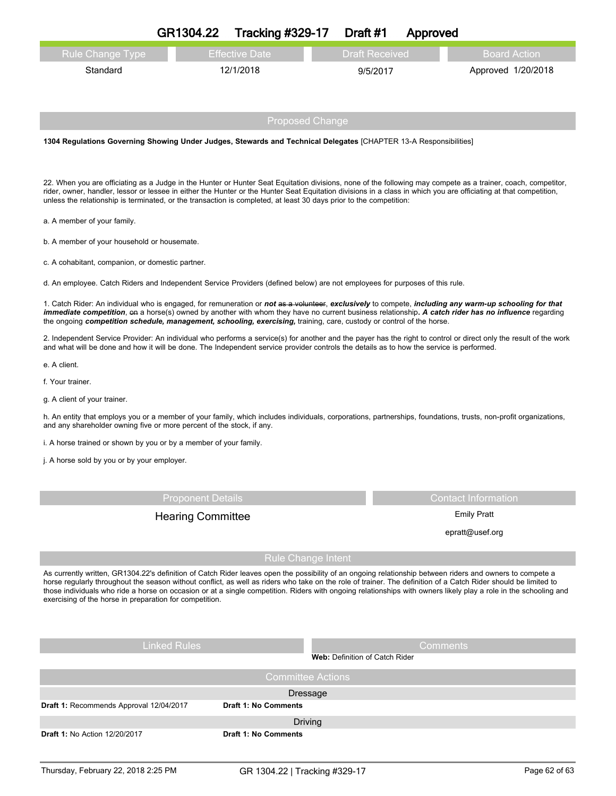|                         | GR1304.22 | <b>Tracking #329-17</b> | Draft #1              | Approved |                     |
|-------------------------|-----------|-------------------------|-----------------------|----------|---------------------|
| <b>Rule Change Type</b> |           | <b>Effective Date</b>   | <b>Draft Received</b> |          | <b>Board Action</b> |
| Standard                |           | 12/1/2018               | 9/5/2017              |          | Approved 1/20/2018  |
|                         |           | <b>Proposed Change</b>  |                       |          |                     |

**1304 Regulations Governing Showing Under Judges, Stewards and Technical Delegates** [CHAPTER 13-A Responsibilities]

22. When you are officiating as a Judge in the Hunter or Hunter Seat Equitation divisions, none of the following may compete as a trainer, coach, competitor, rider, owner, handler, lessor or lessee in either the Hunter or the Hunter Seat Equitation divisions in a class in which you are officiating at that competition, unless the relationship is terminated, or the transaction is completed, at least 30 days prior to the competition:

a. A member of your family.

b. A member of your household or housemate.

c. A cohabitant, companion, or domestic partner.

d. An employee. Catch Riders and Independent Service Providers (defined below) are not employees for purposes of this rule.

1. Catch Rider: An individual who is engaged, for remuneration or *not* as a volunteer, *exclusively* to compete, *including any warm-up schooling for that immediate competition*, on a horse(s) owned by another with whom they have no current business relationship**.** *A catch rider has no influence* regarding the ongoing *competition schedule, management, schooling, exercising,* training, care, custody or control of the horse.

2. Independent Service Provider: An individual who performs a service(s) for another and the payer has the right to control or direct only the result of the work and what will be done and how it will be done. The Independent service provider controls the details as to how the service is performed.

e. A client.

f. Your trainer.

g. A client of your trainer.

h. An entity that employs you or a member of your family, which includes individuals, corporations, partnerships, foundations, trusts, non-profit organizations, and any shareholder owning five or more percent of the stock, if any.

i. A horse trained or shown by you or by a member of your family.

j. A horse sold by you or by your employer.

Proponent Details Contact Information

Hearing Committee **Emily Pratt** 

epratt@usef.org

Rule Change Intent

As currently written, GR1304.22's definition of Catch Rider leaves open the possibility of an ongoing relationship between riders and owners to compete a horse regularly throughout the season without conflict, as well as riders who take on the role of trainer. The definition of a Catch Rider should be limited to those individuals who ride a horse on occasion or at a single competition. Riders with ongoing relationships with owners likely play a role in the schooling and exercising of the horse in preparation for competition.

| <b>Linked Rules</b>                     | <b>Comments</b><br>Web: Definition of Catch Rider |
|-----------------------------------------|---------------------------------------------------|
|                                         | <b>Committee Actions</b>                          |
|                                         | Dressage                                          |
| Draft 1: Recommends Approval 12/04/2017 | <b>Draft 1: No Comments</b>                       |
|                                         | <b>Driving</b>                                    |
| <b>Draft 1: No Action 12/20/2017</b>    | <b>Draft 1: No Comments</b>                       |